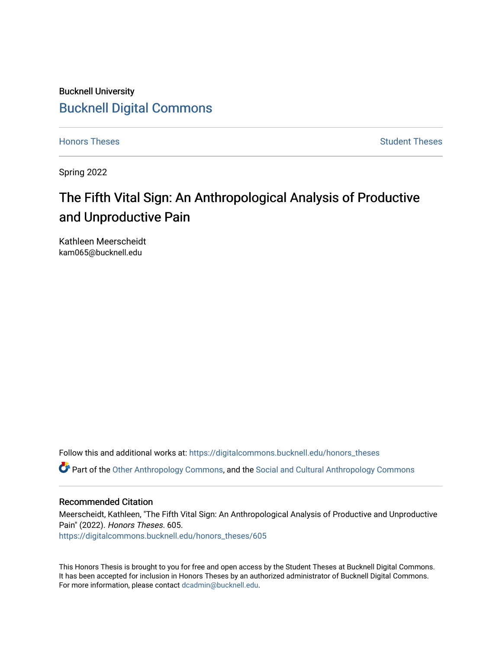# Bucknell University [Bucknell Digital Commons](https://digitalcommons.bucknell.edu/)

[Honors Theses](https://digitalcommons.bucknell.edu/honors_theses) **Student Theses** [Student Theses](https://digitalcommons.bucknell.edu/student_theses) Student Theses Student Theses

Spring 2022

# The Fifth Vital Sign: An Anthropological Analysis of Productive and Unproductive Pain

Kathleen Meerscheidt kam065@bucknell.edu

Follow this and additional works at: [https://digitalcommons.bucknell.edu/honors\\_theses](https://digitalcommons.bucknell.edu/honors_theses?utm_source=digitalcommons.bucknell.edu%2Fhonors_theses%2F605&utm_medium=PDF&utm_campaign=PDFCoverPages)

Part of the [Other Anthropology Commons](http://network.bepress.com/hgg/discipline/324?utm_source=digitalcommons.bucknell.edu%2Fhonors_theses%2F605&utm_medium=PDF&utm_campaign=PDFCoverPages), and the [Social and Cultural Anthropology Commons](http://network.bepress.com/hgg/discipline/323?utm_source=digitalcommons.bucknell.edu%2Fhonors_theses%2F605&utm_medium=PDF&utm_campaign=PDFCoverPages) 

#### Recommended Citation

Meerscheidt, Kathleen, "The Fifth Vital Sign: An Anthropological Analysis of Productive and Unproductive Pain" (2022). Honors Theses. 605.

[https://digitalcommons.bucknell.edu/honors\\_theses/605](https://digitalcommons.bucknell.edu/honors_theses/605?utm_source=digitalcommons.bucknell.edu%2Fhonors_theses%2F605&utm_medium=PDF&utm_campaign=PDFCoverPages) 

This Honors Thesis is brought to you for free and open access by the Student Theses at Bucknell Digital Commons. It has been accepted for inclusion in Honors Theses by an authorized administrator of Bucknell Digital Commons. For more information, please contact [dcadmin@bucknell.edu](mailto:dcadmin@bucknell.edu).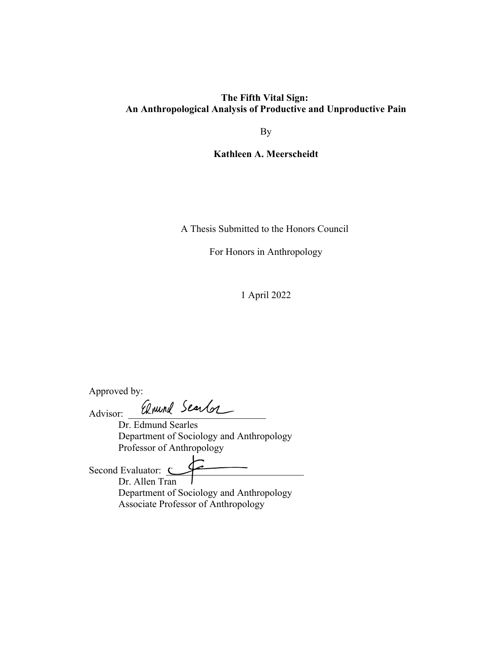# **The Fifth Vital Sign: An Anthropological Analysis of Productive and Unproductive Pain**

By

**Kathleen A. Meerscheidt**

A Thesis Submitted to the Honors Council

For Honors in Anthropology

1 April 2022

Approved by:

Advisor: Anund Searlor

Dr. Edmund Searles Department of Sociology and Anthropology Professor of Anthropology

Second Evaluator:  $\subset$ Dr. Allen Tran Department of Sociology and Anthropology Associate Professor of Anthropology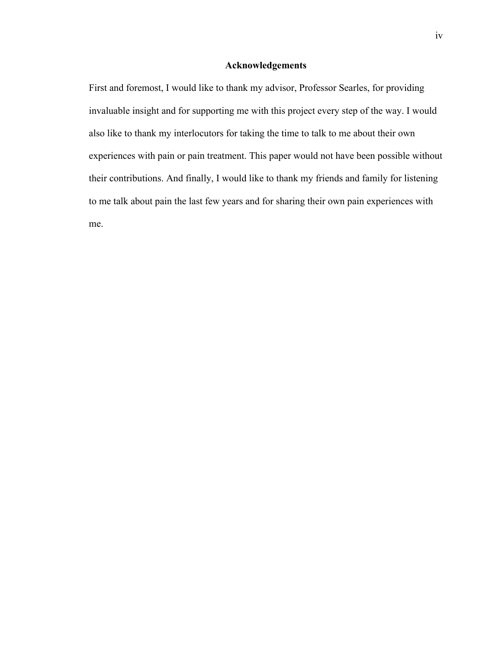### **Acknowledgements**

First and foremost, I would like to thank my advisor, Professor Searles, for providing invaluable insight and for supporting me with this project every step of the way. I would also like to thank my interlocutors for taking the time to talk to me about their own experiences with pain or pain treatment. This paper would not have been possible without their contributions. And finally, I would like to thank my friends and family for listening to me talk about pain the last few years and for sharing their own pain experiences with me.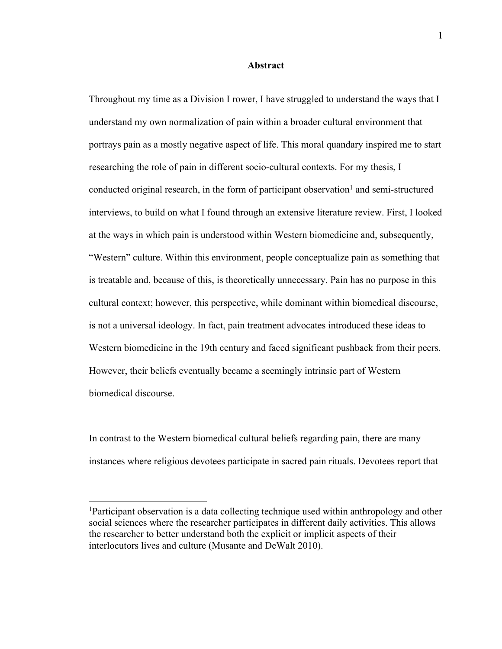#### **Abstract**

Throughout my time as a Division I rower, I have struggled to understand the ways that I understand my own normalization of pain within a broader cultural environment that portrays pain as a mostly negative aspect of life. This moral quandary inspired me to start researching the role of pain in different socio-cultural contexts. For my thesis, I conducted original research, in the form of participant observation<sup>1</sup> and semi-structured interviews, to build on what I found through an extensive literature review. First, I looked at the ways in which pain is understood within Western biomedicine and, subsequently, "Western" culture. Within this environment, people conceptualize pain as something that is treatable and, because of this, is theoretically unnecessary. Pain has no purpose in this cultural context; however, this perspective, while dominant within biomedical discourse, is not a universal ideology. In fact, pain treatment advocates introduced these ideas to Western biomedicine in the 19th century and faced significant pushback from their peers. However, their beliefs eventually became a seemingly intrinsic part of Western biomedical discourse.

In contrast to the Western biomedical cultural beliefs regarding pain, there are many instances where religious devotees participate in sacred pain rituals. Devotees report that

<sup>&</sup>lt;sup>1</sup>Participant observation is a data collecting technique used within anthropology and other social sciences where the researcher participates in different daily activities. This allows the researcher to better understand both the explicit or implicit aspects of their interlocutors lives and culture (Musante and DeWalt 2010).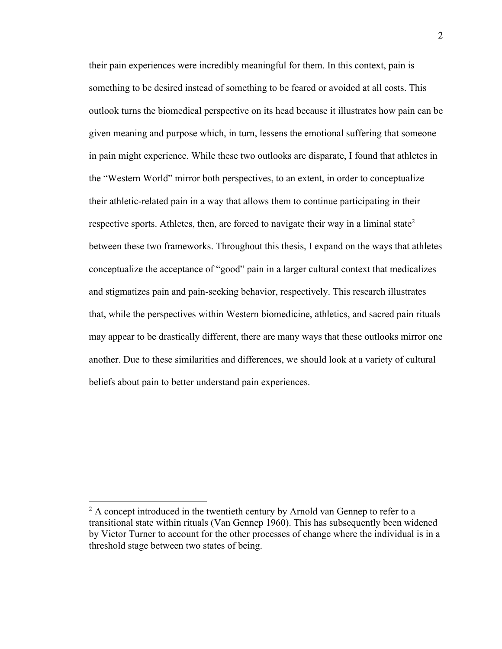their pain experiences were incredibly meaningful for them. In this context, pain is something to be desired instead of something to be feared or avoided at all costs. This outlook turns the biomedical perspective on its head because it illustrates how pain can be given meaning and purpose which, in turn, lessens the emotional suffering that someone in pain might experience. While these two outlooks are disparate, I found that athletes in the "Western World" mirror both perspectives, to an extent, in order to conceptualize their athletic-related pain in a way that allows them to continue participating in their respective sports. Athletes, then, are forced to navigate their way in a liminal state<sup>2</sup> between these two frameworks. Throughout this thesis, I expand on the ways that athletes conceptualize the acceptance of "good" pain in a larger cultural context that medicalizes and stigmatizes pain and pain-seeking behavior, respectively. This research illustrates that, while the perspectives within Western biomedicine, athletics, and sacred pain rituals may appear to be drastically different, there are many ways that these outlooks mirror one another. Due to these similarities and differences, we should look at a variety of cultural beliefs about pain to better understand pain experiences.

 $2A$  concept introduced in the twentieth century by Arnold van Gennep to refer to a transitional state within rituals (Van Gennep 1960). This has subsequently been widened by Victor Turner to account for the other processes of change where the individual is in a threshold stage between two states of being.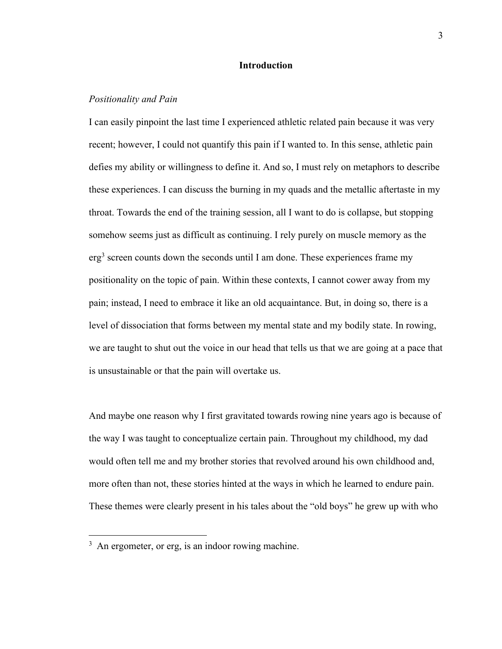#### **Introduction**

#### *Positionality and Pain*

I can easily pinpoint the last time I experienced athletic related pain because it was very recent; however, I could not quantify this pain if I wanted to. In this sense, athletic pain defies my ability or willingness to define it. And so, I must rely on metaphors to describe these experiences. I can discuss the burning in my quads and the metallic aftertaste in my throat. Towards the end of the training session, all I want to do is collapse, but stopping somehow seems just as difficult as continuing. I rely purely on muscle memory as the erg<sup>3</sup> screen counts down the seconds until I am done. These experiences frame my positionality on the topic of pain. Within these contexts, I cannot cower away from my pain; instead, I need to embrace it like an old acquaintance. But, in doing so, there is a level of dissociation that forms between my mental state and my bodily state. In rowing, we are taught to shut out the voice in our head that tells us that we are going at a pace that is unsustainable or that the pain will overtake us.

And maybe one reason why I first gravitated towards rowing nine years ago is because of the way I was taught to conceptualize certain pain. Throughout my childhood, my dad would often tell me and my brother stories that revolved around his own childhood and, more often than not, these stories hinted at the ways in which he learned to endure pain. These themes were clearly present in his tales about the "old boys" he grew up with who

<sup>&</sup>lt;sup>3</sup> An ergometer, or erg, is an indoor rowing machine.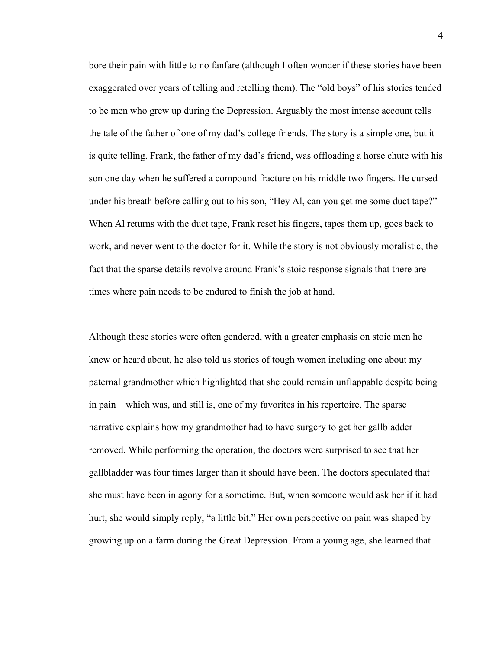bore their pain with little to no fanfare (although I often wonder if these stories have been exaggerated over years of telling and retelling them). The "old boys" of his stories tended to be men who grew up during the Depression. Arguably the most intense account tells the tale of the father of one of my dad's college friends. The story is a simple one, but it is quite telling. Frank, the father of my dad's friend, was offloading a horse chute with his son one day when he suffered a compound fracture on his middle two fingers. He cursed under his breath before calling out to his son, "Hey Al, can you get me some duct tape?" When Al returns with the duct tape, Frank reset his fingers, tapes them up, goes back to work, and never went to the doctor for it. While the story is not obviously moralistic, the fact that the sparse details revolve around Frank's stoic response signals that there are times where pain needs to be endured to finish the job at hand.

Although these stories were often gendered, with a greater emphasis on stoic men he knew or heard about, he also told us stories of tough women including one about my paternal grandmother which highlighted that she could remain unflappable despite being in pain – which was, and still is, one of my favorites in his repertoire. The sparse narrative explains how my grandmother had to have surgery to get her gallbladder removed. While performing the operation, the doctors were surprised to see that her gallbladder was four times larger than it should have been. The doctors speculated that she must have been in agony for a sometime. But, when someone would ask her if it had hurt, she would simply reply, "a little bit." Her own perspective on pain was shaped by growing up on a farm during the Great Depression. From a young age, she learned that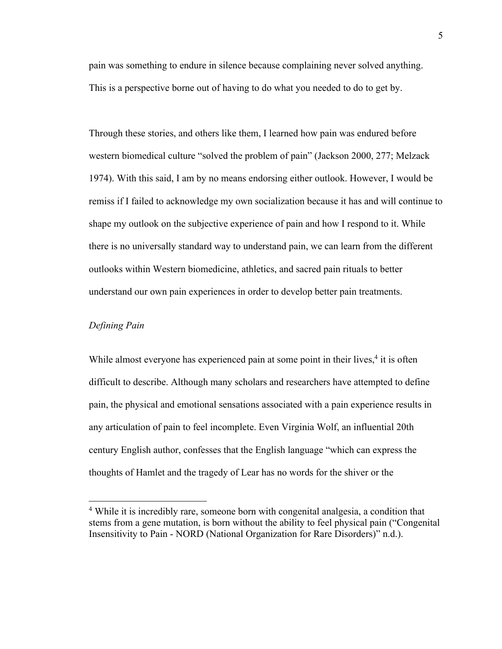pain was something to endure in silence because complaining never solved anything. This is a perspective borne out of having to do what you needed to do to get by.

Through these stories, and others like them, I learned how pain was endured before western biomedical culture "solved the problem of pain" (Jackson 2000, 277; Melzack 1974). With this said, I am by no means endorsing either outlook. However, I would be remiss if I failed to acknowledge my own socialization because it has and will continue to shape my outlook on the subjective experience of pain and how I respond to it. While there is no universally standard way to understand pain, we can learn from the different outlooks within Western biomedicine, athletics, and sacred pain rituals to better understand our own pain experiences in order to develop better pain treatments.

#### *Defining Pain*

While almost everyone has experienced pain at some point in their lives, $4$  it is often difficult to describe. Although many scholars and researchers have attempted to define pain, the physical and emotional sensations associated with a pain experience results in any articulation of pain to feel incomplete. Even Virginia Wolf, an influential 20th century English author, confesses that the English language "which can express the thoughts of Hamlet and the tragedy of Lear has no words for the shiver or the

<sup>4</sup> While it is incredibly rare, someone born with congenital analgesia, a condition that stems from a gene mutation, is born without the ability to feel physical pain ("Congenital Insensitivity to Pain - NORD (National Organization for Rare Disorders)" n.d.).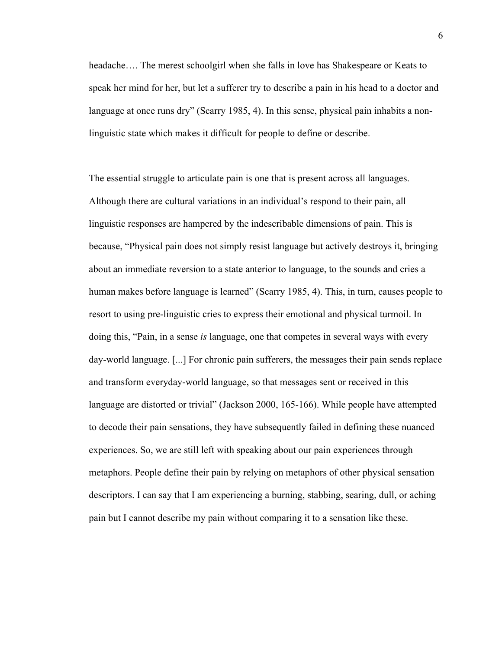headache…. The merest schoolgirl when she falls in love has Shakespeare or Keats to speak her mind for her, but let a sufferer try to describe a pain in his head to a doctor and language at once runs dry" (Scarry 1985, 4). In this sense, physical pain inhabits a nonlinguistic state which makes it difficult for people to define or describe.

The essential struggle to articulate pain is one that is present across all languages. Although there are cultural variations in an individual's respond to their pain, all linguistic responses are hampered by the indescribable dimensions of pain. This is because, "Physical pain does not simply resist language but actively destroys it, bringing about an immediate reversion to a state anterior to language, to the sounds and cries a human makes before language is learned" (Scarry 1985, 4). This, in turn, causes people to resort to using pre-linguistic cries to express their emotional and physical turmoil. In doing this, "Pain, in a sense *is* language, one that competes in several ways with every day-world language. [...] For chronic pain sufferers, the messages their pain sends replace and transform everyday-world language, so that messages sent or received in this language are distorted or trivial" (Jackson 2000, 165-166). While people have attempted to decode their pain sensations, they have subsequently failed in defining these nuanced experiences. So, we are still left with speaking about our pain experiences through metaphors. People define their pain by relying on metaphors of other physical sensation descriptors. I can say that I am experiencing a burning, stabbing, searing, dull, or aching pain but I cannot describe my pain without comparing it to a sensation like these.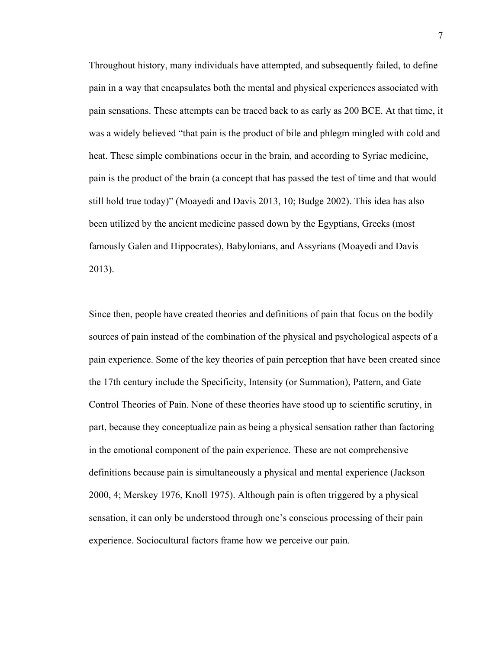Throughout history, many individuals have attempted, and subsequently failed, to define pain in a way that encapsulates both the mental and physical experiences associated with pain sensations. These attempts can be traced back to as early as 200 BCE. At that time, it was a widely believed "that pain is the product of bile and phlegm mingled with cold and heat. These simple combinations occur in the brain, and according to Syriac medicine, pain is the product of the brain (a concept that has passed the test of time and that would still hold true today)" (Moayedi and Davis 2013, 10; Budge 2002). This idea has also been utilized by the ancient medicine passed down by the Egyptians, Greeks (most famously Galen and Hippocrates), Babylonians, and Assyrians (Moayedi and Davis 2013).

Since then, people have created theories and definitions of pain that focus on the bodily sources of pain instead of the combination of the physical and psychological aspects of a pain experience. Some of the key theories of pain perception that have been created since the 17th century include the Specificity, Intensity (or Summation), Pattern, and Gate Control Theories of Pain. None of these theories have stood up to scientific scrutiny, in part, because they conceptualize pain as being a physical sensation rather than factoring in the emotional component of the pain experience. These are not comprehensive definitions because pain is simultaneously a physical and mental experience (Jackson 2000, 4; Merskey 1976, Knoll 1975). Although pain is often triggered by a physical sensation, it can only be understood through one's conscious processing of their pain experience. Sociocultural factors frame how we perceive our pain.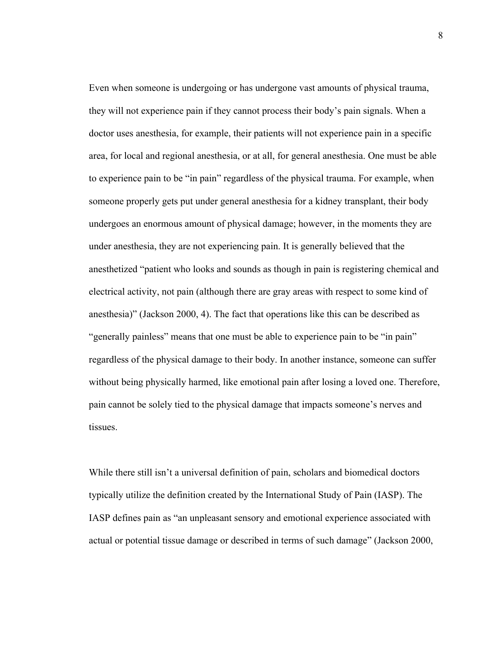Even when someone is undergoing or has undergone vast amounts of physical trauma, they will not experience pain if they cannot process their body's pain signals. When a doctor uses anesthesia, for example, their patients will not experience pain in a specific area, for local and regional anesthesia, or at all, for general anesthesia. One must be able to experience pain to be "in pain" regardless of the physical trauma. For example, when someone properly gets put under general anesthesia for a kidney transplant, their body undergoes an enormous amount of physical damage; however, in the moments they are under anesthesia, they are not experiencing pain. It is generally believed that the anesthetized "patient who looks and sounds as though in pain is registering chemical and electrical activity, not pain (although there are gray areas with respect to some kind of anesthesia)" (Jackson 2000, 4). The fact that operations like this can be described as "generally painless" means that one must be able to experience pain to be "in pain" regardless of the physical damage to their body. In another instance, someone can suffer without being physically harmed, like emotional pain after losing a loved one. Therefore, pain cannot be solely tied to the physical damage that impacts someone's nerves and tissues.

While there still isn't a universal definition of pain, scholars and biomedical doctors typically utilize the definition created by the International Study of Pain (IASP). The IASP defines pain as "an unpleasant sensory and emotional experience associated with actual or potential tissue damage or described in terms of such damage" (Jackson 2000,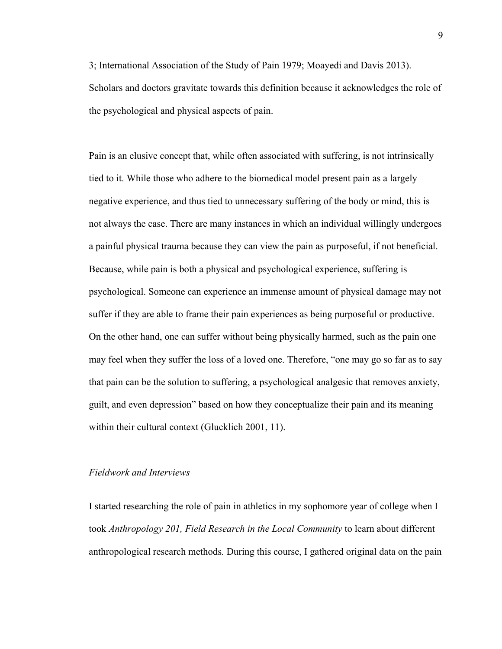3; International Association of the Study of Pain 1979; Moayedi and Davis 2013). Scholars and doctors gravitate towards this definition because it acknowledges the role of the psychological and physical aspects of pain.

Pain is an elusive concept that, while often associated with suffering, is not intrinsically tied to it. While those who adhere to the biomedical model present pain as a largely negative experience, and thus tied to unnecessary suffering of the body or mind, this is not always the case. There are many instances in which an individual willingly undergoes a painful physical trauma because they can view the pain as purposeful, if not beneficial. Because, while pain is both a physical and psychological experience, suffering is psychological. Someone can experience an immense amount of physical damage may not suffer if they are able to frame their pain experiences as being purposeful or productive. On the other hand, one can suffer without being physically harmed, such as the pain one may feel when they suffer the loss of a loved one. Therefore, "one may go so far as to say that pain can be the solution to suffering, a psychological analgesic that removes anxiety, guilt, and even depression" based on how they conceptualize their pain and its meaning within their cultural context (Glucklich 2001, 11).

#### *Fieldwork and Interviews*

I started researching the role of pain in athletics in my sophomore year of college when I took *Anthropology 201, Field Research in the Local Community* to learn about different anthropological research methods*.* During this course, I gathered original data on the pain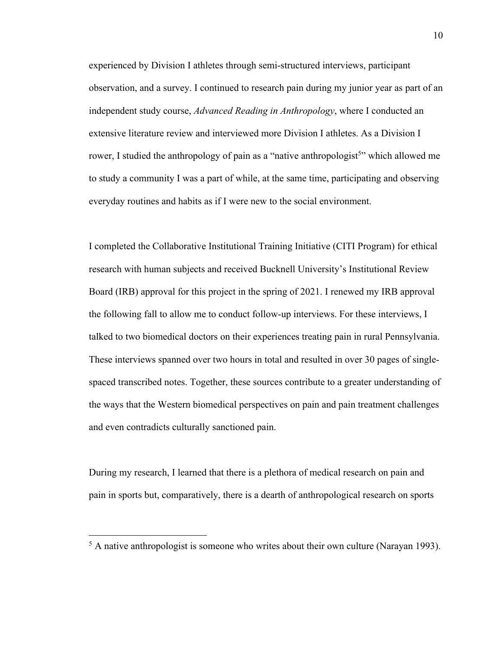experienced by Division I athletes through semi-structured interviews, participant observation, and a survey. I continued to research pain during my junior year as part of an independent study course, *Advanced Reading in Anthropology*, where I conducted an extensive literature review and interviewed more Division I athletes. As a Division I rower, I studied the anthropology of pain as a "native anthropologist<sup>5</sup>" which allowed me to study a community I was a part of while, at the same time, participating and observing everyday routines and habits as if I were new to the social environment.

I completed the Collaborative Institutional Training Initiative (CITI Program) for ethical research with human subjects and received Bucknell University's Institutional Review Board (IRB) approval for this project in the spring of 2021. I renewed my IRB approval the following fall to allow me to conduct follow-up interviews. For these interviews, I talked to two biomedical doctors on their experiences treating pain in rural Pennsylvania. These interviews spanned over two hours in total and resulted in over 30 pages of singlespaced transcribed notes. Together, these sources contribute to a greater understanding of the ways that the Western biomedical perspectives on pain and pain treatment challenges and even contradicts culturally sanctioned pain.

During my research, I learned that there is a plethora of medical research on pain and pain in sports but, comparatively, there is a dearth of anthropological research on sports

<sup>&</sup>lt;sup>5</sup> A native anthropologist is someone who writes about their own culture (Narayan 1993).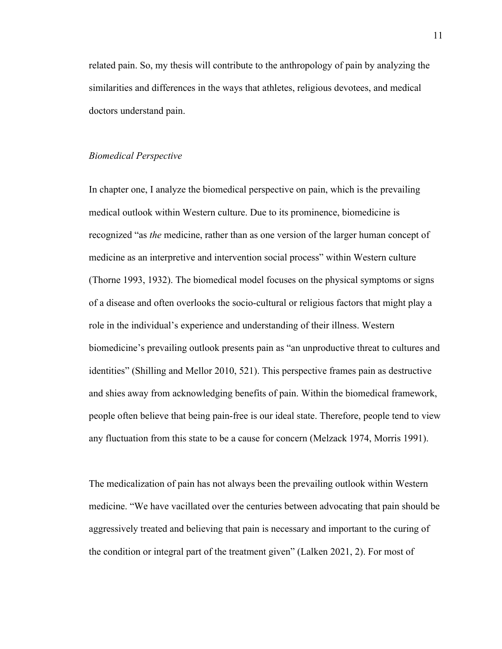related pain. So, my thesis will contribute to the anthropology of pain by analyzing the similarities and differences in the ways that athletes, religious devotees, and medical doctors understand pain.

#### *Biomedical Perspective*

In chapter one, I analyze the biomedical perspective on pain, which is the prevailing medical outlook within Western culture. Due to its prominence, biomedicine is recognized "as *the* medicine, rather than as one version of the larger human concept of medicine as an interpretive and intervention social process" within Western culture (Thorne 1993, 1932). The biomedical model focuses on the physical symptoms or signs of a disease and often overlooks the socio-cultural or religious factors that might play a role in the individual's experience and understanding of their illness. Western biomedicine's prevailing outlook presents pain as "an unproductive threat to cultures and identities" (Shilling and Mellor 2010, 521). This perspective frames pain as destructive and shies away from acknowledging benefits of pain. Within the biomedical framework, people often believe that being pain-free is our ideal state. Therefore, people tend to view any fluctuation from this state to be a cause for concern (Melzack 1974, Morris 1991).

The medicalization of pain has not always been the prevailing outlook within Western medicine. "We have vacillated over the centuries between advocating that pain should be aggressively treated and believing that pain is necessary and important to the curing of the condition or integral part of the treatment given" (Lalken 2021, 2). For most of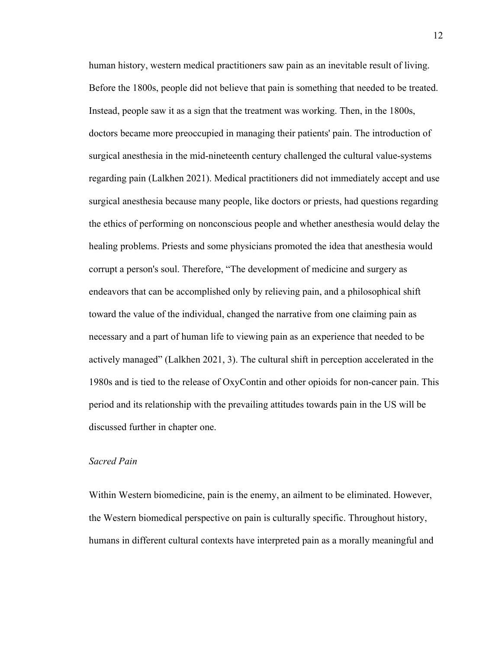human history, western medical practitioners saw pain as an inevitable result of living. Before the 1800s, people did not believe that pain is something that needed to be treated. Instead, people saw it as a sign that the treatment was working. Then, in the 1800s, doctors became more preoccupied in managing their patients' pain. The introduction of surgical anesthesia in the mid-nineteenth century challenged the cultural value-systems regarding pain (Lalkhen 2021). Medical practitioners did not immediately accept and use surgical anesthesia because many people, like doctors or priests, had questions regarding the ethics of performing on nonconscious people and whether anesthesia would delay the healing problems. Priests and some physicians promoted the idea that anesthesia would corrupt a person's soul. Therefore, "The development of medicine and surgery as endeavors that can be accomplished only by relieving pain, and a philosophical shift toward the value of the individual, changed the narrative from one claiming pain as necessary and a part of human life to viewing pain as an experience that needed to be actively managed" (Lalkhen 2021, 3). The cultural shift in perception accelerated in the 1980s and is tied to the release of OxyContin and other opioids for non-cancer pain. This period and its relationship with the prevailing attitudes towards pain in the US will be discussed further in chapter one.

#### *Sacred Pain*

Within Western biomedicine, pain is the enemy, an ailment to be eliminated. However, the Western biomedical perspective on pain is culturally specific. Throughout history, humans in different cultural contexts have interpreted pain as a morally meaningful and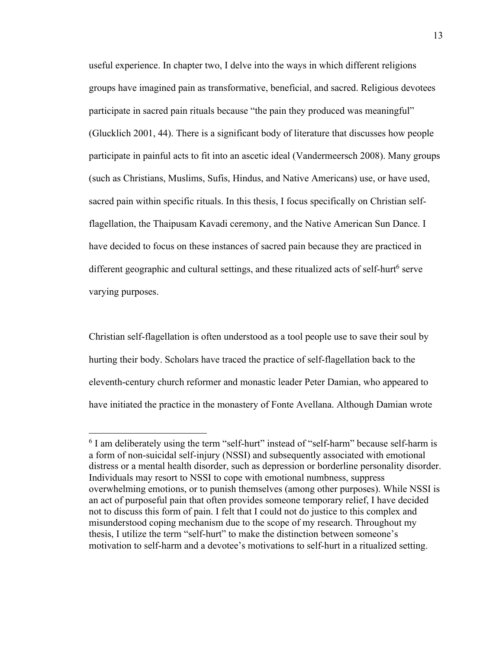useful experience. In chapter two, I delve into the ways in which different religions groups have imagined pain as transformative, beneficial, and sacred. Religious devotees participate in sacred pain rituals because "the pain they produced was meaningful" (Glucklich 2001, 44). There is a significant body of literature that discusses how people participate in painful acts to fit into an ascetic ideal (Vandermeersch 2008). Many groups (such as Christians, Muslims, Sufis, Hindus, and Native Americans) use, or have used, sacred pain within specific rituals. In this thesis, I focus specifically on Christian selfflagellation, the Thaipusam Kavadi ceremony, and the Native American Sun Dance. I have decided to focus on these instances of sacred pain because they are practiced in different geographic and cultural settings, and these ritualized acts of self-hurt<sup>6</sup> serve varying purposes.

Christian self-flagellation is often understood as a tool people use to save their soul by hurting their body. Scholars have traced the practice of self-flagellation back to the eleventh-century church reformer and monastic leader Peter Damian, who appeared to have initiated the practice in the monastery of Fonte Avellana. Although Damian wrote

<sup>&</sup>lt;sup>6</sup> I am deliberately using the term "self-hurt" instead of "self-harm" because self-harm is a form of non-suicidal self-injury (NSSI) and subsequently associated with emotional distress or a mental health disorder, such as depression or borderline personality disorder. Individuals may resort to NSSI to cope with emotional numbness, suppress overwhelming emotions, or to punish themselves (among other purposes). While NSSI is an act of purposeful pain that often provides someone temporary relief, I have decided not to discuss this form of pain. I felt that I could not do justice to this complex and misunderstood coping mechanism due to the scope of my research. Throughout my thesis, I utilize the term "self-hurt" to make the distinction between someone's motivation to self-harm and a devotee's motivations to self-hurt in a ritualized setting.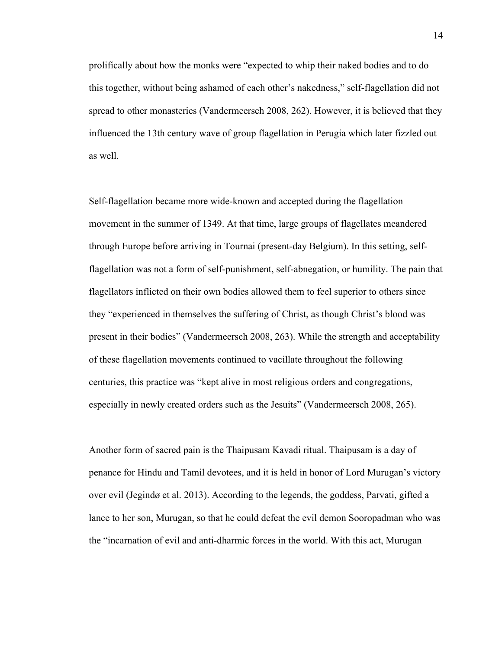prolifically about how the monks were "expected to whip their naked bodies and to do this together, without being ashamed of each other's nakedness," self-flagellation did not spread to other monasteries (Vandermeersch 2008, 262). However, it is believed that they influenced the 13th century wave of group flagellation in Perugia which later fizzled out as well.

Self-flagellation became more wide-known and accepted during the flagellation movement in the summer of 1349. At that time, large groups of flagellates meandered through Europe before arriving in Tournai (present-day Belgium). In this setting, selfflagellation was not a form of self-punishment, self-abnegation, or humility. The pain that flagellators inflicted on their own bodies allowed them to feel superior to others since they "experienced in themselves the suffering of Christ, as though Christ's blood was present in their bodies" (Vandermeersch 2008, 263). While the strength and acceptability of these flagellation movements continued to vacillate throughout the following centuries, this practice was "kept alive in most religious orders and congregations, especially in newly created orders such as the Jesuits" (Vandermeersch 2008, 265).

Another form of sacred pain is the Thaipusam Kavadi ritual. Thaipusam is a day of penance for Hindu and Tamil devotees, and it is held in honor of Lord Murugan's victory over evil (Jegindø et al. 2013). According to the legends, the goddess, Parvati, gifted a lance to her son, Murugan, so that he could defeat the evil demon Sooropadman who was the "incarnation of evil and anti-dharmic forces in the world. With this act, Murugan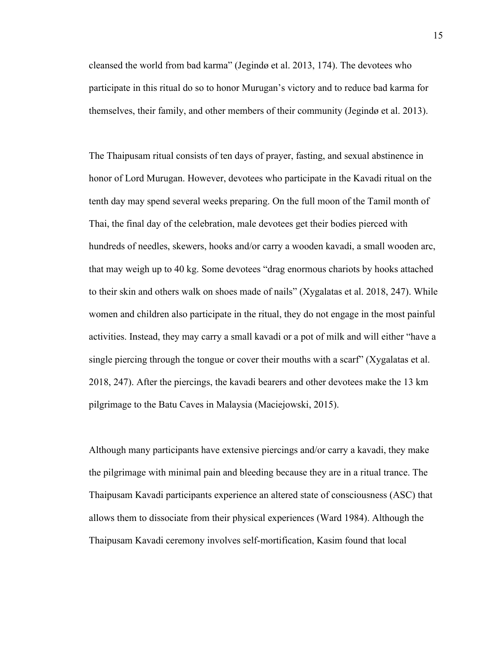cleansed the world from bad karma" (Jegindø et al. 2013, 174). The devotees who participate in this ritual do so to honor Murugan's victory and to reduce bad karma for themselves, their family, and other members of their community (Jegindø et al. 2013).

The Thaipusam ritual consists of ten days of prayer, fasting, and sexual abstinence in honor of Lord Murugan. However, devotees who participate in the Kavadi ritual on the tenth day may spend several weeks preparing. On the full moon of the Tamil month of Thai, the final day of the celebration, male devotees get their bodies pierced with hundreds of needles, skewers, hooks and/or carry a wooden kavadi, a small wooden arc, that may weigh up to 40 kg. Some devotees "drag enormous chariots by hooks attached to their skin and others walk on shoes made of nails" (Xygalatas et al. 2018, 247). While women and children also participate in the ritual, they do not engage in the most painful activities. Instead, they may carry a small kavadi or a pot of milk and will either "have a single piercing through the tongue or cover their mouths with a scarf" (Xygalatas et al. 2018, 247). After the piercings, the kavadi bearers and other devotees make the 13 km pilgrimage to the Batu Caves in Malaysia (Maciejowski, 2015).

Although many participants have extensive piercings and/or carry a kavadi, they make the pilgrimage with minimal pain and bleeding because they are in a ritual trance. The Thaipusam Kavadi participants experience an altered state of consciousness (ASC) that allows them to dissociate from their physical experiences (Ward 1984). Although the Thaipusam Kavadi ceremony involves self-mortification, Kasim found that local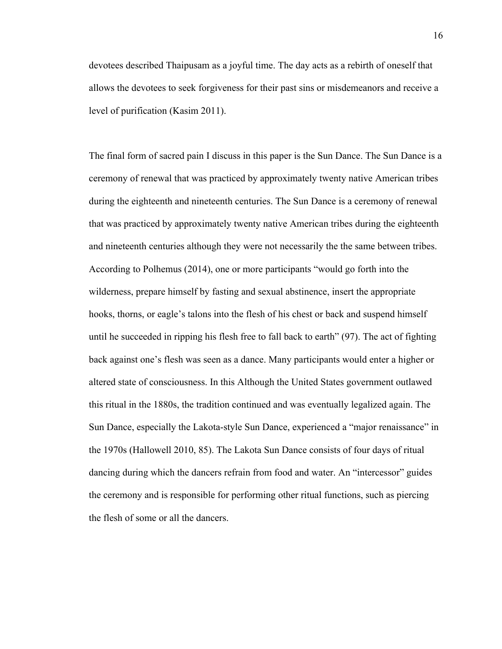devotees described Thaipusam as a joyful time. The day acts as a rebirth of oneself that allows the devotees to seek forgiveness for their past sins or misdemeanors and receive a level of purification (Kasim 2011).

The final form of sacred pain I discuss in this paper is the Sun Dance. The Sun Dance is a ceremony of renewal that was practiced by approximately twenty native American tribes during the eighteenth and nineteenth centuries. The Sun Dance is a ceremony of renewal that was practiced by approximately twenty native American tribes during the eighteenth and nineteenth centuries although they were not necessarily the the same between tribes. According to Polhemus (2014), one or more participants "would go forth into the wilderness, prepare himself by fasting and sexual abstinence, insert the appropriate hooks, thorns, or eagle's talons into the flesh of his chest or back and suspend himself until he succeeded in ripping his flesh free to fall back to earth" (97). The act of fighting back against one's flesh was seen as a dance. Many participants would enter a higher or altered state of consciousness. In this Although the United States government outlawed this ritual in the 1880s, the tradition continued and was eventually legalized again. The Sun Dance, especially the Lakota-style Sun Dance, experienced a "major renaissance" in the 1970s (Hallowell 2010, 85). The Lakota Sun Dance consists of four days of ritual dancing during which the dancers refrain from food and water. An "intercessor" guides the ceremony and is responsible for performing other ritual functions, such as piercing the flesh of some or all the dancers.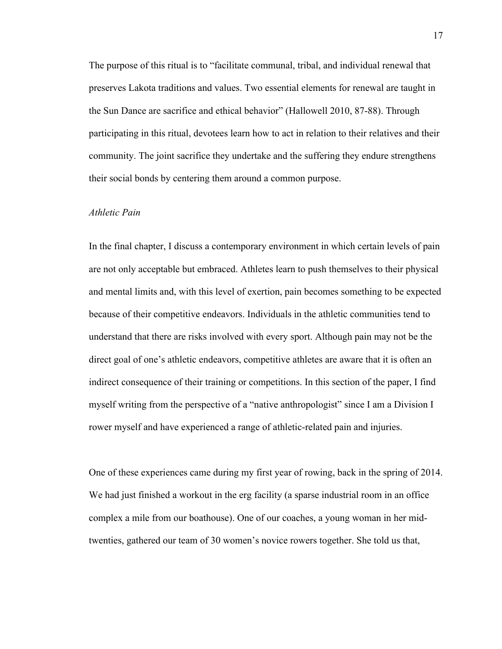The purpose of this ritual is to "facilitate communal, tribal, and individual renewal that preserves Lakota traditions and values. Two essential elements for renewal are taught in the Sun Dance are sacrifice and ethical behavior" (Hallowell 2010, 87-88). Through participating in this ritual, devotees learn how to act in relation to their relatives and their community. The joint sacrifice they undertake and the suffering they endure strengthens their social bonds by centering them around a common purpose.

#### *Athletic Pain*

In the final chapter, I discuss a contemporary environment in which certain levels of pain are not only acceptable but embraced. Athletes learn to push themselves to their physical and mental limits and, with this level of exertion, pain becomes something to be expected because of their competitive endeavors. Individuals in the athletic communities tend to understand that there are risks involved with every sport. Although pain may not be the direct goal of one's athletic endeavors, competitive athletes are aware that it is often an indirect consequence of their training or competitions. In this section of the paper, I find myself writing from the perspective of a "native anthropologist" since I am a Division I rower myself and have experienced a range of athletic-related pain and injuries.

One of these experiences came during my first year of rowing, back in the spring of 2014. We had just finished a workout in the erg facility (a sparse industrial room in an office complex a mile from our boathouse). One of our coaches, a young woman in her midtwenties, gathered our team of 30 women's novice rowers together. She told us that,

17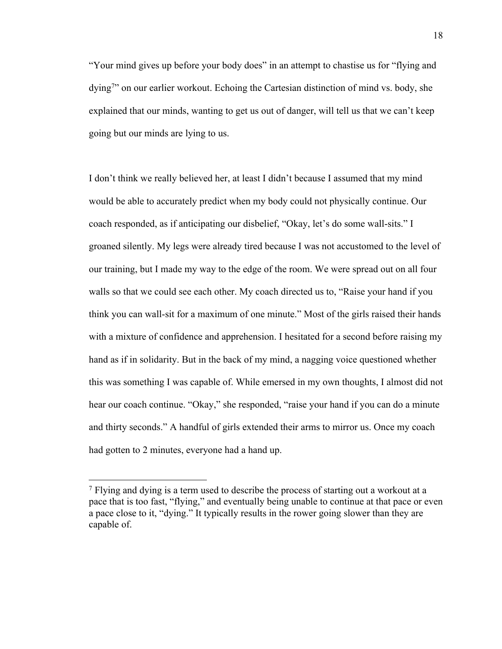"Your mind gives up before your body does" in an attempt to chastise us for "flying and dying<sup>7</sup>" on our earlier workout. Echoing the Cartesian distinction of mind vs. body, she explained that our minds, wanting to get us out of danger, will tell us that we can't keep going but our minds are lying to us.

I don't think we really believed her, at least I didn't because I assumed that my mind would be able to accurately predict when my body could not physically continue. Our coach responded, as if anticipating our disbelief, "Okay, let's do some wall-sits." I groaned silently. My legs were already tired because I was not accustomed to the level of our training, but I made my way to the edge of the room. We were spread out on all four walls so that we could see each other. My coach directed us to, "Raise your hand if you think you can wall-sit for a maximum of one minute." Most of the girls raised their hands with a mixture of confidence and apprehension. I hesitated for a second before raising my hand as if in solidarity. But in the back of my mind, a nagging voice questioned whether this was something I was capable of. While emersed in my own thoughts, I almost did not hear our coach continue. "Okay," she responded, "raise your hand if you can do a minute and thirty seconds." A handful of girls extended their arms to mirror us. Once my coach had gotten to 2 minutes, everyone had a hand up.

<sup>&</sup>lt;sup>7</sup> Flying and dying is a term used to describe the process of starting out a workout at a pace that is too fast, "flying," and eventually being unable to continue at that pace or even a pace close to it, "dying." It typically results in the rower going slower than they are capable of.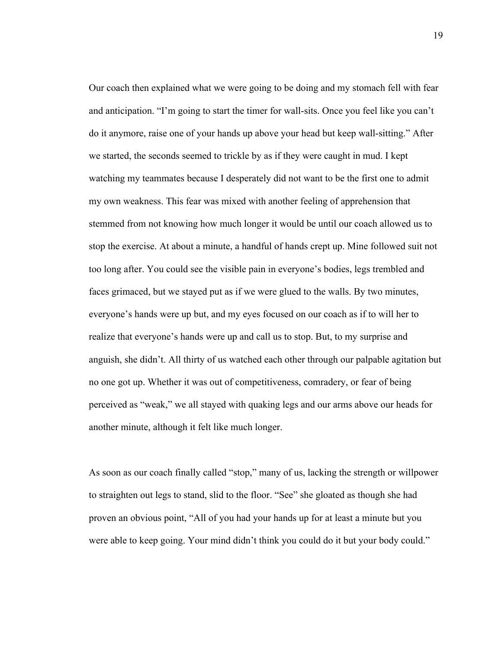Our coach then explained what we were going to be doing and my stomach fell with fear and anticipation. "I'm going to start the timer for wall-sits. Once you feel like you can't do it anymore, raise one of your hands up above your head but keep wall-sitting." After we started, the seconds seemed to trickle by as if they were caught in mud. I kept watching my teammates because I desperately did not want to be the first one to admit my own weakness. This fear was mixed with another feeling of apprehension that stemmed from not knowing how much longer it would be until our coach allowed us to stop the exercise. At about a minute, a handful of hands crept up. Mine followed suit not too long after. You could see the visible pain in everyone's bodies, legs trembled and faces grimaced, but we stayed put as if we were glued to the walls. By two minutes, everyone's hands were up but, and my eyes focused on our coach as if to will her to realize that everyone's hands were up and call us to stop. But, to my surprise and anguish, she didn't. All thirty of us watched each other through our palpable agitation but no one got up. Whether it was out of competitiveness, comradery, or fear of being perceived as "weak," we all stayed with quaking legs and our arms above our heads for another minute, although it felt like much longer.

As soon as our coach finally called "stop," many of us, lacking the strength or willpower to straighten out legs to stand, slid to the floor. "See" she gloated as though she had proven an obvious point, "All of you had your hands up for at least a minute but you were able to keep going. Your mind didn't think you could do it but your body could."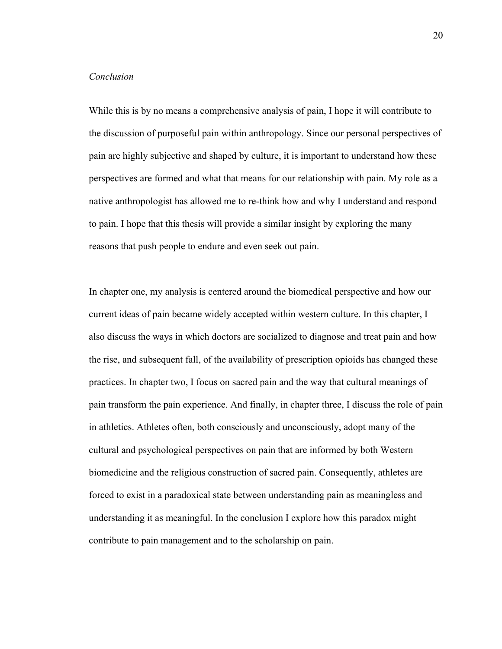## *Conclusion*

While this is by no means a comprehensive analysis of pain, I hope it will contribute to the discussion of purposeful pain within anthropology. Since our personal perspectives of pain are highly subjective and shaped by culture, it is important to understand how these perspectives are formed and what that means for our relationship with pain. My role as a native anthropologist has allowed me to re-think how and why I understand and respond to pain. I hope that this thesis will provide a similar insight by exploring the many reasons that push people to endure and even seek out pain.

In chapter one, my analysis is centered around the biomedical perspective and how our current ideas of pain became widely accepted within western culture. In this chapter, I also discuss the ways in which doctors are socialized to diagnose and treat pain and how the rise, and subsequent fall, of the availability of prescription opioids has changed these practices. In chapter two, I focus on sacred pain and the way that cultural meanings of pain transform the pain experience. And finally, in chapter three, I discuss the role of pain in athletics. Athletes often, both consciously and unconsciously, adopt many of the cultural and psychological perspectives on pain that are informed by both Western biomedicine and the religious construction of sacred pain. Consequently, athletes are forced to exist in a paradoxical state between understanding pain as meaningless and understanding it as meaningful. In the conclusion I explore how this paradox might contribute to pain management and to the scholarship on pain.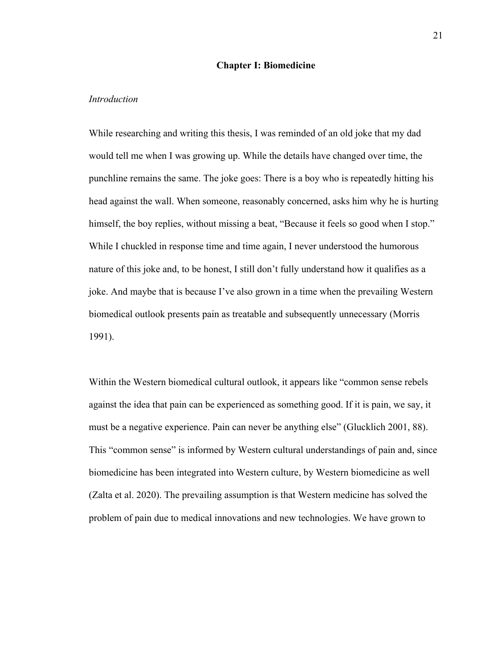#### **Chapter I: Biomedicine**

#### *Introduction*

While researching and writing this thesis, I was reminded of an old joke that my dad would tell me when I was growing up. While the details have changed over time, the punchline remains the same. The joke goes: There is a boy who is repeatedly hitting his head against the wall. When someone, reasonably concerned, asks him why he is hurting himself, the boy replies, without missing a beat, "Because it feels so good when I stop." While I chuckled in response time and time again, I never understood the humorous nature of this joke and, to be honest, I still don't fully understand how it qualifies as a joke. And maybe that is because I've also grown in a time when the prevailing Western biomedical outlook presents pain as treatable and subsequently unnecessary (Morris 1991).

Within the Western biomedical cultural outlook, it appears like "common sense rebels against the idea that pain can be experienced as something good. If it is pain, we say, it must be a negative experience. Pain can never be anything else" (Glucklich 2001, 88). This "common sense" is informed by Western cultural understandings of pain and, since biomedicine has been integrated into Western culture, by Western biomedicine as well (Zalta et al. 2020). The prevailing assumption is that Western medicine has solved the problem of pain due to medical innovations and new technologies. We have grown to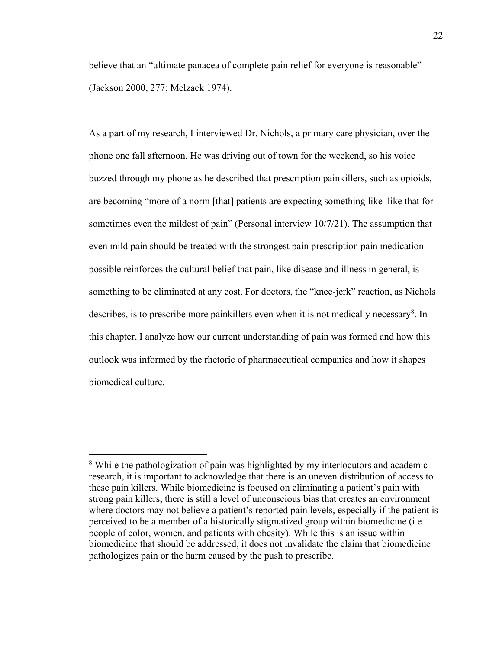believe that an "ultimate panacea of complete pain relief for everyone is reasonable" (Jackson 2000, 277; Melzack 1974).

As a part of my research, I interviewed Dr. Nichols, a primary care physician, over the phone one fall afternoon. He was driving out of town for the weekend, so his voice buzzed through my phone as he described that prescription painkillers, such as opioids, are becoming "more of a norm [that] patients are expecting something like–like that for sometimes even the mildest of pain" (Personal interview 10/7/21). The assumption that even mild pain should be treated with the strongest pain prescription pain medication possible reinforces the cultural belief that pain, like disease and illness in general, is something to be eliminated at any cost. For doctors, the "knee-jerk" reaction, as Nichols describes, is to prescribe more painkillers even when it is not medically necessary<sup>8</sup>. In this chapter, I analyze how our current understanding of pain was formed and how this outlook was informed by the rhetoric of pharmaceutical companies and how it shapes biomedical culture.

<sup>8</sup> While the pathologization of pain was highlighted by my interlocutors and academic research, it is important to acknowledge that there is an uneven distribution of access to these pain killers. While biomedicine is focused on eliminating a patient's pain with strong pain killers, there is still a level of unconscious bias that creates an environment where doctors may not believe a patient's reported pain levels, especially if the patient is perceived to be a member of a historically stigmatized group within biomedicine (i.e. people of color, women, and patients with obesity). While this is an issue within biomedicine that should be addressed, it does not invalidate the claim that biomedicine pathologizes pain or the harm caused by the push to prescribe.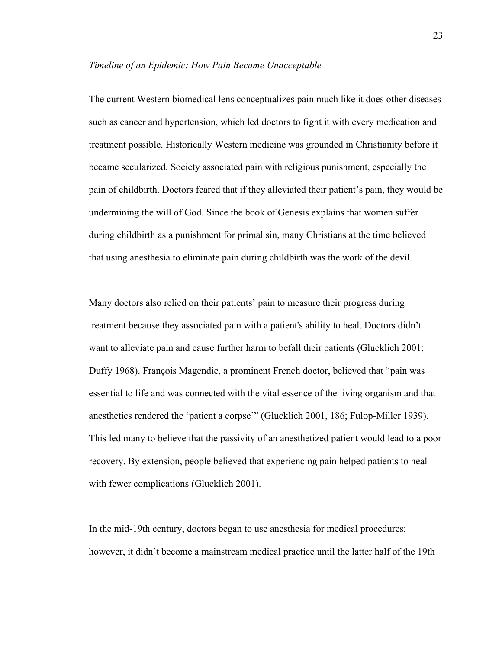#### *Timeline of an Epidemic: How Pain Became Unacceptable*

The current Western biomedical lens conceptualizes pain much like it does other diseases such as cancer and hypertension, which led doctors to fight it with every medication and treatment possible. Historically Western medicine was grounded in Christianity before it became secularized. Society associated pain with religious punishment, especially the pain of childbirth. Doctors feared that if they alleviated their patient's pain, they would be undermining the will of God. Since the book of Genesis explains that women suffer during childbirth as a punishment for primal sin, many Christians at the time believed that using anesthesia to eliminate pain during childbirth was the work of the devil.

Many doctors also relied on their patients' pain to measure their progress during treatment because they associated pain with a patient's ability to heal. Doctors didn't want to alleviate pain and cause further harm to befall their patients (Glucklich 2001; Duffy 1968). François Magendie, a prominent French doctor, believed that "pain was essential to life and was connected with the vital essence of the living organism and that anesthetics rendered the 'patient a corpse'" (Glucklich 2001, 186; Fulop-Miller 1939). This led many to believe that the passivity of an anesthetized patient would lead to a poor recovery. By extension, people believed that experiencing pain helped patients to heal with fewer complications (Glucklich 2001).

In the mid-19th century, doctors began to use anesthesia for medical procedures; however, it didn't become a mainstream medical practice until the latter half of the 19th

23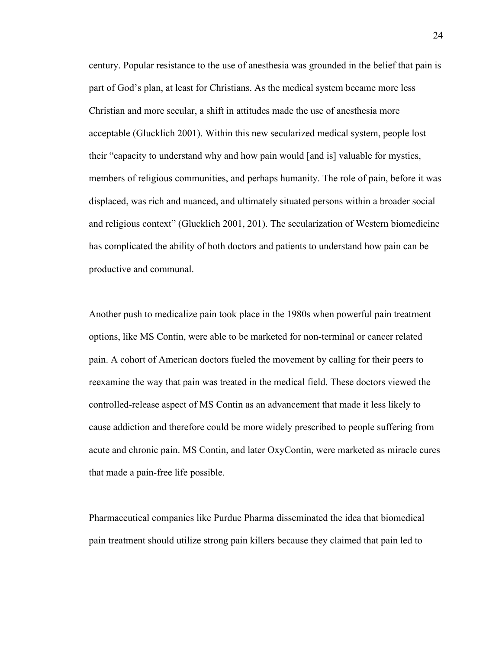century. Popular resistance to the use of anesthesia was grounded in the belief that pain is part of God's plan, at least for Christians. As the medical system became more less Christian and more secular, a shift in attitudes made the use of anesthesia more acceptable (Glucklich 2001). Within this new secularized medical system, people lost their "capacity to understand why and how pain would [and is] valuable for mystics, members of religious communities, and perhaps humanity. The role of pain, before it was displaced, was rich and nuanced, and ultimately situated persons within a broader social and religious context" (Glucklich 2001, 201). The secularization of Western biomedicine has complicated the ability of both doctors and patients to understand how pain can be productive and communal.

Another push to medicalize pain took place in the 1980s when powerful pain treatment options, like MS Contin, were able to be marketed for non-terminal or cancer related pain. A cohort of American doctors fueled the movement by calling for their peers to reexamine the way that pain was treated in the medical field. These doctors viewed the controlled-release aspect of MS Contin as an advancement that made it less likely to cause addiction and therefore could be more widely prescribed to people suffering from acute and chronic pain. MS Contin, and later OxyContin, were marketed as miracle cures that made a pain-free life possible.

Pharmaceutical companies like Purdue Pharma disseminated the idea that biomedical pain treatment should utilize strong pain killers because they claimed that pain led to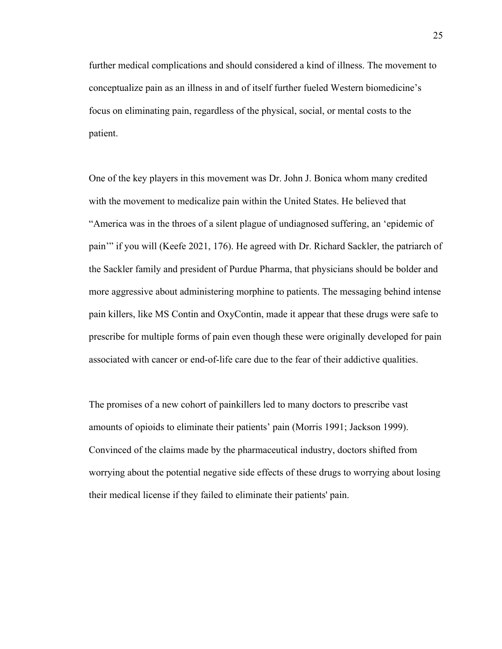further medical complications and should considered a kind of illness. The movement to conceptualize pain as an illness in and of itself further fueled Western biomedicine's focus on eliminating pain, regardless of the physical, social, or mental costs to the patient.

One of the key players in this movement was Dr. John J. Bonica whom many credited with the movement to medicalize pain within the United States. He believed that "America was in the throes of a silent plague of undiagnosed suffering, an 'epidemic of pain'" if you will (Keefe 2021, 176). He agreed with Dr. Richard Sackler, the patriarch of the Sackler family and president of Purdue Pharma, that physicians should be bolder and more aggressive about administering morphine to patients. The messaging behind intense pain killers, like MS Contin and OxyContin, made it appear that these drugs were safe to prescribe for multiple forms of pain even though these were originally developed for pain associated with cancer or end-of-life care due to the fear of their addictive qualities.

The promises of a new cohort of painkillers led to many doctors to prescribe vast amounts of opioids to eliminate their patients' pain (Morris 1991; Jackson 1999). Convinced of the claims made by the pharmaceutical industry, doctors shifted from worrying about the potential negative side effects of these drugs to worrying about losing their medical license if they failed to eliminate their patients' pain.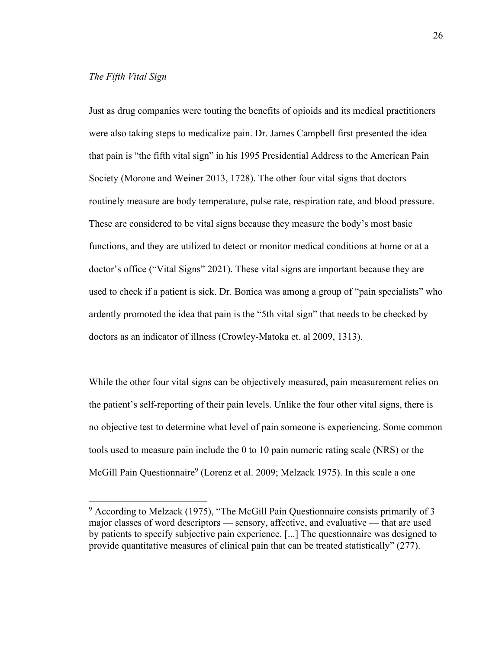#### *The Fifth Vital Sign*

Just as drug companies were touting the benefits of opioids and its medical practitioners were also taking steps to medicalize pain. Dr. James Campbell first presented the idea that pain is "the fifth vital sign" in his 1995 Presidential Address to the American Pain Society (Morone and Weiner 2013, 1728). The other four vital signs that doctors routinely measure are body temperature, pulse rate, respiration rate, and blood pressure. These are considered to be vital signs because they measure the body's most basic functions, and they are utilized to detect or monitor medical conditions at home or at a doctor's office ("Vital Signs" 2021). These vital signs are important because they are used to check if a patient is sick. Dr. Bonica was among a group of "pain specialists" who ardently promoted the idea that pain is the "5th vital sign" that needs to be checked by doctors as an indicator of illness (Crowley-Matoka et. al 2009, 1313).

While the other four vital signs can be objectively measured, pain measurement relies on the patient's self-reporting of their pain levels. Unlike the four other vital signs, there is no objective test to determine what level of pain someone is experiencing. Some common tools used to measure pain include the 0 to 10 pain numeric rating scale (NRS) or the McGill Pain Questionnaire<sup>9</sup> (Lorenz et al. 2009; Melzack 1975). In this scale a one

 $9$  According to Melzack (1975), "The McGill Pain Questionnaire consists primarily of 3 major classes of word descriptors — sensory, affective, and evaluative — that are used by patients to specify subjective pain experience. [...] The questionnaire was designed to provide quantitative measures of clinical pain that can be treated statistically" (277).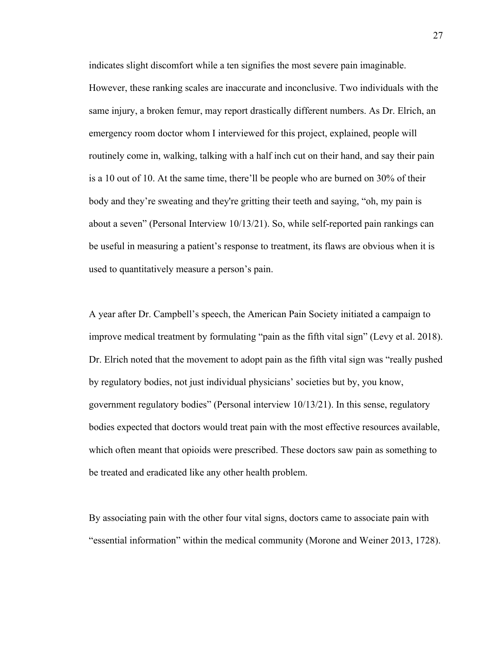indicates slight discomfort while a ten signifies the most severe pain imaginable. However, these ranking scales are inaccurate and inconclusive. Two individuals with the same injury, a broken femur, may report drastically different numbers. As Dr. Elrich, an emergency room doctor whom I interviewed for this project, explained, people will routinely come in, walking, talking with a half inch cut on their hand, and say their pain is a 10 out of 10. At the same time, there'll be people who are burned on 30% of their body and they're sweating and they're gritting their teeth and saying, "oh, my pain is about a seven" (Personal Interview 10/13/21). So, while self-reported pain rankings can be useful in measuring a patient's response to treatment, its flaws are obvious when it is used to quantitatively measure a person's pain.

A year after Dr. Campbell's speech, the American Pain Society initiated a campaign to improve medical treatment by formulating "pain as the fifth vital sign" (Levy et al. 2018). Dr. Elrich noted that the movement to adopt pain as the fifth vital sign was "really pushed by regulatory bodies, not just individual physicians' societies but by, you know, government regulatory bodies" (Personal interview 10/13/21). In this sense, regulatory bodies expected that doctors would treat pain with the most effective resources available, which often meant that opioids were prescribed. These doctors saw pain as something to be treated and eradicated like any other health problem.

By associating pain with the other four vital signs, doctors came to associate pain with "essential information" within the medical community (Morone and Weiner 2013, 1728).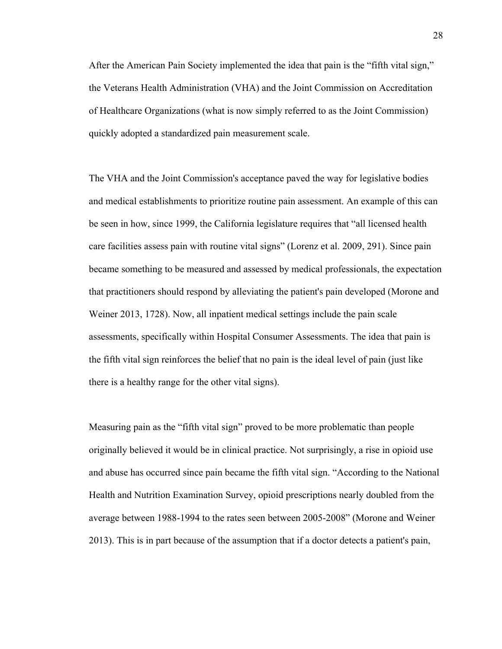After the American Pain Society implemented the idea that pain is the "fifth vital sign," the Veterans Health Administration (VHA) and the Joint Commission on Accreditation of Healthcare Organizations (what is now simply referred to as the Joint Commission) quickly adopted a standardized pain measurement scale.

The VHA and the Joint Commission's acceptance paved the way for legislative bodies and medical establishments to prioritize routine pain assessment. An example of this can be seen in how, since 1999, the California legislature requires that "all licensed health care facilities assess pain with routine vital signs" (Lorenz et al. 2009, 291). Since pain became something to be measured and assessed by medical professionals, the expectation that practitioners should respond by alleviating the patient's pain developed (Morone and Weiner 2013, 1728). Now, all inpatient medical settings include the pain scale assessments, specifically within Hospital Consumer Assessments. The idea that pain is the fifth vital sign reinforces the belief that no pain is the ideal level of pain (just like there is a healthy range for the other vital signs).

Measuring pain as the "fifth vital sign" proved to be more problematic than people originally believed it would be in clinical practice. Not surprisingly, a rise in opioid use and abuse has occurred since pain became the fifth vital sign. "According to the National Health and Nutrition Examination Survey, opioid prescriptions nearly doubled from the average between 1988-1994 to the rates seen between 2005-2008" (Morone and Weiner 2013). This is in part because of the assumption that if a doctor detects a patient's pain,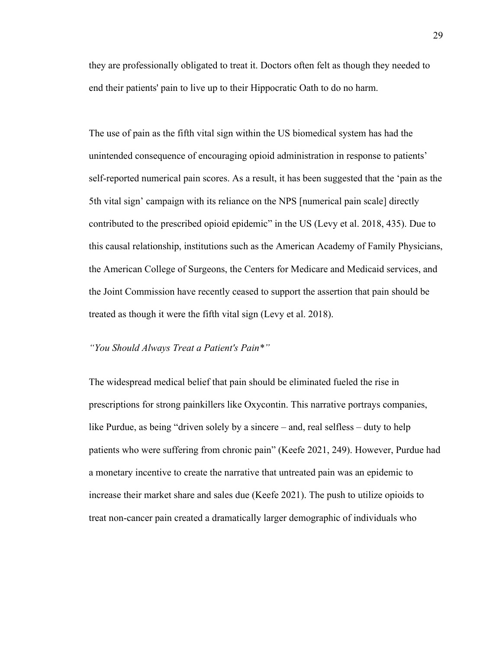they are professionally obligated to treat it. Doctors often felt as though they needed to end their patients' pain to live up to their Hippocratic Oath to do no harm.

The use of pain as the fifth vital sign within the US biomedical system has had the unintended consequence of encouraging opioid administration in response to patients' self-reported numerical pain scores. As a result, it has been suggested that the 'pain as the 5th vital sign' campaign with its reliance on the NPS [numerical pain scale] directly contributed to the prescribed opioid epidemic" in the US (Levy et al. 2018, 435). Due to this causal relationship, institutions such as the American Academy of Family Physicians, the American College of Surgeons, the Centers for Medicare and Medicaid services, and the Joint Commission have recently ceased to support the assertion that pain should be treated as though it were the fifth vital sign (Levy et al. 2018).

# *"You Should Always Treat a Patient's Pain\*"*

The widespread medical belief that pain should be eliminated fueled the rise in prescriptions for strong painkillers like Oxycontin. This narrative portrays companies, like Purdue, as being "driven solely by a sincere – and, real selfless – duty to help patients who were suffering from chronic pain" (Keefe 2021, 249). However, Purdue had a monetary incentive to create the narrative that untreated pain was an epidemic to increase their market share and sales due (Keefe 2021). The push to utilize opioids to treat non-cancer pain created a dramatically larger demographic of individuals who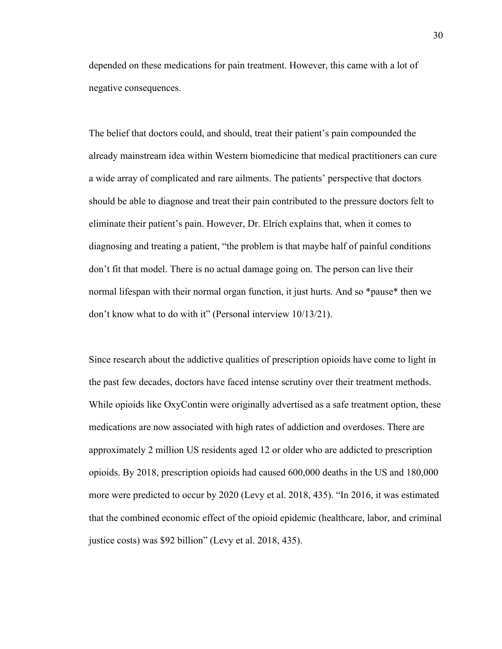depended on these medications for pain treatment. However, this came with a lot of negative consequences.

The belief that doctors could, and should, treat their patient's pain compounded the already mainstream idea within Western biomedicine that medical practitioners can cure a wide array of complicated and rare ailments. The patients' perspective that doctors should be able to diagnose and treat their pain contributed to the pressure doctors felt to eliminate their patient's pain. However, Dr. Elrich explains that, when it comes to diagnosing and treating a patient, "the problem is that maybe half of painful conditions don't fit that model. There is no actual damage going on. The person can live their normal lifespan with their normal organ function, it just hurts. And so \*pause\* then we don't know what to do with it" (Personal interview 10/13/21).

Since research about the addictive qualities of prescription opioids have come to light in the past few decades, doctors have faced intense scrutiny over their treatment methods. While opioids like OxyContin were originally advertised as a safe treatment option, these medications are now associated with high rates of addiction and overdoses. There are approximately 2 million US residents aged 12 or older who are addicted to prescription opioids. By 2018, prescription opioids had caused 600,000 deaths in the US and 180,000 more were predicted to occur by 2020 (Levy et al. 2018, 435). "In 2016, it was estimated that the combined economic effect of the opioid epidemic (healthcare, labor, and criminal justice costs) was \$92 billion" (Levy et al. 2018, 435).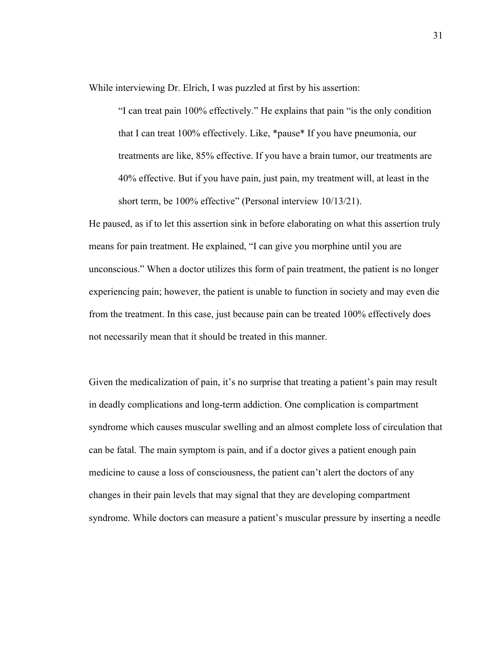While interviewing Dr. Elrich, I was puzzled at first by his assertion:

"I can treat pain 100% effectively." He explains that pain "is the only condition that I can treat 100% effectively. Like, \*pause\* If you have pneumonia, our treatments are like, 85% effective. If you have a brain tumor, our treatments are 40% effective. But if you have pain, just pain, my treatment will, at least in the short term, be 100% effective" (Personal interview 10/13/21).

He paused, as if to let this assertion sink in before elaborating on what this assertion truly means for pain treatment. He explained, "I can give you morphine until you are unconscious." When a doctor utilizes this form of pain treatment, the patient is no longer experiencing pain; however, the patient is unable to function in society and may even die from the treatment. In this case, just because pain can be treated 100% effectively does not necessarily mean that it should be treated in this manner.

Given the medicalization of pain, it's no surprise that treating a patient's pain may result in deadly complications and long-term addiction. One complication is compartment syndrome which causes muscular swelling and an almost complete loss of circulation that can be fatal. The main symptom is pain, and if a doctor gives a patient enough pain medicine to cause a loss of consciousness, the patient can't alert the doctors of any changes in their pain levels that may signal that they are developing compartment syndrome. While doctors can measure a patient's muscular pressure by inserting a needle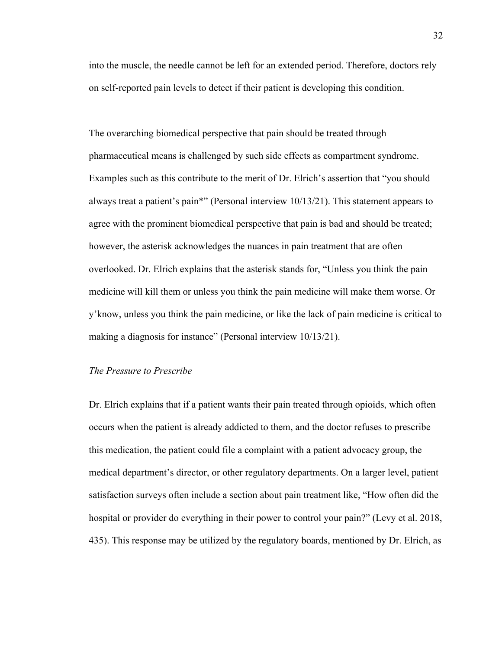into the muscle, the needle cannot be left for an extended period. Therefore, doctors rely on self-reported pain levels to detect if their patient is developing this condition.

The overarching biomedical perspective that pain should be treated through pharmaceutical means is challenged by such side effects as compartment syndrome. Examples such as this contribute to the merit of Dr. Elrich's assertion that "you should always treat a patient's pain\*" (Personal interview 10/13/21). This statement appears to agree with the prominent biomedical perspective that pain is bad and should be treated; however, the asterisk acknowledges the nuances in pain treatment that are often overlooked. Dr. Elrich explains that the asterisk stands for, "Unless you think the pain medicine will kill them or unless you think the pain medicine will make them worse. Or y'know, unless you think the pain medicine, or like the lack of pain medicine is critical to making a diagnosis for instance" (Personal interview 10/13/21).

#### *The Pressure to Prescribe*

Dr. Elrich explains that if a patient wants their pain treated through opioids, which often occurs when the patient is already addicted to them, and the doctor refuses to prescribe this medication, the patient could file a complaint with a patient advocacy group, the medical department's director, or other regulatory departments. On a larger level, patient satisfaction surveys often include a section about pain treatment like, "How often did the hospital or provider do everything in their power to control your pain?" (Levy et al. 2018, 435). This response may be utilized by the regulatory boards, mentioned by Dr. Elrich, as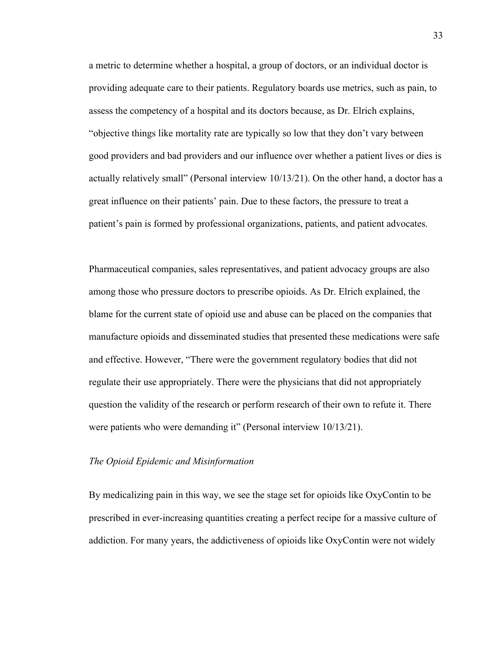a metric to determine whether a hospital, a group of doctors, or an individual doctor is providing adequate care to their patients. Regulatory boards use metrics, such as pain, to assess the competency of a hospital and its doctors because, as Dr. Elrich explains, "objective things like mortality rate are typically so low that they don't vary between good providers and bad providers and our influence over whether a patient lives or dies is actually relatively small" (Personal interview 10/13/21). On the other hand, a doctor has a great influence on their patients' pain. Due to these factors, the pressure to treat a patient's pain is formed by professional organizations, patients, and patient advocates.

Pharmaceutical companies, sales representatives, and patient advocacy groups are also among those who pressure doctors to prescribe opioids. As Dr. Elrich explained, the blame for the current state of opioid use and abuse can be placed on the companies that manufacture opioids and disseminated studies that presented these medications were safe and effective. However, "There were the government regulatory bodies that did not regulate their use appropriately. There were the physicians that did not appropriately question the validity of the research or perform research of their own to refute it. There were patients who were demanding it" (Personal interview 10/13/21).

#### *The Opioid Epidemic and Misinformation*

By medicalizing pain in this way, we see the stage set for opioids like OxyContin to be prescribed in ever-increasing quantities creating a perfect recipe for a massive culture of addiction. For many years, the addictiveness of opioids like OxyContin were not widely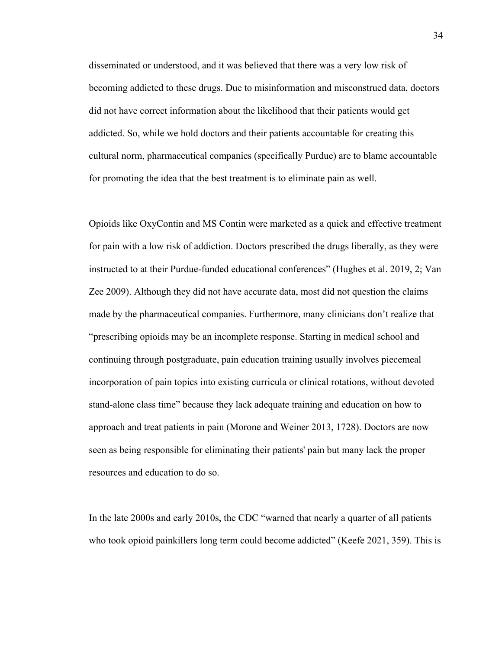disseminated or understood, and it was believed that there was a very low risk of becoming addicted to these drugs. Due to misinformation and misconstrued data, doctors did not have correct information about the likelihood that their patients would get addicted. So, while we hold doctors and their patients accountable for creating this cultural norm, pharmaceutical companies (specifically Purdue) are to blame accountable for promoting the idea that the best treatment is to eliminate pain as well.

Opioids like OxyContin and MS Contin were marketed as a quick and effective treatment for pain with a low risk of addiction. Doctors prescribed the drugs liberally, as they were instructed to at their Purdue-funded educational conferences" (Hughes et al. 2019, 2; Van Zee 2009). Although they did not have accurate data, most did not question the claims made by the pharmaceutical companies. Furthermore, many clinicians don't realize that "prescribing opioids may be an incomplete response. Starting in medical school and continuing through postgraduate, pain education training usually involves piecemeal incorporation of pain topics into existing curricula or clinical rotations, without devoted stand-alone class time" because they lack adequate training and education on how to approach and treat patients in pain (Morone and Weiner 2013, 1728). Doctors are now seen as being responsible for eliminating their patients' pain but many lack the proper resources and education to do so.

In the late 2000s and early 2010s, the CDC "warned that nearly a quarter of all patients who took opioid painkillers long term could become addicted" (Keefe 2021, 359). This is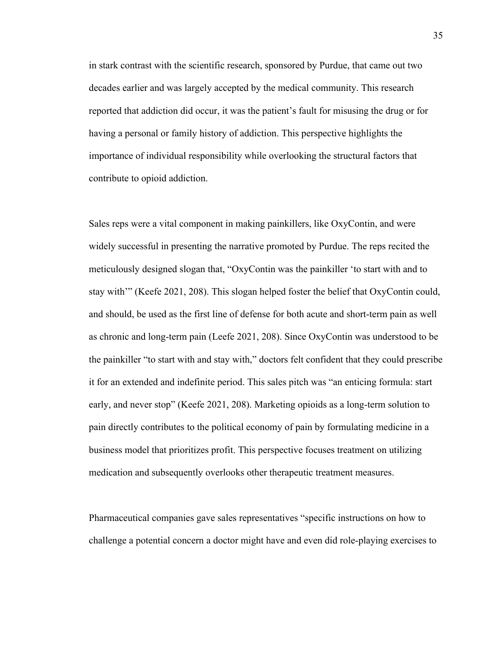in stark contrast with the scientific research, sponsored by Purdue, that came out two decades earlier and was largely accepted by the medical community. This research reported that addiction did occur, it was the patient's fault for misusing the drug or for having a personal or family history of addiction. This perspective highlights the importance of individual responsibility while overlooking the structural factors that contribute to opioid addiction.

Sales reps were a vital component in making painkillers, like OxyContin, and were widely successful in presenting the narrative promoted by Purdue. The reps recited the meticulously designed slogan that, "OxyContin was the painkiller 'to start with and to stay with'" (Keefe 2021, 208). This slogan helped foster the belief that OxyContin could, and should, be used as the first line of defense for both acute and short-term pain as well as chronic and long-term pain (Leefe 2021, 208). Since OxyContin was understood to be the painkiller "to start with and stay with," doctors felt confident that they could prescribe it for an extended and indefinite period. This sales pitch was "an enticing formula: start early, and never stop" (Keefe 2021, 208). Marketing opioids as a long-term solution to pain directly contributes to the political economy of pain by formulating medicine in a business model that prioritizes profit. This perspective focuses treatment on utilizing medication and subsequently overlooks other therapeutic treatment measures.

Pharmaceutical companies gave sales representatives "specific instructions on how to challenge a potential concern a doctor might have and even did role-playing exercises to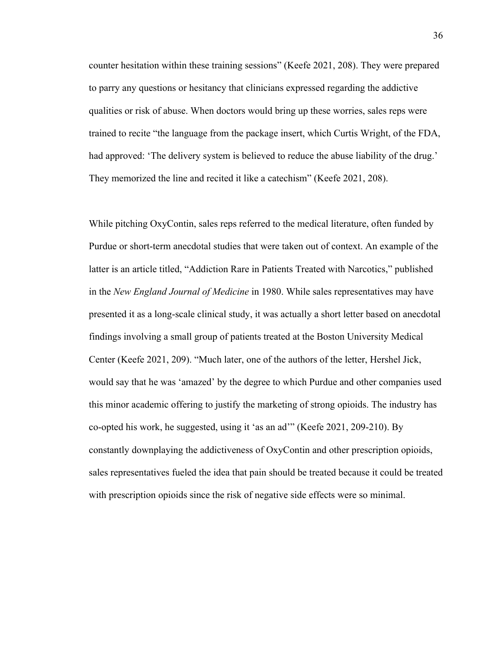counter hesitation within these training sessions" (Keefe 2021, 208). They were prepared to parry any questions or hesitancy that clinicians expressed regarding the addictive qualities or risk of abuse. When doctors would bring up these worries, sales reps were trained to recite "the language from the package insert, which Curtis Wright, of the FDA, had approved: 'The delivery system is believed to reduce the abuse liability of the drug.' They memorized the line and recited it like a catechism" (Keefe 2021, 208).

While pitching OxyContin, sales reps referred to the medical literature, often funded by Purdue or short-term anecdotal studies that were taken out of context. An example of the latter is an article titled, "Addiction Rare in Patients Treated with Narcotics," published in the *New England Journal of Medicine* in 1980. While sales representatives may have presented it as a long-scale clinical study, it was actually a short letter based on anecdotal findings involving a small group of patients treated at the Boston University Medical Center (Keefe 2021, 209). "Much later, one of the authors of the letter, Hershel Jick, would say that he was 'amazed' by the degree to which Purdue and other companies used this minor academic offering to justify the marketing of strong opioids. The industry has co-opted his work, he suggested, using it 'as an ad'" (Keefe 2021, 209-210). By constantly downplaying the addictiveness of OxyContin and other prescription opioids, sales representatives fueled the idea that pain should be treated because it could be treated with prescription opioids since the risk of negative side effects were so minimal.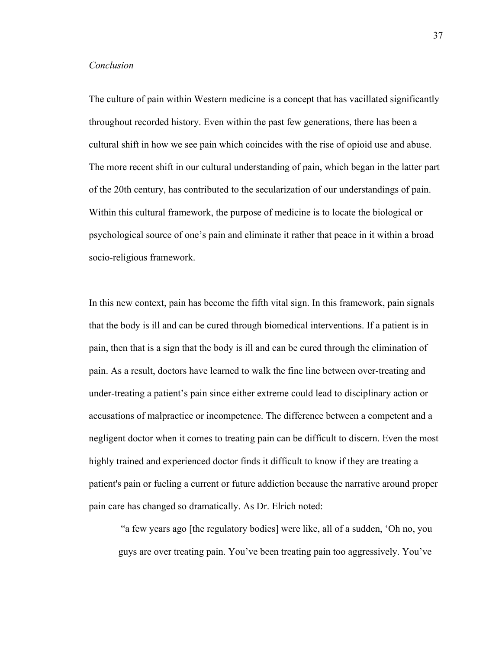## *Conclusion*

The culture of pain within Western medicine is a concept that has vacillated significantly throughout recorded history. Even within the past few generations, there has been a cultural shift in how we see pain which coincides with the rise of opioid use and abuse. The more recent shift in our cultural understanding of pain, which began in the latter part of the 20th century, has contributed to the secularization of our understandings of pain. Within this cultural framework, the purpose of medicine is to locate the biological or psychological source of one's pain and eliminate it rather that peace in it within a broad socio-religious framework.

In this new context, pain has become the fifth vital sign. In this framework, pain signals that the body is ill and can be cured through biomedical interventions. If a patient is in pain, then that is a sign that the body is ill and can be cured through the elimination of pain. As a result, doctors have learned to walk the fine line between over-treating and under-treating a patient's pain since either extreme could lead to disciplinary action or accusations of malpractice or incompetence. The difference between a competent and a negligent doctor when it comes to treating pain can be difficult to discern. Even the most highly trained and experienced doctor finds it difficult to know if they are treating a patient's pain or fueling a current or future addiction because the narrative around proper pain care has changed so dramatically. As Dr. Elrich noted:

"a few years ago [the regulatory bodies] were like, all of a sudden, 'Oh no, you guys are over treating pain. You've been treating pain too aggressively. You've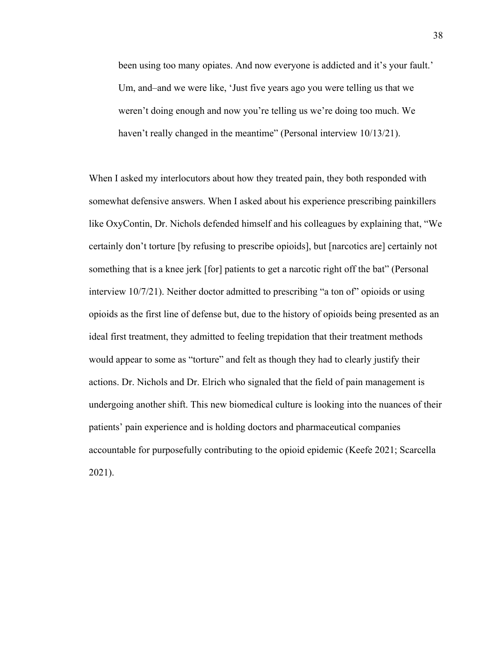been using too many opiates. And now everyone is addicted and it's your fault.' Um, and–and we were like, 'Just five years ago you were telling us that we weren't doing enough and now you're telling us we're doing too much. We haven't really changed in the meantime" (Personal interview 10/13/21).

When I asked my interlocutors about how they treated pain, they both responded with somewhat defensive answers. When I asked about his experience prescribing painkillers like OxyContin, Dr. Nichols defended himself and his colleagues by explaining that, "We certainly don't torture [by refusing to prescribe opioids], but [narcotics are] certainly not something that is a knee jerk [for] patients to get a narcotic right off the bat" (Personal interview 10/7/21). Neither doctor admitted to prescribing "a ton of" opioids or using opioids as the first line of defense but, due to the history of opioids being presented as an ideal first treatment, they admitted to feeling trepidation that their treatment methods would appear to some as "torture" and felt as though they had to clearly justify their actions. Dr. Nichols and Dr. Elrich who signaled that the field of pain management is undergoing another shift. This new biomedical culture is looking into the nuances of their patients' pain experience and is holding doctors and pharmaceutical companies accountable for purposefully contributing to the opioid epidemic (Keefe 2021; Scarcella 2021).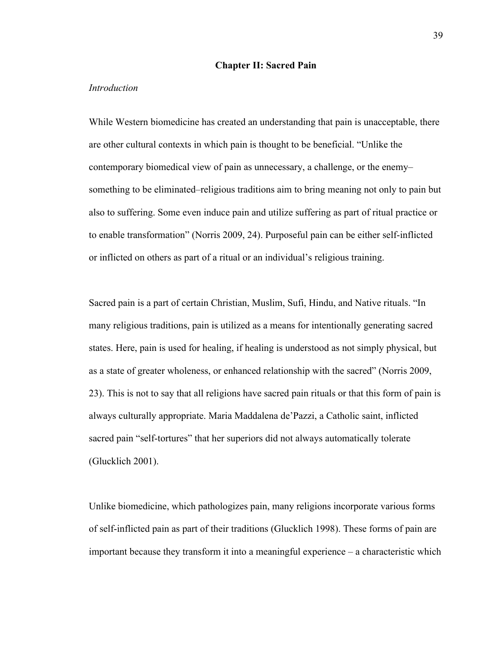# **Chapter II: Sacred Pain**

#### *Introduction*

While Western biomedicine has created an understanding that pain is unacceptable, there are other cultural contexts in which pain is thought to be beneficial. "Unlike the contemporary biomedical view of pain as unnecessary, a challenge, or the enemy– something to be eliminated–religious traditions aim to bring meaning not only to pain but also to suffering. Some even induce pain and utilize suffering as part of ritual practice or to enable transformation" (Norris 2009, 24). Purposeful pain can be either self-inflicted or inflicted on others as part of a ritual or an individual's religious training.

Sacred pain is a part of certain Christian, Muslim, Sufi, Hindu, and Native rituals. "In many religious traditions, pain is utilized as a means for intentionally generating sacred states. Here, pain is used for healing, if healing is understood as not simply physical, but as a state of greater wholeness, or enhanced relationship with the sacred" (Norris 2009, 23). This is not to say that all religions have sacred pain rituals or that this form of pain is always culturally appropriate. Maria Maddalena de'Pazzi, a Catholic saint, inflicted sacred pain "self-tortures" that her superiors did not always automatically tolerate (Glucklich 2001).

Unlike biomedicine, which pathologizes pain, many religions incorporate various forms of self-inflicted pain as part of their traditions (Glucklich 1998). These forms of pain are important because they transform it into a meaningful experience – a characteristic which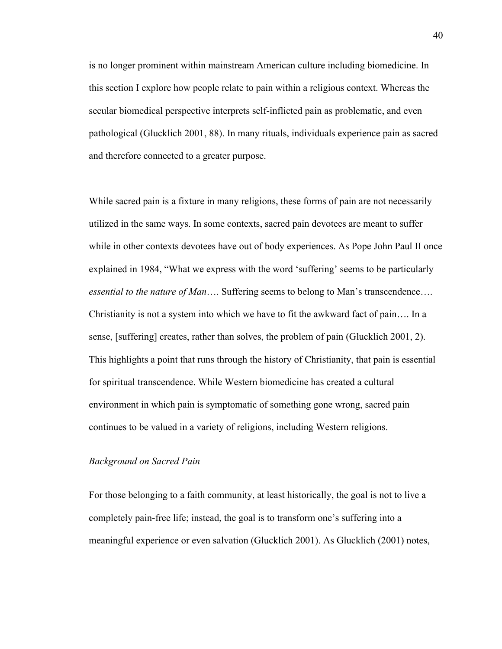is no longer prominent within mainstream American culture including biomedicine. In this section I explore how people relate to pain within a religious context. Whereas the secular biomedical perspective interprets self-inflicted pain as problematic, and even pathological (Glucklich 2001, 88). In many rituals, individuals experience pain as sacred and therefore connected to a greater purpose.

While sacred pain is a fixture in many religions, these forms of pain are not necessarily utilized in the same ways. In some contexts, sacred pain devotees are meant to suffer while in other contexts devotees have out of body experiences. As Pope John Paul II once explained in 1984, "What we express with the word 'suffering' seems to be particularly *essential to the nature of Man*…. Suffering seems to belong to Man's transcendence…. Christianity is not a system into which we have to fit the awkward fact of pain…. In a sense, [suffering] creates, rather than solves, the problem of pain (Glucklich 2001, 2). This highlights a point that runs through the history of Christianity, that pain is essential for spiritual transcendence. While Western biomedicine has created a cultural environment in which pain is symptomatic of something gone wrong, sacred pain continues to be valued in a variety of religions, including Western religions.

## *Background on Sacred Pain*

For those belonging to a faith community, at least historically, the goal is not to live a completely pain-free life; instead, the goal is to transform one's suffering into a meaningful experience or even salvation (Glucklich 2001). As Glucklich (2001) notes,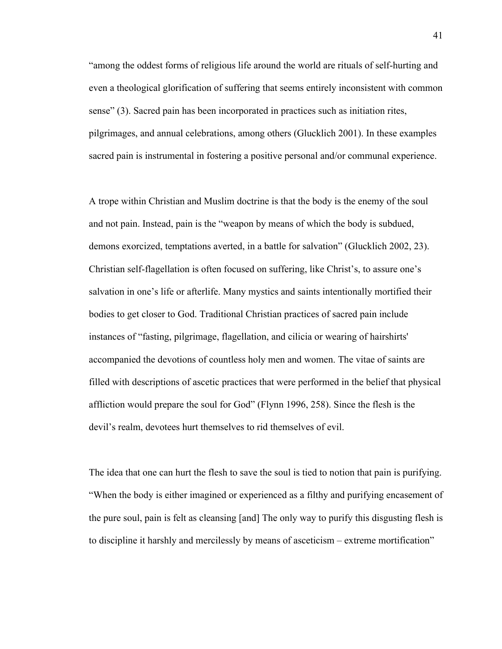"among the oddest forms of religious life around the world are rituals of self-hurting and even a theological glorification of suffering that seems entirely inconsistent with common sense" (3). Sacred pain has been incorporated in practices such as initiation rites, pilgrimages, and annual celebrations, among others (Glucklich 2001). In these examples sacred pain is instrumental in fostering a positive personal and/or communal experience.

A trope within Christian and Muslim doctrine is that the body is the enemy of the soul and not pain. Instead, pain is the "weapon by means of which the body is subdued, demons exorcized, temptations averted, in a battle for salvation" (Glucklich 2002, 23). Christian self-flagellation is often focused on suffering, like Christ's, to assure one's salvation in one's life or afterlife. Many mystics and saints intentionally mortified their bodies to get closer to God. Traditional Christian practices of sacred pain include instances of "fasting, pilgrimage, flagellation, and cilicia or wearing of hairshirts' accompanied the devotions of countless holy men and women. The vitae of saints are filled with descriptions of ascetic practices that were performed in the belief that physical affliction would prepare the soul for God" (Flynn 1996, 258). Since the flesh is the devil's realm, devotees hurt themselves to rid themselves of evil.

The idea that one can hurt the flesh to save the soul is tied to notion that pain is purifying. "When the body is either imagined or experienced as a filthy and purifying encasement of the pure soul, pain is felt as cleansing [and] The only way to purify this disgusting flesh is to discipline it harshly and mercilessly by means of asceticism – extreme mortification"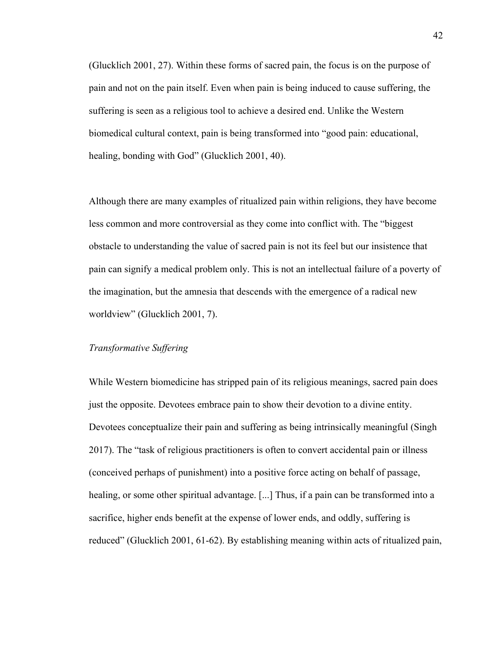(Glucklich 2001, 27). Within these forms of sacred pain, the focus is on the purpose of pain and not on the pain itself. Even when pain is being induced to cause suffering, the suffering is seen as a religious tool to achieve a desired end. Unlike the Western biomedical cultural context, pain is being transformed into "good pain: educational, healing, bonding with God" (Glucklich 2001, 40).

Although there are many examples of ritualized pain within religions, they have become less common and more controversial as they come into conflict with. The "biggest obstacle to understanding the value of sacred pain is not its feel but our insistence that pain can signify a medical problem only. This is not an intellectual failure of a poverty of the imagination, but the amnesia that descends with the emergence of a radical new worldview" (Glucklich 2001, 7).

# *Transformative Suffering*

While Western biomedicine has stripped pain of its religious meanings, sacred pain does just the opposite. Devotees embrace pain to show their devotion to a divine entity. Devotees conceptualize their pain and suffering as being intrinsically meaningful (Singh 2017). The "task of religious practitioners is often to convert accidental pain or illness (conceived perhaps of punishment) into a positive force acting on behalf of passage, healing, or some other spiritual advantage. [...] Thus, if a pain can be transformed into a sacrifice, higher ends benefit at the expense of lower ends, and oddly, suffering is reduced" (Glucklich 2001, 61-62). By establishing meaning within acts of ritualized pain,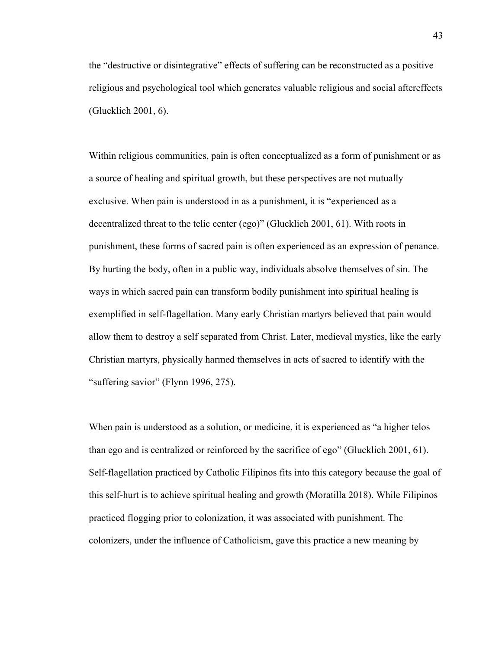the "destructive or disintegrative" effects of suffering can be reconstructed as a positive religious and psychological tool which generates valuable religious and social aftereffects (Glucklich 2001, 6).

Within religious communities, pain is often conceptualized as a form of punishment or as a source of healing and spiritual growth, but these perspectives are not mutually exclusive. When pain is understood in as a punishment, it is "experienced as a decentralized threat to the telic center (ego)" (Glucklich 2001, 61). With roots in punishment, these forms of sacred pain is often experienced as an expression of penance. By hurting the body, often in a public way, individuals absolve themselves of sin. The ways in which sacred pain can transform bodily punishment into spiritual healing is exemplified in self-flagellation. Many early Christian martyrs believed that pain would allow them to destroy a self separated from Christ. Later, medieval mystics, like the early Christian martyrs, physically harmed themselves in acts of sacred to identify with the "suffering savior" (Flynn 1996, 275).

When pain is understood as a solution, or medicine, it is experienced as "a higher telos than ego and is centralized or reinforced by the sacrifice of ego" (Glucklich 2001, 61). Self-flagellation practiced by Catholic Filipinos fits into this category because the goal of this self-hurt is to achieve spiritual healing and growth (Moratilla 2018). While Filipinos practiced flogging prior to colonization, it was associated with punishment. The colonizers, under the influence of Catholicism, gave this practice a new meaning by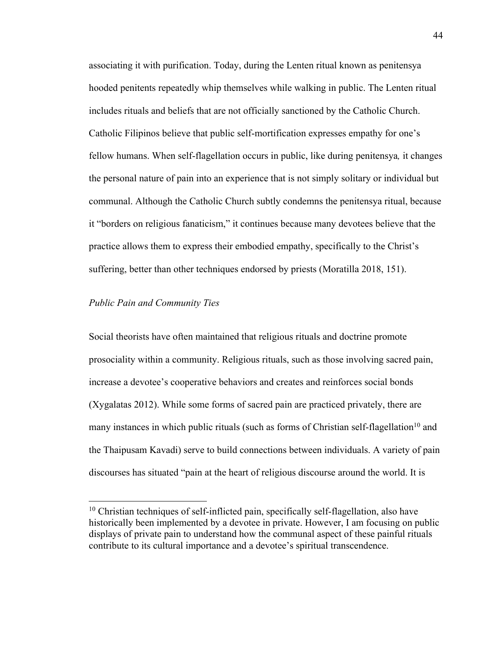associating it with purification. Today, during the Lenten ritual known as penitensya hooded penitents repeatedly whip themselves while walking in public. The Lenten ritual includes rituals and beliefs that are not officially sanctioned by the Catholic Church. Catholic Filipinos believe that public self-mortification expresses empathy for one's fellow humans. When self-flagellation occurs in public, like during penitensya*,* it changes the personal nature of pain into an experience that is not simply solitary or individual but communal. Although the Catholic Church subtly condemns the penitensya ritual, because it "borders on religious fanaticism," it continues because many devotees believe that the practice allows them to express their embodied empathy, specifically to the Christ's suffering, better than other techniques endorsed by priests (Moratilla 2018, 151).

## *Public Pain and Community Ties*

Social theorists have often maintained that religious rituals and doctrine promote prosociality within a community. Religious rituals, such as those involving sacred pain, increase a devotee's cooperative behaviors and creates and reinforces social bonds (Xygalatas 2012). While some forms of sacred pain are practiced privately, there are many instances in which public rituals (such as forms of Christian self-flagellation<sup>10</sup> and the Thaipusam Kavadi) serve to build connections between individuals. A variety of pain discourses has situated "pain at the heart of religious discourse around the world. It is

 $10$  Christian techniques of self-inflicted pain, specifically self-flagellation, also have historically been implemented by a devotee in private. However, I am focusing on public displays of private pain to understand how the communal aspect of these painful rituals contribute to its cultural importance and a devotee's spiritual transcendence.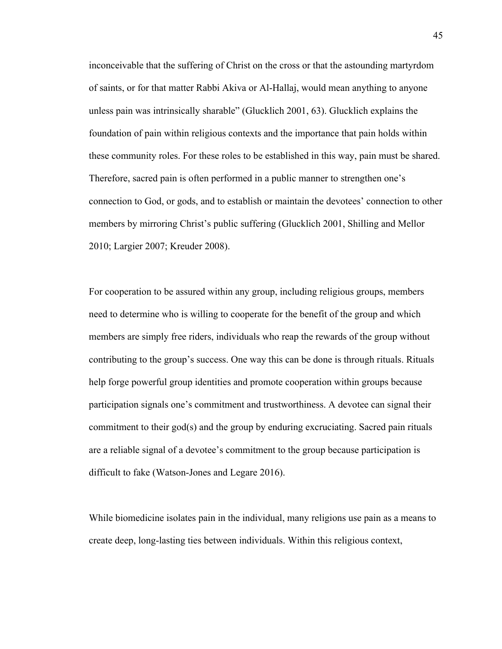inconceivable that the suffering of Christ on the cross or that the astounding martyrdom of saints, or for that matter Rabbi Akiva or Al-Hallaj, would mean anything to anyone unless pain was intrinsically sharable" (Glucklich 2001, 63). Glucklich explains the foundation of pain within religious contexts and the importance that pain holds within these community roles. For these roles to be established in this way, pain must be shared. Therefore, sacred pain is often performed in a public manner to strengthen one's connection to God, or gods, and to establish or maintain the devotees' connection to other members by mirroring Christ's public suffering (Glucklich 2001, Shilling and Mellor 2010; Largier 2007; Kreuder 2008).

For cooperation to be assured within any group, including religious groups, members need to determine who is willing to cooperate for the benefit of the group and which members are simply free riders, individuals who reap the rewards of the group without contributing to the group's success. One way this can be done is through rituals. Rituals help forge powerful group identities and promote cooperation within groups because participation signals one's commitment and trustworthiness. A devotee can signal their commitment to their god(s) and the group by enduring excruciating. Sacred pain rituals are a reliable signal of a devotee's commitment to the group because participation is difficult to fake (Watson-Jones and Legare 2016).

While biomedicine isolates pain in the individual, many religions use pain as a means to create deep, long-lasting ties between individuals. Within this religious context,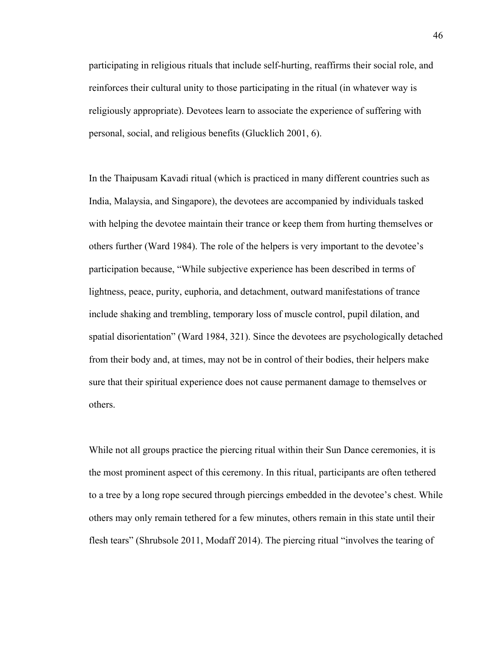participating in religious rituals that include self-hurting, reaffirms their social role, and reinforces their cultural unity to those participating in the ritual (in whatever way is religiously appropriate). Devotees learn to associate the experience of suffering with personal, social, and religious benefits (Glucklich 2001, 6).

In the Thaipusam Kavadi ritual (which is practiced in many different countries such as India, Malaysia, and Singapore), the devotees are accompanied by individuals tasked with helping the devotee maintain their trance or keep them from hurting themselves or others further (Ward 1984). The role of the helpers is very important to the devotee's participation because, "While subjective experience has been described in terms of lightness, peace, purity, euphoria, and detachment, outward manifestations of trance include shaking and trembling, temporary loss of muscle control, pupil dilation, and spatial disorientation" (Ward 1984, 321). Since the devotees are psychologically detached from their body and, at times, may not be in control of their bodies, their helpers make sure that their spiritual experience does not cause permanent damage to themselves or others.

While not all groups practice the piercing ritual within their Sun Dance ceremonies, it is the most prominent aspect of this ceremony. In this ritual, participants are often tethered to a tree by a long rope secured through piercings embedded in the devotee's chest. While others may only remain tethered for a few minutes, others remain in this state until their flesh tears" (Shrubsole 2011, Modaff 2014). The piercing ritual "involves the tearing of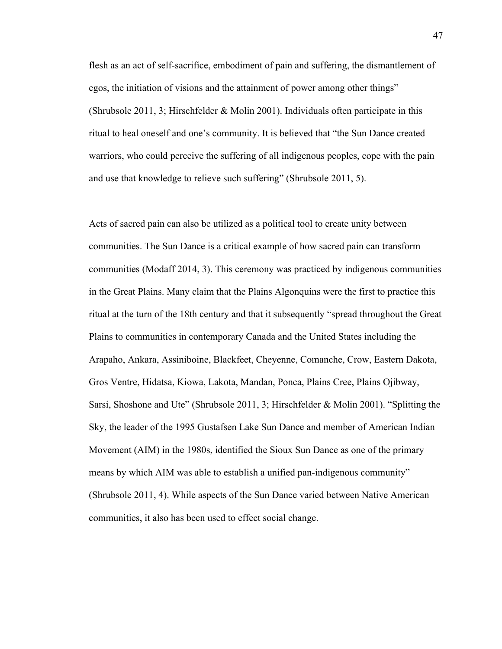flesh as an act of self-sacrifice, embodiment of pain and suffering, the dismantlement of egos, the initiation of visions and the attainment of power among other things" (Shrubsole 2011, 3; Hirschfelder & Molin 2001). Individuals often participate in this ritual to heal oneself and one's community. It is believed that "the Sun Dance created warriors, who could perceive the suffering of all indigenous peoples, cope with the pain and use that knowledge to relieve such suffering" (Shrubsole 2011, 5).

Acts of sacred pain can also be utilized as a political tool to create unity between communities. The Sun Dance is a critical example of how sacred pain can transform communities (Modaff 2014, 3). This ceremony was practiced by indigenous communities in the Great Plains. Many claim that the Plains Algonquins were the first to practice this ritual at the turn of the 18th century and that it subsequently "spread throughout the Great Plains to communities in contemporary Canada and the United States including the Arapaho, Ankara, Assiniboine, Blackfeet, Cheyenne, Comanche, Crow, Eastern Dakota, Gros Ventre, Hidatsa, Kiowa, Lakota, Mandan, Ponca, Plains Cree, Plains Ojibway, Sarsi, Shoshone and Ute" (Shrubsole 2011, 3; Hirschfelder & Molin 2001). "Splitting the Sky, the leader of the 1995 Gustafsen Lake Sun Dance and member of American Indian Movement (AIM) in the 1980s, identified the Sioux Sun Dance as one of the primary means by which AIM was able to establish a unified pan-indigenous community" (Shrubsole 2011, 4). While aspects of the Sun Dance varied between Native American communities, it also has been used to effect social change.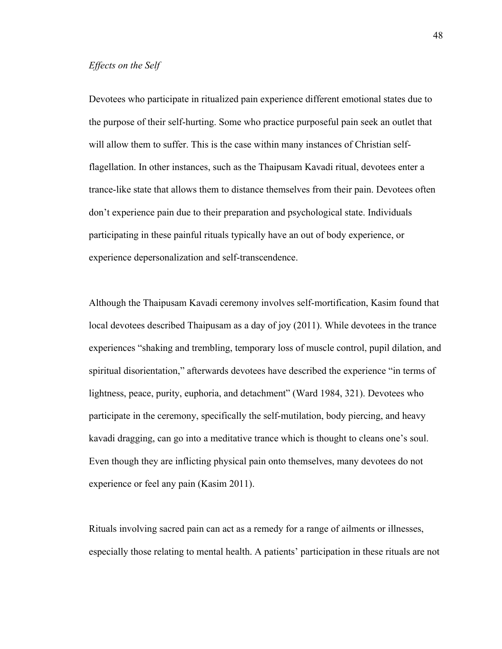Devotees who participate in ritualized pain experience different emotional states due to the purpose of their self-hurting. Some who practice purposeful pain seek an outlet that will allow them to suffer. This is the case within many instances of Christian selfflagellation. In other instances, such as the Thaipusam Kavadi ritual, devotees enter a trance-like state that allows them to distance themselves from their pain. Devotees often don't experience pain due to their preparation and psychological state. Individuals participating in these painful rituals typically have an out of body experience, or experience depersonalization and self-transcendence.

Although the Thaipusam Kavadi ceremony involves self-mortification, Kasim found that local devotees described Thaipusam as a day of joy (2011). While devotees in the trance experiences "shaking and trembling, temporary loss of muscle control, pupil dilation, and spiritual disorientation," afterwards devotees have described the experience "in terms of lightness, peace, purity, euphoria, and detachment" (Ward 1984, 321). Devotees who participate in the ceremony, specifically the self-mutilation, body piercing, and heavy kavadi dragging, can go into a meditative trance which is thought to cleans one's soul. Even though they are inflicting physical pain onto themselves, many devotees do not experience or feel any pain (Kasim 2011).

Rituals involving sacred pain can act as a remedy for a range of ailments or illnesses, especially those relating to mental health. A patients' participation in these rituals are not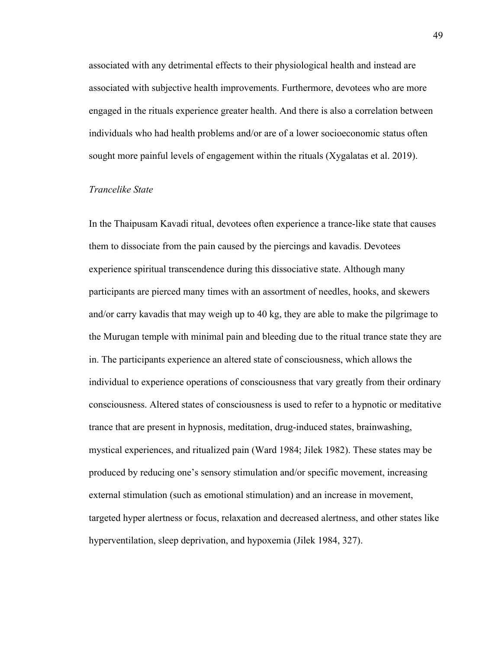associated with any detrimental effects to their physiological health and instead are associated with subjective health improvements. Furthermore, devotees who are more engaged in the rituals experience greater health. And there is also a correlation between individuals who had health problems and/or are of a lower socioeconomic status often sought more painful levels of engagement within the rituals (Xygalatas et al. 2019).

# *Trancelike State*

In the Thaipusam Kavadi ritual, devotees often experience a trance-like state that causes them to dissociate from the pain caused by the piercings and kavadis. Devotees experience spiritual transcendence during this dissociative state. Although many participants are pierced many times with an assortment of needles, hooks, and skewers and/or carry kavadis that may weigh up to 40 kg, they are able to make the pilgrimage to the Murugan temple with minimal pain and bleeding due to the ritual trance state they are in. The participants experience an altered state of consciousness, which allows the individual to experience operations of consciousness that vary greatly from their ordinary consciousness. Altered states of consciousness is used to refer to a hypnotic or meditative trance that are present in hypnosis, meditation, drug-induced states, brainwashing, mystical experiences, and ritualized pain (Ward 1984; Jilek 1982). These states may be produced by reducing one's sensory stimulation and/or specific movement, increasing external stimulation (such as emotional stimulation) and an increase in movement, targeted hyper alertness or focus, relaxation and decreased alertness, and other states like hyperventilation, sleep deprivation, and hypoxemia (Jilek 1984, 327).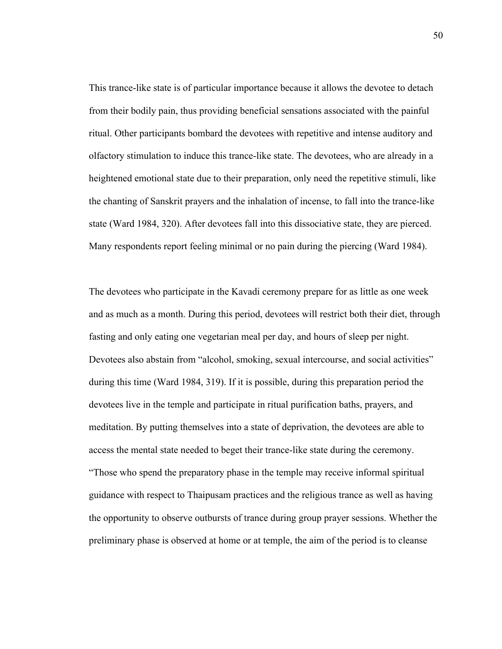This trance-like state is of particular importance because it allows the devotee to detach from their bodily pain, thus providing beneficial sensations associated with the painful ritual. Other participants bombard the devotees with repetitive and intense auditory and olfactory stimulation to induce this trance-like state. The devotees, who are already in a heightened emotional state due to their preparation, only need the repetitive stimuli, like the chanting of Sanskrit prayers and the inhalation of incense, to fall into the trance-like state (Ward 1984, 320). After devotees fall into this dissociative state, they are pierced. Many respondents report feeling minimal or no pain during the piercing (Ward 1984).

The devotees who participate in the Kavadi ceremony prepare for as little as one week and as much as a month. During this period, devotees will restrict both their diet, through fasting and only eating one vegetarian meal per day, and hours of sleep per night. Devotees also abstain from "alcohol, smoking, sexual intercourse, and social activities" during this time (Ward 1984, 319). If it is possible, during this preparation period the devotees live in the temple and participate in ritual purification baths, prayers, and meditation. By putting themselves into a state of deprivation, the devotees are able to access the mental state needed to beget their trance-like state during the ceremony. "Those who spend the preparatory phase in the temple may receive informal spiritual guidance with respect to Thaipusam practices and the religious trance as well as having the opportunity to observe outbursts of trance during group prayer sessions. Whether the preliminary phase is observed at home or at temple, the aim of the period is to cleanse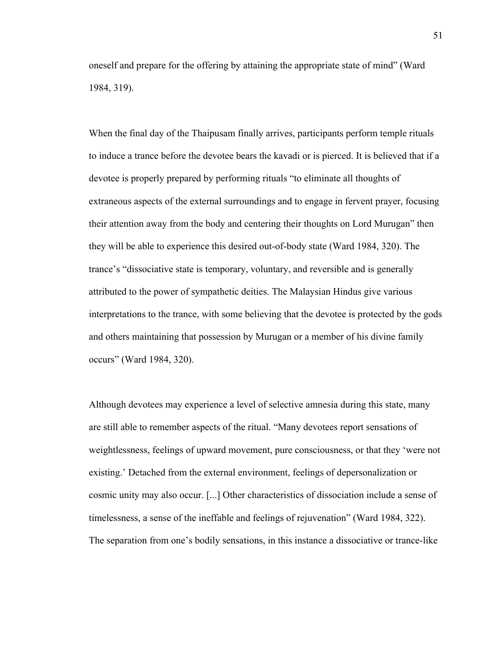oneself and prepare for the offering by attaining the appropriate state of mind" (Ward 1984, 319).

When the final day of the Thaipusam finally arrives, participants perform temple rituals to induce a trance before the devotee bears the kavadi or is pierced. It is believed that if a devotee is properly prepared by performing rituals "to eliminate all thoughts of extraneous aspects of the external surroundings and to engage in fervent prayer, focusing their attention away from the body and centering their thoughts on Lord Murugan" then they will be able to experience this desired out-of-body state (Ward 1984, 320). The trance's "dissociative state is temporary, voluntary, and reversible and is generally attributed to the power of sympathetic deities. The Malaysian Hindus give various interpretations to the trance, with some believing that the devotee is protected by the gods and others maintaining that possession by Murugan or a member of his divine family occurs" (Ward 1984, 320).

Although devotees may experience a level of selective amnesia during this state, many are still able to remember aspects of the ritual. "Many devotees report sensations of weightlessness, feelings of upward movement, pure consciousness, or that they 'were not existing.' Detached from the external environment, feelings of depersonalization or cosmic unity may also occur. [...] Other characteristics of dissociation include a sense of timelessness, a sense of the ineffable and feelings of rejuvenation" (Ward 1984, 322). The separation from one's bodily sensations, in this instance a dissociative or trance-like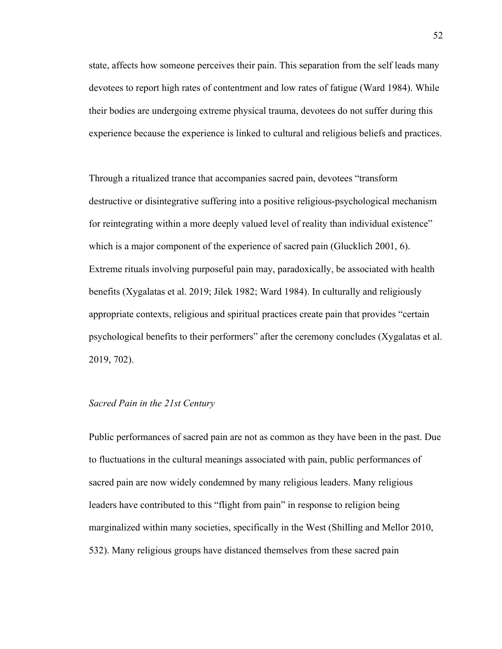state, affects how someone perceives their pain. This separation from the self leads many devotees to report high rates of contentment and low rates of fatigue (Ward 1984). While their bodies are undergoing extreme physical trauma, devotees do not suffer during this experience because the experience is linked to cultural and religious beliefs and practices.

Through a ritualized trance that accompanies sacred pain, devotees "transform destructive or disintegrative suffering into a positive religious-psychological mechanism for reintegrating within a more deeply valued level of reality than individual existence" which is a major component of the experience of sacred pain (Glucklich 2001, 6). Extreme rituals involving purposeful pain may, paradoxically, be associated with health benefits (Xygalatas et al. 2019; Jilek 1982; Ward 1984). In culturally and religiously appropriate contexts, religious and spiritual practices create pain that provides "certain psychological benefits to their performers" after the ceremony concludes (Xygalatas et al. 2019, 702).

## *Sacred Pain in the 21st Century*

Public performances of sacred pain are not as common as they have been in the past. Due to fluctuations in the cultural meanings associated with pain, public performances of sacred pain are now widely condemned by many religious leaders. Many religious leaders have contributed to this "flight from pain" in response to religion being marginalized within many societies, specifically in the West (Shilling and Mellor 2010, 532). Many religious groups have distanced themselves from these sacred pain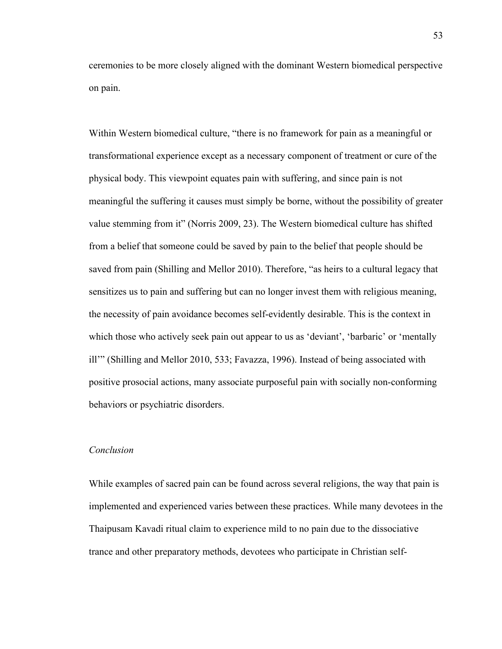ceremonies to be more closely aligned with the dominant Western biomedical perspective on pain.

Within Western biomedical culture, "there is no framework for pain as a meaningful or transformational experience except as a necessary component of treatment or cure of the physical body. This viewpoint equates pain with suffering, and since pain is not meaningful the suffering it causes must simply be borne, without the possibility of greater value stemming from it" (Norris 2009, 23). The Western biomedical culture has shifted from a belief that someone could be saved by pain to the belief that people should be saved from pain (Shilling and Mellor 2010). Therefore, "as heirs to a cultural legacy that sensitizes us to pain and suffering but can no longer invest them with religious meaning, the necessity of pain avoidance becomes self-evidently desirable. This is the context in which those who actively seek pain out appear to us as 'deviant', 'barbaric' or 'mentally ill'" (Shilling and Mellor 2010, 533; Favazza, 1996). Instead of being associated with positive prosocial actions, many associate purposeful pain with socially non-conforming behaviors or psychiatric disorders.

#### *Conclusion*

While examples of sacred pain can be found across several religions, the way that pain is implemented and experienced varies between these practices. While many devotees in the Thaipusam Kavadi ritual claim to experience mild to no pain due to the dissociative trance and other preparatory methods, devotees who participate in Christian self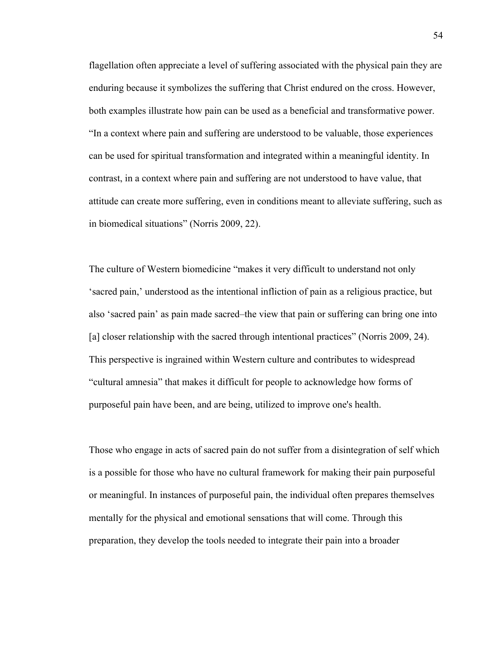flagellation often appreciate a level of suffering associated with the physical pain they are enduring because it symbolizes the suffering that Christ endured on the cross. However, both examples illustrate how pain can be used as a beneficial and transformative power. "In a context where pain and suffering are understood to be valuable, those experiences can be used for spiritual transformation and integrated within a meaningful identity. In contrast, in a context where pain and suffering are not understood to have value, that attitude can create more suffering, even in conditions meant to alleviate suffering, such as in biomedical situations" (Norris 2009, 22).

The culture of Western biomedicine "makes it very difficult to understand not only 'sacred pain,' understood as the intentional infliction of pain as a religious practice, but also 'sacred pain' as pain made sacred–the view that pain or suffering can bring one into [a] closer relationship with the sacred through intentional practices" (Norris 2009, 24). This perspective is ingrained within Western culture and contributes to widespread "cultural amnesia" that makes it difficult for people to acknowledge how forms of purposeful pain have been, and are being, utilized to improve one's health.

Those who engage in acts of sacred pain do not suffer from a disintegration of self which is a possible for those who have no cultural framework for making their pain purposeful or meaningful. In instances of purposeful pain, the individual often prepares themselves mentally for the physical and emotional sensations that will come. Through this preparation, they develop the tools needed to integrate their pain into a broader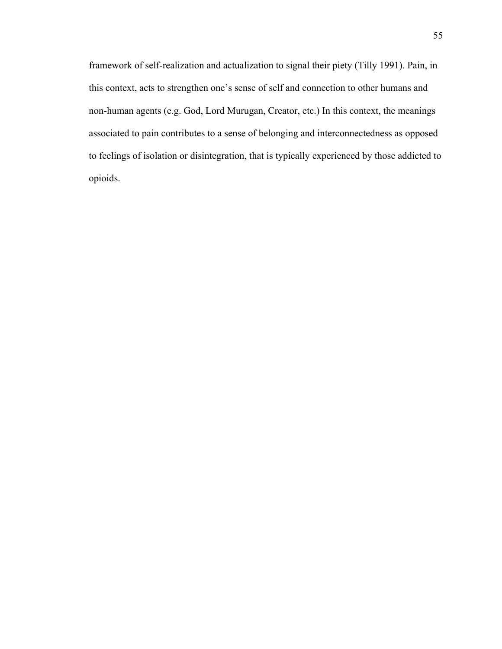framework of self-realization and actualization to signal their piety (Tilly 1991). Pain, in this context, acts to strengthen one's sense of self and connection to other humans and non-human agents (e.g. God, Lord Murugan, Creator, etc.) In this context, the meanings associated to pain contributes to a sense of belonging and interconnectedness as opposed to feelings of isolation or disintegration, that is typically experienced by those addicted to opioids.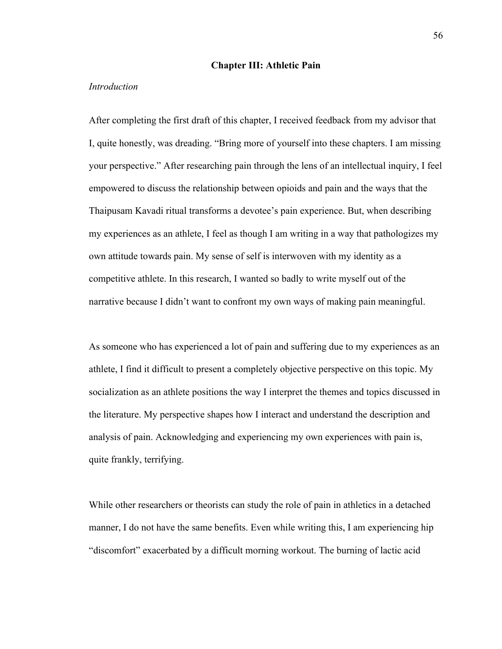#### **Chapter III: Athletic Pain**

#### *Introduction*

After completing the first draft of this chapter, I received feedback from my advisor that I, quite honestly, was dreading. "Bring more of yourself into these chapters. I am missing your perspective." After researching pain through the lens of an intellectual inquiry, I feel empowered to discuss the relationship between opioids and pain and the ways that the Thaipusam Kavadi ritual transforms a devotee's pain experience. But, when describing my experiences as an athlete, I feel as though I am writing in a way that pathologizes my own attitude towards pain. My sense of self is interwoven with my identity as a competitive athlete. In this research, I wanted so badly to write myself out of the narrative because I didn't want to confront my own ways of making pain meaningful.

As someone who has experienced a lot of pain and suffering due to my experiences as an athlete, I find it difficult to present a completely objective perspective on this topic. My socialization as an athlete positions the way I interpret the themes and topics discussed in the literature. My perspective shapes how I interact and understand the description and analysis of pain. Acknowledging and experiencing my own experiences with pain is, quite frankly, terrifying.

While other researchers or theorists can study the role of pain in athletics in a detached manner, I do not have the same benefits. Even while writing this, I am experiencing hip "discomfort" exacerbated by a difficult morning workout. The burning of lactic acid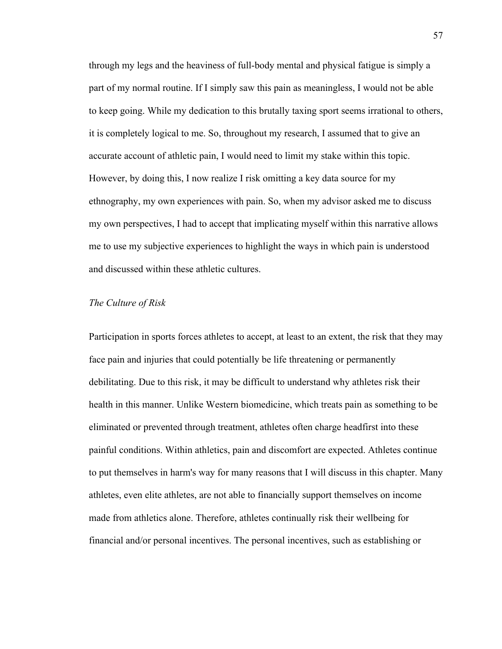through my legs and the heaviness of full-body mental and physical fatigue is simply a part of my normal routine. If I simply saw this pain as meaningless, I would not be able to keep going. While my dedication to this brutally taxing sport seems irrational to others, it is completely logical to me. So, throughout my research, I assumed that to give an accurate account of athletic pain, I would need to limit my stake within this topic. However, by doing this, I now realize I risk omitting a key data source for my ethnography, my own experiences with pain. So, when my advisor asked me to discuss my own perspectives, I had to accept that implicating myself within this narrative allows me to use my subjective experiences to highlight the ways in which pain is understood and discussed within these athletic cultures.

## *The Culture of Risk*

Participation in sports forces athletes to accept, at least to an extent, the risk that they may face pain and injuries that could potentially be life threatening or permanently debilitating. Due to this risk, it may be difficult to understand why athletes risk their health in this manner. Unlike Western biomedicine, which treats pain as something to be eliminated or prevented through treatment, athletes often charge headfirst into these painful conditions. Within athletics, pain and discomfort are expected. Athletes continue to put themselves in harm's way for many reasons that I will discuss in this chapter. Many athletes, even elite athletes, are not able to financially support themselves on income made from athletics alone. Therefore, athletes continually risk their wellbeing for financial and/or personal incentives. The personal incentives, such as establishing or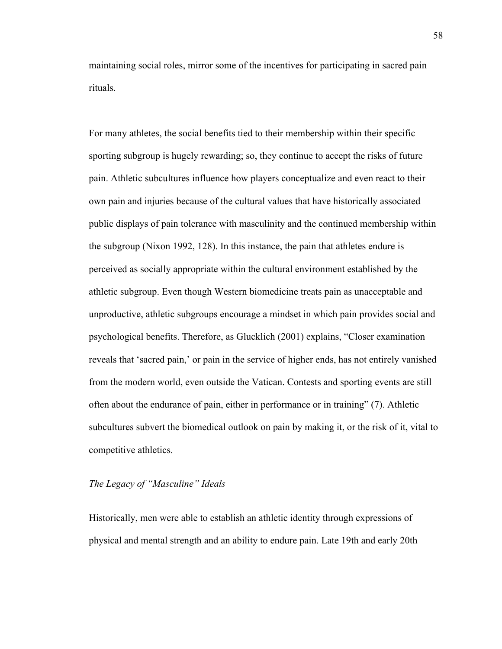maintaining social roles, mirror some of the incentives for participating in sacred pain rituals.

For many athletes, the social benefits tied to their membership within their specific sporting subgroup is hugely rewarding; so, they continue to accept the risks of future pain. Athletic subcultures influence how players conceptualize and even react to their own pain and injuries because of the cultural values that have historically associated public displays of pain tolerance with masculinity and the continued membership within the subgroup (Nixon 1992, 128). In this instance, the pain that athletes endure is perceived as socially appropriate within the cultural environment established by the athletic subgroup. Even though Western biomedicine treats pain as unacceptable and unproductive, athletic subgroups encourage a mindset in which pain provides social and psychological benefits. Therefore, as Glucklich (2001) explains, "Closer examination reveals that 'sacred pain,' or pain in the service of higher ends, has not entirely vanished from the modern world, even outside the Vatican. Contests and sporting events are still often about the endurance of pain, either in performance or in training" (7). Athletic subcultures subvert the biomedical outlook on pain by making it, or the risk of it, vital to competitive athletics.

## *The Legacy of "Masculine" Ideals*

Historically, men were able to establish an athletic identity through expressions of physical and mental strength and an ability to endure pain. Late 19th and early 20th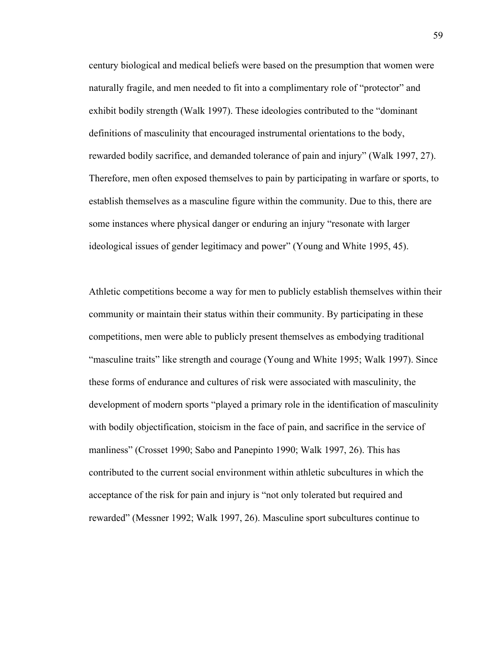century biological and medical beliefs were based on the presumption that women were naturally fragile, and men needed to fit into a complimentary role of "protector" and exhibit bodily strength (Walk 1997). These ideologies contributed to the "dominant definitions of masculinity that encouraged instrumental orientations to the body, rewarded bodily sacrifice, and demanded tolerance of pain and injury" (Walk 1997, 27). Therefore, men often exposed themselves to pain by participating in warfare or sports, to establish themselves as a masculine figure within the community. Due to this, there are some instances where physical danger or enduring an injury "resonate with larger ideological issues of gender legitimacy and power" (Young and White 1995, 45).

Athletic competitions become a way for men to publicly establish themselves within their community or maintain their status within their community. By participating in these competitions, men were able to publicly present themselves as embodying traditional "masculine traits" like strength and courage (Young and White 1995; Walk 1997). Since these forms of endurance and cultures of risk were associated with masculinity, the development of modern sports "played a primary role in the identification of masculinity with bodily objectification, stoicism in the face of pain, and sacrifice in the service of manliness" (Crosset 1990; Sabo and Panepinto 1990; Walk 1997, 26). This has contributed to the current social environment within athletic subcultures in which the acceptance of the risk for pain and injury is "not only tolerated but required and rewarded" (Messner 1992; Walk 1997, 26). Masculine sport subcultures continue to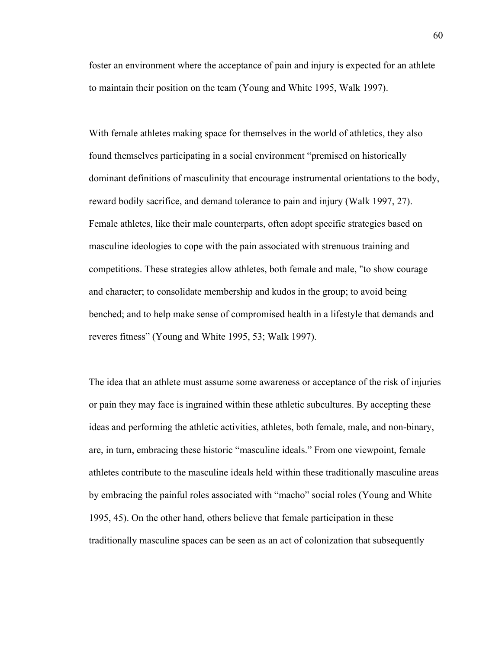foster an environment where the acceptance of pain and injury is expected for an athlete to maintain their position on the team (Young and White 1995, Walk 1997).

With female athletes making space for themselves in the world of athletics, they also found themselves participating in a social environment "premised on historically dominant definitions of masculinity that encourage instrumental orientations to the body, reward bodily sacrifice, and demand tolerance to pain and injury (Walk 1997, 27). Female athletes, like their male counterparts, often adopt specific strategies based on masculine ideologies to cope with the pain associated with strenuous training and competitions. These strategies allow athletes, both female and male, "to show courage and character; to consolidate membership and kudos in the group; to avoid being benched; and to help make sense of compromised health in a lifestyle that demands and reveres fitness" (Young and White 1995, 53; Walk 1997).

The idea that an athlete must assume some awareness or acceptance of the risk of injuries or pain they may face is ingrained within these athletic subcultures. By accepting these ideas and performing the athletic activities, athletes, both female, male, and non-binary, are, in turn, embracing these historic "masculine ideals." From one viewpoint, female athletes contribute to the masculine ideals held within these traditionally masculine areas by embracing the painful roles associated with "macho" social roles (Young and White 1995, 45). On the other hand, others believe that female participation in these traditionally masculine spaces can be seen as an act of colonization that subsequently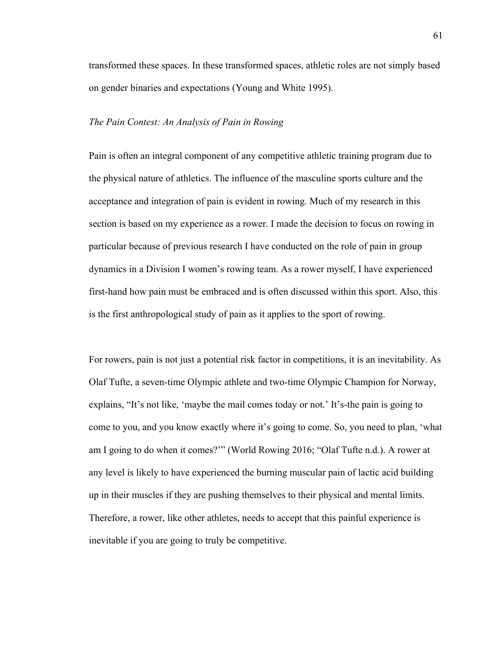transformed these spaces. In these transformed spaces, athletic roles are not simply based on gender binaries and expectations (Young and White 1995).

### *The Pain Contest: An Analysis of Pain in Rowing*

Pain is often an integral component of any competitive athletic training program due to the physical nature of athletics. The influence of the masculine sports culture and the acceptance and integration of pain is evident in rowing. Much of my research in this section is based on my experience as a rower. I made the decision to focus on rowing in particular because of previous research I have conducted on the role of pain in group dynamics in a Division I women's rowing team. As a rower myself, I have experienced first-hand how pain must be embraced and is often discussed within this sport. Also, this is the first anthropological study of pain as it applies to the sport of rowing.

For rowers, pain is not just a potential risk factor in competitions, it is an inevitability. As Olaf Tufte, a seven-time Olympic athlete and two-time Olympic Champion for Norway, explains, "It's not like, 'maybe the mail comes today or not.' It's-the pain is going to come to you, and you know exactly where it's going to come. So, you need to plan, 'what am I going to do when it comes?'" (World Rowing 2016; "Olaf Tufte n.d.). A rower at any level is likely to have experienced the burning muscular pain of lactic acid building up in their muscles if they are pushing themselves to their physical and mental limits. Therefore, a rower, like other athletes, needs to accept that this painful experience is inevitable if you are going to truly be competitive.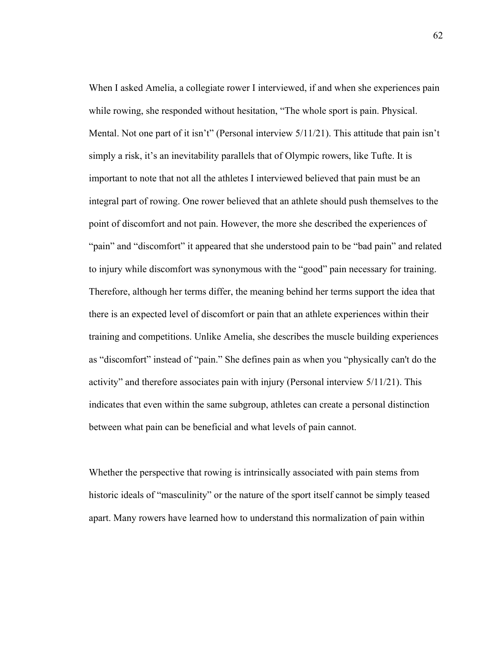When I asked Amelia, a collegiate rower I interviewed, if and when she experiences pain while rowing, she responded without hesitation, "The whole sport is pain. Physical. Mental. Not one part of it isn't" (Personal interview 5/11/21). This attitude that pain isn't simply a risk, it's an inevitability parallels that of Olympic rowers, like Tufte. It is important to note that not all the athletes I interviewed believed that pain must be an integral part of rowing. One rower believed that an athlete should push themselves to the point of discomfort and not pain. However, the more she described the experiences of "pain" and "discomfort" it appeared that she understood pain to be "bad pain" and related to injury while discomfort was synonymous with the "good" pain necessary for training. Therefore, although her terms differ, the meaning behind her terms support the idea that there is an expected level of discomfort or pain that an athlete experiences within their training and competitions. Unlike Amelia, she describes the muscle building experiences as "discomfort" instead of "pain." She defines pain as when you "physically can't do the activity" and therefore associates pain with injury (Personal interview 5/11/21). This indicates that even within the same subgroup, athletes can create a personal distinction between what pain can be beneficial and what levels of pain cannot.

Whether the perspective that rowing is intrinsically associated with pain stems from historic ideals of "masculinity" or the nature of the sport itself cannot be simply teased apart. Many rowers have learned how to understand this normalization of pain within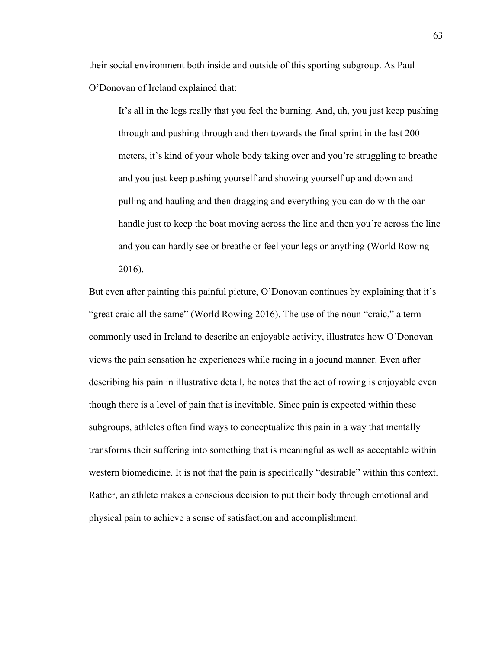their social environment both inside and outside of this sporting subgroup. As Paul O'Donovan of Ireland explained that:

It's all in the legs really that you feel the burning. And, uh, you just keep pushing through and pushing through and then towards the final sprint in the last 200 meters, it's kind of your whole body taking over and you're struggling to breathe and you just keep pushing yourself and showing yourself up and down and pulling and hauling and then dragging and everything you can do with the oar handle just to keep the boat moving across the line and then you're across the line and you can hardly see or breathe or feel your legs or anything (World Rowing 2016).

But even after painting this painful picture, O'Donovan continues by explaining that it's "great craic all the same" (World Rowing 2016). The use of the noun "craic," a term commonly used in Ireland to describe an enjoyable activity, illustrates how O'Donovan views the pain sensation he experiences while racing in a jocund manner. Even after describing his pain in illustrative detail, he notes that the act of rowing is enjoyable even though there is a level of pain that is inevitable. Since pain is expected within these subgroups, athletes often find ways to conceptualize this pain in a way that mentally transforms their suffering into something that is meaningful as well as acceptable within western biomedicine. It is not that the pain is specifically "desirable" within this context. Rather, an athlete makes a conscious decision to put their body through emotional and physical pain to achieve a sense of satisfaction and accomplishment.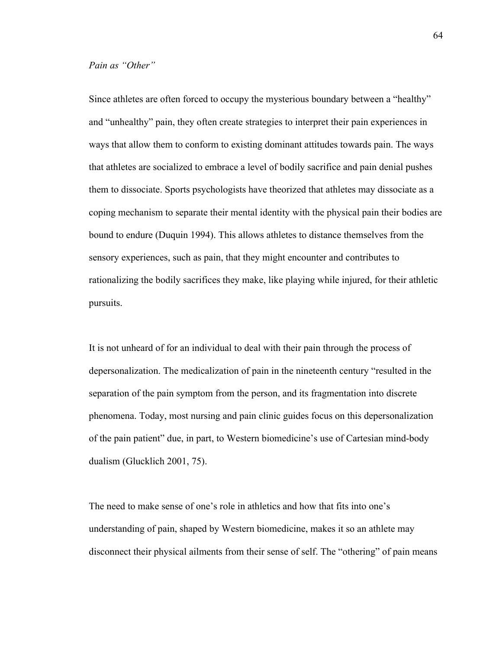Since athletes are often forced to occupy the mysterious boundary between a "healthy" and "unhealthy" pain, they often create strategies to interpret their pain experiences in ways that allow them to conform to existing dominant attitudes towards pain. The ways that athletes are socialized to embrace a level of bodily sacrifice and pain denial pushes them to dissociate. Sports psychologists have theorized that athletes may dissociate as a coping mechanism to separate their mental identity with the physical pain their bodies are bound to endure (Duquin 1994). This allows athletes to distance themselves from the sensory experiences, such as pain, that they might encounter and contributes to rationalizing the bodily sacrifices they make, like playing while injured, for their athletic pursuits.

It is not unheard of for an individual to deal with their pain through the process of depersonalization. The medicalization of pain in the nineteenth century "resulted in the separation of the pain symptom from the person, and its fragmentation into discrete phenomena. Today, most nursing and pain clinic guides focus on this depersonalization of the pain patient" due, in part, to Western biomedicine's use of Cartesian mind-body dualism (Glucklich 2001, 75).

The need to make sense of one's role in athletics and how that fits into one's understanding of pain, shaped by Western biomedicine, makes it so an athlete may disconnect their physical ailments from their sense of self. The "othering" of pain means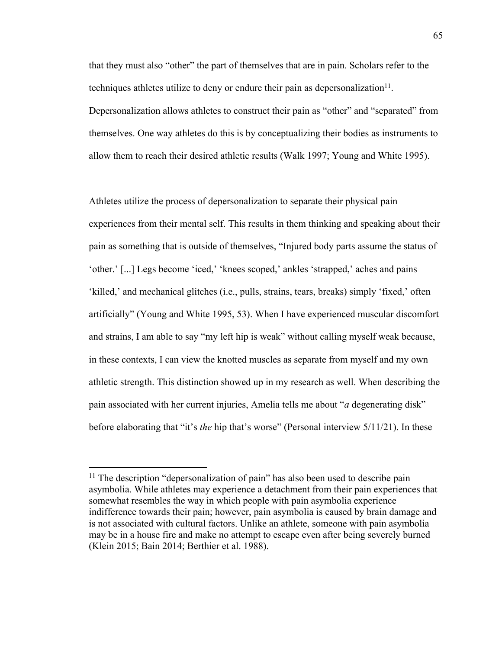that they must also "other" the part of themselves that are in pain. Scholars refer to the techniques athletes utilize to deny or endure their pain as depersonalization<sup>11</sup>. Depersonalization allows athletes to construct their pain as "other" and "separated" from themselves. One way athletes do this is by conceptualizing their bodies as instruments to allow them to reach their desired athletic results (Walk 1997; Young and White 1995).

Athletes utilize the process of depersonalization to separate their physical pain experiences from their mental self. This results in them thinking and speaking about their pain as something that is outside of themselves, "Injured body parts assume the status of 'other.' [...] Legs become 'iced,' 'knees scoped,' ankles 'strapped,' aches and pains 'killed,' and mechanical glitches (i.e., pulls, strains, tears, breaks) simply 'fixed,' often artificially" (Young and White 1995, 53). When I have experienced muscular discomfort and strains, I am able to say "my left hip is weak" without calling myself weak because, in these contexts, I can view the knotted muscles as separate from myself and my own athletic strength. This distinction showed up in my research as well. When describing the pain associated with her current injuries, Amelia tells me about "*a* degenerating disk" before elaborating that "it's *the* hip that's worse" (Personal interview 5/11/21). In these

 $11$  The description "depersonalization of pain" has also been used to describe pain asymbolia. While athletes may experience a detachment from their pain experiences that somewhat resembles the way in which people with pain asymbolia experience indifference towards their pain; however, pain asymbolia is caused by brain damage and is not associated with cultural factors. Unlike an athlete, someone with pain asymbolia may be in a house fire and make no attempt to escape even after being severely burned (Klein 2015; Bain 2014; Berthier et al. 1988).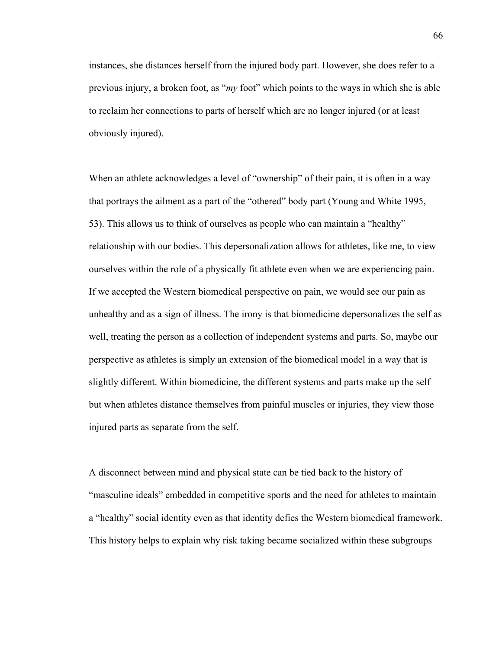instances, she distances herself from the injured body part. However, she does refer to a previous injury, a broken foot, as "*my* foot" which points to the ways in which she is able to reclaim her connections to parts of herself which are no longer injured (or at least obviously injured).

When an athlete acknowledges a level of "ownership" of their pain, it is often in a way that portrays the ailment as a part of the "othered" body part (Young and White 1995, 53). This allows us to think of ourselves as people who can maintain a "healthy" relationship with our bodies. This depersonalization allows for athletes, like me, to view ourselves within the role of a physically fit athlete even when we are experiencing pain. If we accepted the Western biomedical perspective on pain, we would see our pain as unhealthy and as a sign of illness. The irony is that biomedicine depersonalizes the self as well, treating the person as a collection of independent systems and parts. So, maybe our perspective as athletes is simply an extension of the biomedical model in a way that is slightly different. Within biomedicine, the different systems and parts make up the self but when athletes distance themselves from painful muscles or injuries, they view those injured parts as separate from the self.

A disconnect between mind and physical state can be tied back to the history of "masculine ideals" embedded in competitive sports and the need for athletes to maintain a "healthy" social identity even as that identity defies the Western biomedical framework. This history helps to explain why risk taking became socialized within these subgroups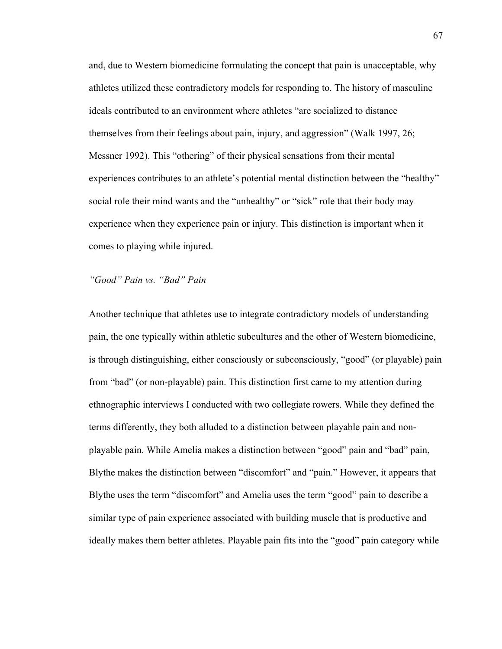and, due to Western biomedicine formulating the concept that pain is unacceptable, why athletes utilized these contradictory models for responding to. The history of masculine ideals contributed to an environment where athletes "are socialized to distance themselves from their feelings about pain, injury, and aggression" (Walk 1997, 26; Messner 1992). This "othering" of their physical sensations from their mental experiences contributes to an athlete's potential mental distinction between the "healthy" social role their mind wants and the "unhealthy" or "sick" role that their body may experience when they experience pain or injury. This distinction is important when it comes to playing while injured.

# *"Good" Pain vs. "Bad" Pain*

Another technique that athletes use to integrate contradictory models of understanding pain, the one typically within athletic subcultures and the other of Western biomedicine, is through distinguishing, either consciously or subconsciously, "good" (or playable) pain from "bad" (or non-playable) pain. This distinction first came to my attention during ethnographic interviews I conducted with two collegiate rowers. While they defined the terms differently, they both alluded to a distinction between playable pain and nonplayable pain. While Amelia makes a distinction between "good" pain and "bad" pain, Blythe makes the distinction between "discomfort" and "pain." However, it appears that Blythe uses the term "discomfort" and Amelia uses the term "good" pain to describe a similar type of pain experience associated with building muscle that is productive and ideally makes them better athletes. Playable pain fits into the "good" pain category while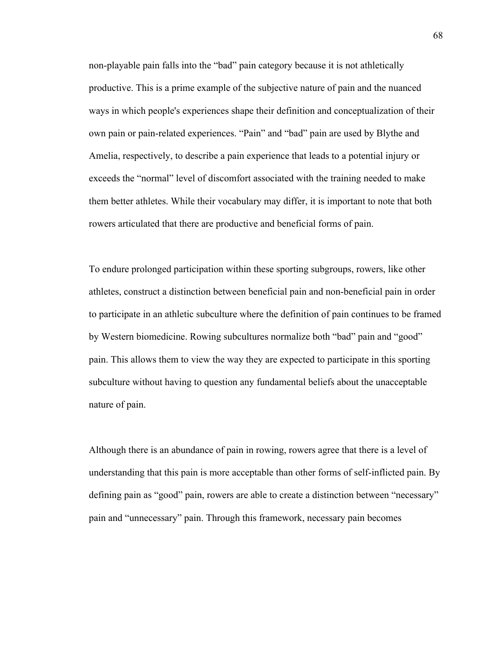non-playable pain falls into the "bad" pain category because it is not athletically productive. This is a prime example of the subjective nature of pain and the nuanced ways in which people's experiences shape their definition and conceptualization of their own pain or pain-related experiences. "Pain" and "bad" pain are used by Blythe and Amelia, respectively, to describe a pain experience that leads to a potential injury or exceeds the "normal" level of discomfort associated with the training needed to make them better athletes. While their vocabulary may differ, it is important to note that both rowers articulated that there are productive and beneficial forms of pain.

To endure prolonged participation within these sporting subgroups, rowers, like other athletes, construct a distinction between beneficial pain and non-beneficial pain in order to participate in an athletic subculture where the definition of pain continues to be framed by Western biomedicine. Rowing subcultures normalize both "bad" pain and "good" pain. This allows them to view the way they are expected to participate in this sporting subculture without having to question any fundamental beliefs about the unacceptable nature of pain.

Although there is an abundance of pain in rowing, rowers agree that there is a level of understanding that this pain is more acceptable than other forms of self-inflicted pain. By defining pain as "good" pain, rowers are able to create a distinction between "necessary" pain and "unnecessary" pain. Through this framework, necessary pain becomes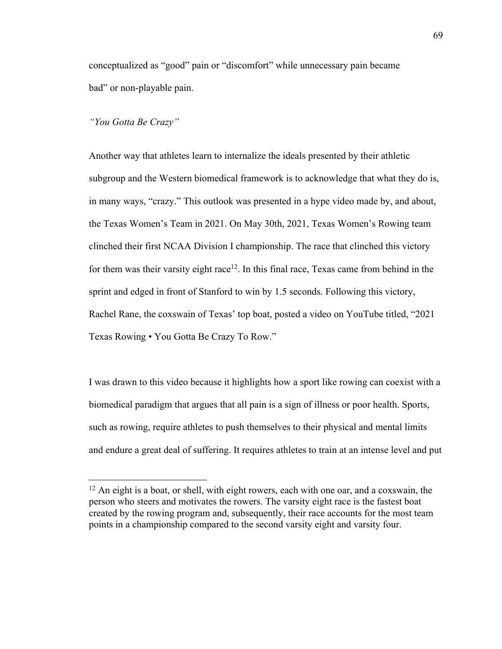conceptualized as "good" pain or "discomfort" while unnecessary pain became bad" or non-playable pain.

### *"You Gotta Be Crazy"*

Another way that athletes learn to internalize the ideals presented by their athletic subgroup and the Western biomedical framework is to acknowledge that what they do is, in many ways, "crazy." This outlook was presented in a hype video made by, and about, the Texas Women's Team in 2021. On May 30th, 2021, Texas Women's Rowing team clinched their first NCAA Division I championship. The race that clinched this victory for them was their varsity eight race<sup>12</sup>. In this final race, Texas came from behind in the sprint and edged in front of Stanford to win by 1.5 seconds. Following this victory, Rachel Rane, the coxswain of Texas' top boat, posted a video on YouTube titled, "2021 Texas Rowing • You Gotta Be Crazy To Row."

I was drawn to this video because it highlights how a sport like rowing can coexist with a biomedical paradigm that argues that all pain is a sign of illness or poor health. Sports, such as rowing, require athletes to push themselves to their physical and mental limits and endure a great deal of suffering. It requires athletes to train at an intense level and put

 $12$  An eight is a boat, or shell, with eight rowers, each with one oar, and a coxswain, the person who steers and motivates the rowers. The varsity eight race is the fastest boat created by the rowing program and, subsequently, their race accounts for the most team points in a championship compared to the second varsity eight and varsity four.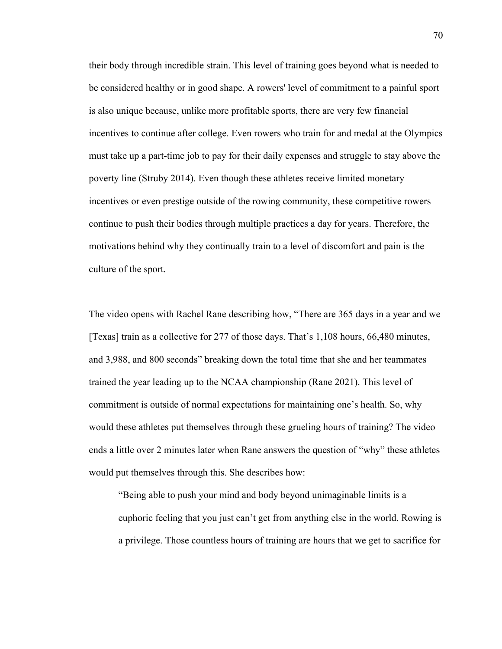their body through incredible strain. This level of training goes beyond what is needed to be considered healthy or in good shape. A rowers' level of commitment to a painful sport is also unique because, unlike more profitable sports, there are very few financial incentives to continue after college. Even rowers who train for and medal at the Olympics must take up a part-time job to pay for their daily expenses and struggle to stay above the poverty line (Struby 2014). Even though these athletes receive limited monetary incentives or even prestige outside of the rowing community, these competitive rowers continue to push their bodies through multiple practices a day for years. Therefore, the motivations behind why they continually train to a level of discomfort and pain is the culture of the sport.

The video opens with Rachel Rane describing how, "There are 365 days in a year and we [Texas] train as a collective for 277 of those days. That's 1,108 hours, 66,480 minutes, and 3,988, and 800 seconds" breaking down the total time that she and her teammates trained the year leading up to the NCAA championship (Rane 2021). This level of commitment is outside of normal expectations for maintaining one's health. So, why would these athletes put themselves through these grueling hours of training? The video ends a little over 2 minutes later when Rane answers the question of "why" these athletes would put themselves through this. She describes how:

"Being able to push your mind and body beyond unimaginable limits is a euphoric feeling that you just can't get from anything else in the world. Rowing is a privilege. Those countless hours of training are hours that we get to sacrifice for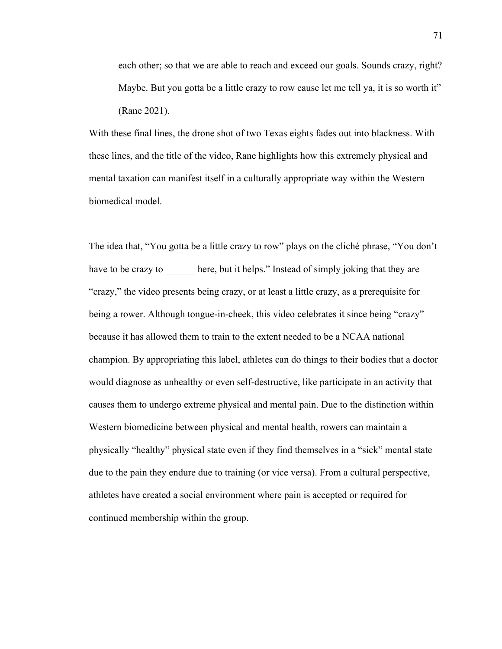each other; so that we are able to reach and exceed our goals. Sounds crazy, right? Maybe. But you gotta be a little crazy to row cause let me tell ya, it is so worth it" (Rane 2021).

With these final lines, the drone shot of two Texas eights fades out into blackness. With these lines, and the title of the video, Rane highlights how this extremely physical and mental taxation can manifest itself in a culturally appropriate way within the Western biomedical model.

The idea that, "You gotta be a little crazy to row" plays on the cliché phrase, "You don't have to be crazy to here, but it helps." Instead of simply joking that they are "crazy," the video presents being crazy, or at least a little crazy, as a prerequisite for being a rower. Although tongue-in-cheek, this video celebrates it since being "crazy" because it has allowed them to train to the extent needed to be a NCAA national champion. By appropriating this label, athletes can do things to their bodies that a doctor would diagnose as unhealthy or even self-destructive, like participate in an activity that causes them to undergo extreme physical and mental pain. Due to the distinction within Western biomedicine between physical and mental health, rowers can maintain a physically "healthy" physical state even if they find themselves in a "sick" mental state due to the pain they endure due to training (or vice versa). From a cultural perspective, athletes have created a social environment where pain is accepted or required for continued membership within the group.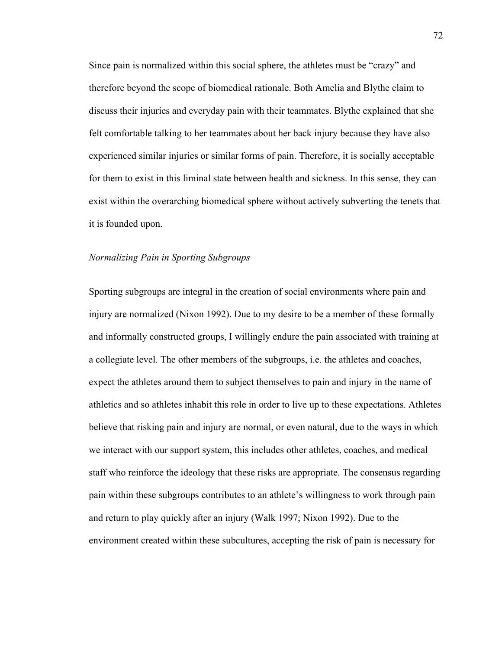Since pain is normalized within this social sphere, the athletes must be "crazy" and therefore beyond the scope of biomedical rationale. Both Amelia and Blythe claim to discuss their injuries and everyday pain with their teammates. Blythe explained that she felt comfortable talking to her teammates about her back injury because they have also experienced similar injuries or similar forms of pain. Therefore, it is socially acceptable for them to exist in this liminal state between health and sickness. In this sense, they can exist within the overarching biomedical sphere without actively subverting the tenets that it is founded upon.

### *Normalizing Pain in Sporting Subgroups*

Sporting subgroups are integral in the creation of social environments where pain and injury are normalized (Nixon 1992). Due to my desire to be a member of these formally and informally constructed groups, I willingly endure the pain associated with training at a collegiate level. The other members of the subgroups, i.e. the athletes and coaches, expect the athletes around them to subject themselves to pain and injury in the name of athletics and so athletes inhabit this role in order to live up to these expectations. Athletes believe that risking pain and injury are normal, or even natural, due to the ways in which we interact with our support system, this includes other athletes, coaches, and medical staff who reinforce the ideology that these risks are appropriate. The consensus regarding pain within these subgroups contributes to an athlete's willingness to work through pain and return to play quickly after an injury (Walk 1997; Nixon 1992). Due to the environment created within these subcultures, accepting the risk of pain is necessary for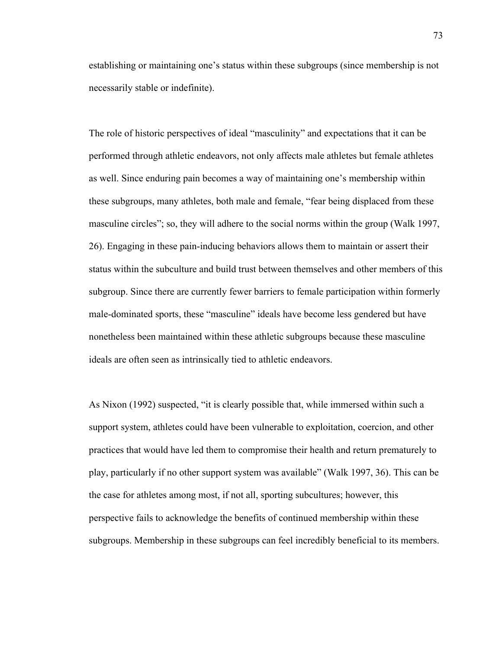establishing or maintaining one's status within these subgroups (since membership is not necessarily stable or indefinite).

The role of historic perspectives of ideal "masculinity" and expectations that it can be performed through athletic endeavors, not only affects male athletes but female athletes as well. Since enduring pain becomes a way of maintaining one's membership within these subgroups, many athletes, both male and female, "fear being displaced from these masculine circles"; so, they will adhere to the social norms within the group (Walk 1997, 26). Engaging in these pain-inducing behaviors allows them to maintain or assert their status within the subculture and build trust between themselves and other members of this subgroup. Since there are currently fewer barriers to female participation within formerly male-dominated sports, these "masculine" ideals have become less gendered but have nonetheless been maintained within these athletic subgroups because these masculine ideals are often seen as intrinsically tied to athletic endeavors.

As Nixon (1992) suspected, "it is clearly possible that, while immersed within such a support system, athletes could have been vulnerable to exploitation, coercion, and other practices that would have led them to compromise their health and return prematurely to play, particularly if no other support system was available" (Walk 1997, 36). This can be the case for athletes among most, if not all, sporting subcultures; however, this perspective fails to acknowledge the benefits of continued membership within these subgroups. Membership in these subgroups can feel incredibly beneficial to its members.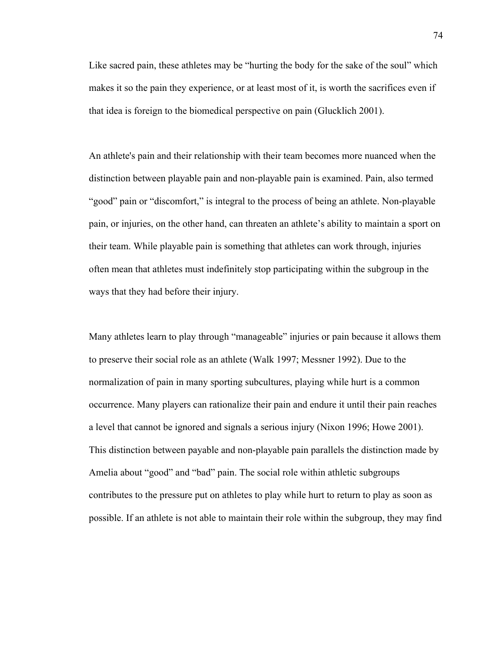Like sacred pain, these athletes may be "hurting the body for the sake of the soul" which makes it so the pain they experience, or at least most of it, is worth the sacrifices even if that idea is foreign to the biomedical perspective on pain (Glucklich 2001).

An athlete's pain and their relationship with their team becomes more nuanced when the distinction between playable pain and non-playable pain is examined. Pain, also termed "good" pain or "discomfort," is integral to the process of being an athlete. Non-playable pain, or injuries, on the other hand, can threaten an athlete's ability to maintain a sport on their team. While playable pain is something that athletes can work through, injuries often mean that athletes must indefinitely stop participating within the subgroup in the ways that they had before their injury.

Many athletes learn to play through "manageable" injuries or pain because it allows them to preserve their social role as an athlete (Walk 1997; Messner 1992). Due to the normalization of pain in many sporting subcultures, playing while hurt is a common occurrence. Many players can rationalize their pain and endure it until their pain reaches a level that cannot be ignored and signals a serious injury (Nixon 1996; Howe 2001). This distinction between payable and non-playable pain parallels the distinction made by Amelia about "good" and "bad" pain. The social role within athletic subgroups contributes to the pressure put on athletes to play while hurt to return to play as soon as possible. If an athlete is not able to maintain their role within the subgroup, they may find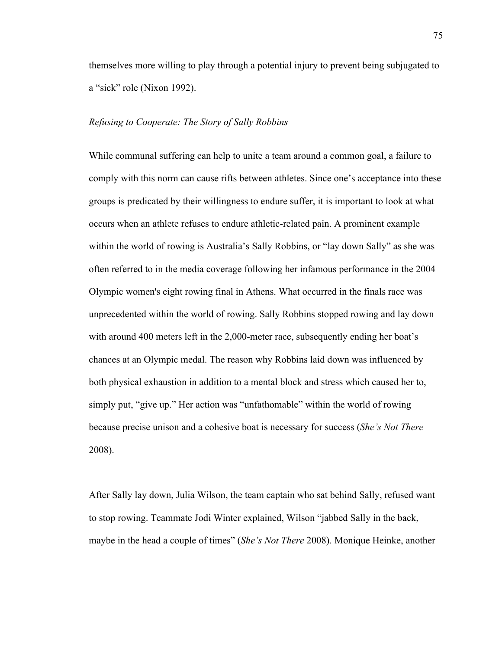themselves more willing to play through a potential injury to prevent being subjugated to a "sick" role (Nixon 1992).

### *Refusing to Cooperate: The Story of Sally Robbins*

While communal suffering can help to unite a team around a common goal, a failure to comply with this norm can cause rifts between athletes. Since one's acceptance into these groups is predicated by their willingness to endure suffer, it is important to look at what occurs when an athlete refuses to endure athletic-related pain. A prominent example within the world of rowing is Australia's Sally Robbins, or "lay down Sally" as she was often referred to in the media coverage following her infamous performance in the 2004 Olympic women's eight rowing final in Athens. What occurred in the finals race was unprecedented within the world of rowing. Sally Robbins stopped rowing and lay down with around 400 meters left in the 2,000-meter race, subsequently ending her boat's chances at an Olympic medal. The reason why Robbins laid down was influenced by both physical exhaustion in addition to a mental block and stress which caused her to, simply put, "give up." Her action was "unfathomable" within the world of rowing because precise unison and a cohesive boat is necessary for success (*She's Not There* 2008).

After Sally lay down, Julia Wilson, the team captain who sat behind Sally, refused want to stop rowing. Teammate Jodi Winter explained, Wilson "jabbed Sally in the back, maybe in the head a couple of times" (*She's Not There* 2008). Monique Heinke, another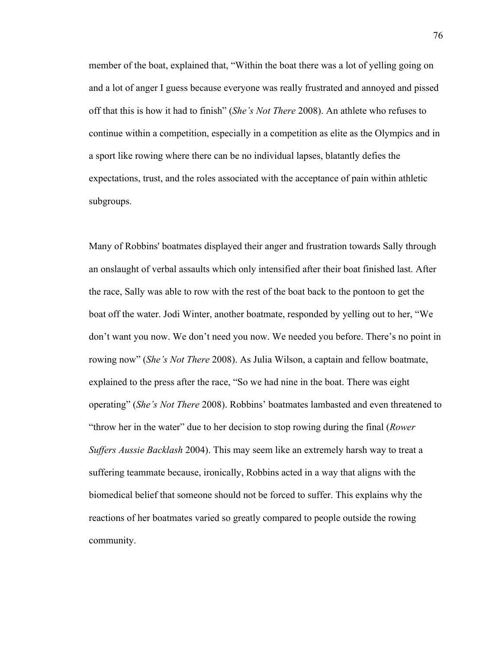member of the boat, explained that, "Within the boat there was a lot of yelling going on and a lot of anger I guess because everyone was really frustrated and annoyed and pissed off that this is how it had to finish" (*She's Not There* 2008). An athlete who refuses to continue within a competition, especially in a competition as elite as the Olympics and in a sport like rowing where there can be no individual lapses, blatantly defies the expectations, trust, and the roles associated with the acceptance of pain within athletic subgroups.

Many of Robbins' boatmates displayed their anger and frustration towards Sally through an onslaught of verbal assaults which only intensified after their boat finished last. After the race, Sally was able to row with the rest of the boat back to the pontoon to get the boat off the water. Jodi Winter, another boatmate, responded by yelling out to her, "We don't want you now. We don't need you now. We needed you before. There's no point in rowing now" (*She's Not There* 2008). As Julia Wilson, a captain and fellow boatmate, explained to the press after the race, "So we had nine in the boat. There was eight operating" (*She's Not There* 2008). Robbins' boatmates lambasted and even threatened to "throw her in the water" due to her decision to stop rowing during the final (*Rower Suffers Aussie Backlash* 2004). This may seem like an extremely harsh way to treat a suffering teammate because, ironically, Robbins acted in a way that aligns with the biomedical belief that someone should not be forced to suffer. This explains why the reactions of her boatmates varied so greatly compared to people outside the rowing community.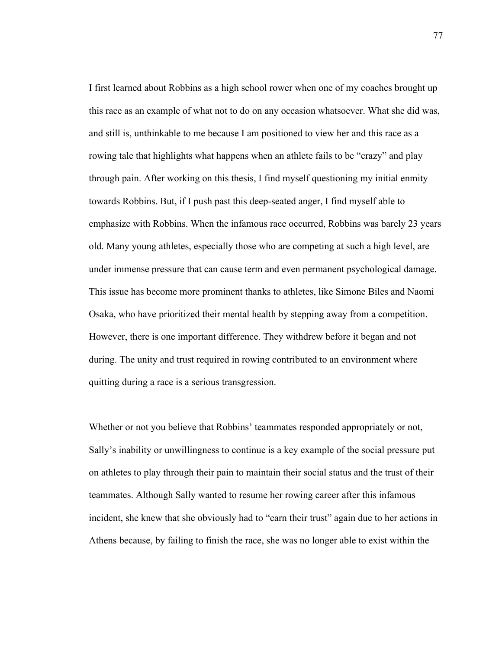I first learned about Robbins as a high school rower when one of my coaches brought up this race as an example of what not to do on any occasion whatsoever. What she did was, and still is, unthinkable to me because I am positioned to view her and this race as a rowing tale that highlights what happens when an athlete fails to be "crazy" and play through pain. After working on this thesis, I find myself questioning my initial enmity towards Robbins. But, if I push past this deep-seated anger, I find myself able to emphasize with Robbins. When the infamous race occurred, Robbins was barely 23 years old. Many young athletes, especially those who are competing at such a high level, are under immense pressure that can cause term and even permanent psychological damage. This issue has become more prominent thanks to athletes, like Simone Biles and Naomi Osaka, who have prioritized their mental health by stepping away from a competition. However, there is one important difference. They withdrew before it began and not during. The unity and trust required in rowing contributed to an environment where quitting during a race is a serious transgression.

Whether or not you believe that Robbins' teammates responded appropriately or not, Sally's inability or unwillingness to continue is a key example of the social pressure put on athletes to play through their pain to maintain their social status and the trust of their teammates. Although Sally wanted to resume her rowing career after this infamous incident, she knew that she obviously had to "earn their trust" again due to her actions in Athens because, by failing to finish the race, she was no longer able to exist within the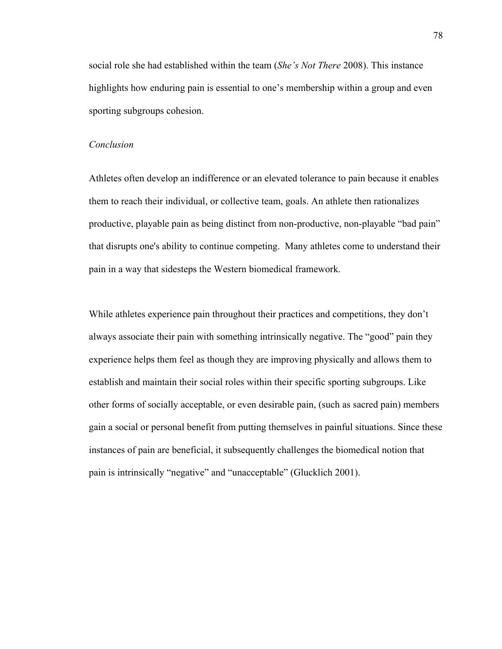social role she had established within the team (*She's Not There* 2008). This instance highlights how enduring pain is essential to one's membership within a group and even sporting subgroups cohesion.

#### *Conclusion*

Athletes often develop an indifference or an elevated tolerance to pain because it enables them to reach their individual, or collective team, goals. An athlete then rationalizes productive, playable pain as being distinct from non-productive, non-playable "bad pain" that disrupts one's ability to continue competing. Many athletes come to understand their pain in a way that sidesteps the Western biomedical framework.

While athletes experience pain throughout their practices and competitions, they don't always associate their pain with something intrinsically negative. The "good" pain they experience helps them feel as though they are improving physically and allows them to establish and maintain their social roles within their specific sporting subgroups. Like other forms of socially acceptable, or even desirable pain, (such as sacred pain) members gain a social or personal benefit from putting themselves in painful situations. Since these instances of pain are beneficial, it subsequently challenges the biomedical notion that pain is intrinsically "negative" and "unacceptable" (Glucklich 2001).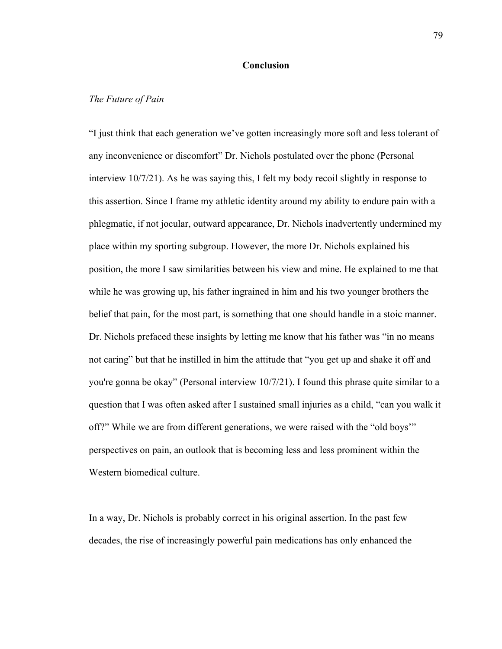### **Conclusion**

#### *The Future of Pain*

"I just think that each generation we've gotten increasingly more soft and less tolerant of any inconvenience or discomfort" Dr. Nichols postulated over the phone (Personal interview 10/7/21). As he was saying this, I felt my body recoil slightly in response to this assertion. Since I frame my athletic identity around my ability to endure pain with a phlegmatic, if not jocular, outward appearance, Dr. Nichols inadvertently undermined my place within my sporting subgroup. However, the more Dr. Nichols explained his position, the more I saw similarities between his view and mine. He explained to me that while he was growing up, his father ingrained in him and his two younger brothers the belief that pain, for the most part, is something that one should handle in a stoic manner. Dr. Nichols prefaced these insights by letting me know that his father was "in no means not caring" but that he instilled in him the attitude that "you get up and shake it off and you're gonna be okay" (Personal interview 10/7/21). I found this phrase quite similar to a question that I was often asked after I sustained small injuries as a child, "can you walk it off?" While we are from different generations, we were raised with the "old boys'" perspectives on pain, an outlook that is becoming less and less prominent within the Western biomedical culture.

In a way, Dr. Nichols is probably correct in his original assertion. In the past few decades, the rise of increasingly powerful pain medications has only enhanced the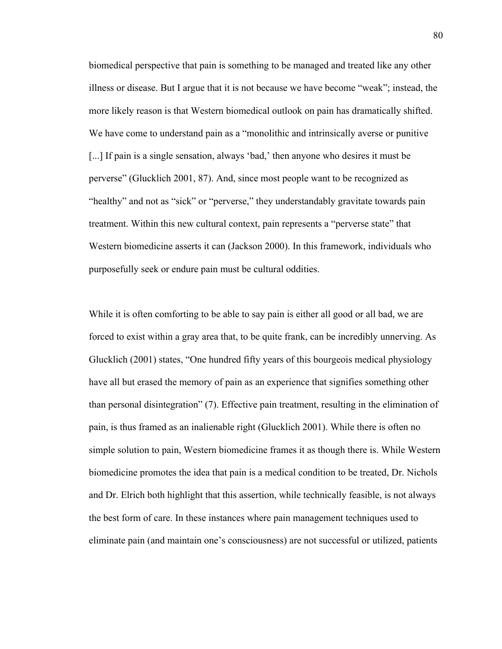biomedical perspective that pain is something to be managed and treated like any other illness or disease. But I argue that it is not because we have become "weak"; instead, the more likely reason is that Western biomedical outlook on pain has dramatically shifted. We have come to understand pain as a "monolithic and intrinsically averse or punitive [...] If pain is a single sensation, always 'bad,' then anyone who desires it must be perverse" (Glucklich 2001, 87). And, since most people want to be recognized as "healthy" and not as "sick" or "perverse," they understandably gravitate towards pain treatment. Within this new cultural context, pain represents a "perverse state" that Western biomedicine asserts it can (Jackson 2000). In this framework, individuals who purposefully seek or endure pain must be cultural oddities.

While it is often comforting to be able to say pain is either all good or all bad, we are forced to exist within a gray area that, to be quite frank, can be incredibly unnerving. As Glucklich (2001) states, "One hundred fifty years of this bourgeois medical physiology have all but erased the memory of pain as an experience that signifies something other than personal disintegration" (7). Effective pain treatment, resulting in the elimination of pain, is thus framed as an inalienable right (Glucklich 2001). While there is often no simple solution to pain, Western biomedicine frames it as though there is. While Western biomedicine promotes the idea that pain is a medical condition to be treated, Dr. Nichols and Dr. Elrich both highlight that this assertion, while technically feasible, is not always the best form of care. In these instances where pain management techniques used to eliminate pain (and maintain one's consciousness) are not successful or utilized, patients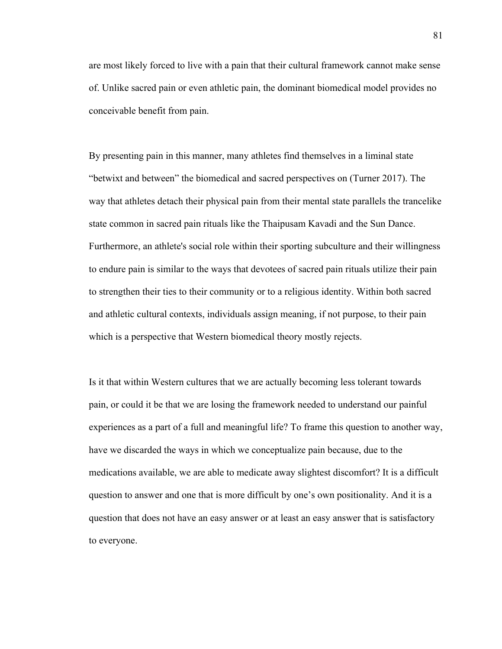are most likely forced to live with a pain that their cultural framework cannot make sense of. Unlike sacred pain or even athletic pain, the dominant biomedical model provides no conceivable benefit from pain.

By presenting pain in this manner, many athletes find themselves in a liminal state "betwixt and between" the biomedical and sacred perspectives on (Turner 2017). The way that athletes detach their physical pain from their mental state parallels the trancelike state common in sacred pain rituals like the Thaipusam Kavadi and the Sun Dance. Furthermore, an athlete's social role within their sporting subculture and their willingness to endure pain is similar to the ways that devotees of sacred pain rituals utilize their pain to strengthen their ties to their community or to a religious identity. Within both sacred and athletic cultural contexts, individuals assign meaning, if not purpose, to their pain which is a perspective that Western biomedical theory mostly rejects.

Is it that within Western cultures that we are actually becoming less tolerant towards pain, or could it be that we are losing the framework needed to understand our painful experiences as a part of a full and meaningful life? To frame this question to another way, have we discarded the ways in which we conceptualize pain because, due to the medications available, we are able to medicate away slightest discomfort? It is a difficult question to answer and one that is more difficult by one's own positionality. And it is a question that does not have an easy answer or at least an easy answer that is satisfactory to everyone.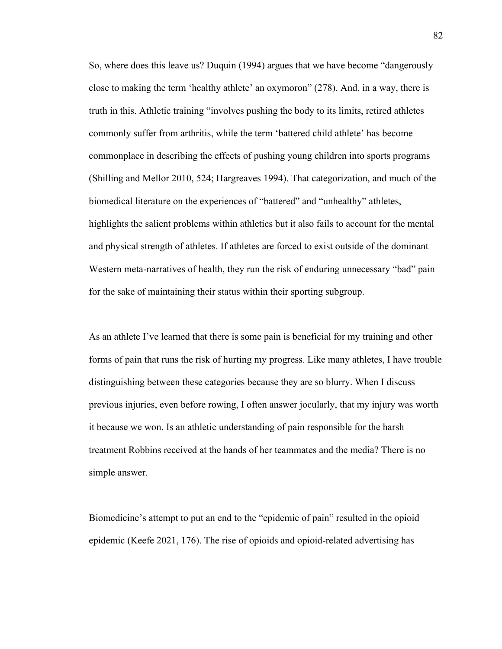So, where does this leave us? Duquin (1994) argues that we have become "dangerously close to making the term 'healthy athlete' an oxymoron" (278). And, in a way, there is truth in this. Athletic training "involves pushing the body to its limits, retired athletes commonly suffer from arthritis, while the term 'battered child athlete' has become commonplace in describing the effects of pushing young children into sports programs (Shilling and Mellor 2010, 524; Hargreaves 1994). That categorization, and much of the biomedical literature on the experiences of "battered" and "unhealthy" athletes, highlights the salient problems within athletics but it also fails to account for the mental and physical strength of athletes. If athletes are forced to exist outside of the dominant Western meta-narratives of health, they run the risk of enduring unnecessary "bad" pain for the sake of maintaining their status within their sporting subgroup.

As an athlete I've learned that there is some pain is beneficial for my training and other forms of pain that runs the risk of hurting my progress. Like many athletes, I have trouble distinguishing between these categories because they are so blurry. When I discuss previous injuries, even before rowing, I often answer jocularly, that my injury was worth it because we won. Is an athletic understanding of pain responsible for the harsh treatment Robbins received at the hands of her teammates and the media? There is no simple answer.

Biomedicine's attempt to put an end to the "epidemic of pain" resulted in the opioid epidemic (Keefe 2021, 176). The rise of opioids and opioid-related advertising has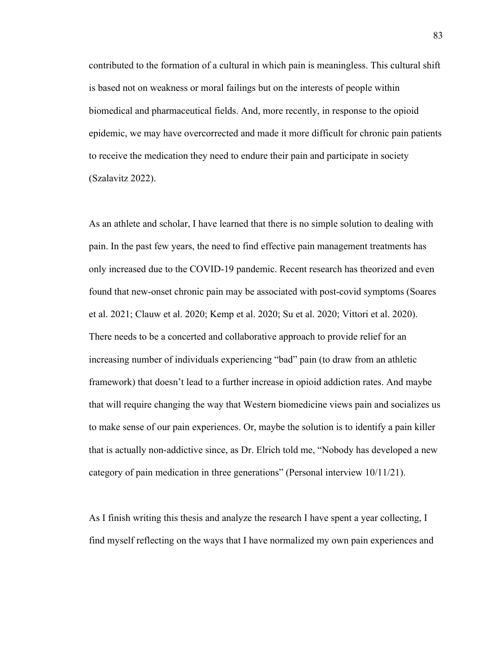contributed to the formation of a cultural in which pain is meaningless. This cultural shift is based not on weakness or moral failings but on the interests of people within biomedical and pharmaceutical fields. And, more recently, in response to the opioid epidemic, we may have overcorrected and made it more difficult for chronic pain patients to receive the medication they need to endure their pain and participate in society (Szalavitz 2022).

As an athlete and scholar, I have learned that there is no simple solution to dealing with pain. In the past few years, the need to find effective pain management treatments has only increased due to the COVID-19 pandemic. Recent research has theorized and even found that new-onset chronic pain may be associated with post-covid symptoms (Soares et al. 2021; Clauw et al. 2020; Kemp et al. 2020; Su et al. 2020; Vittori et al. 2020). There needs to be a concerted and collaborative approach to provide relief for an increasing number of individuals experiencing "bad" pain (to draw from an athletic framework) that doesn't lead to a further increase in opioid addiction rates. And maybe that will require changing the way that Western biomedicine views pain and socializes us to make sense of our pain experiences. Or, maybe the solution is to identify a pain killer that is actually non-addictive since, as Dr. Elrich told me, "Nobody has developed a new category of pain medication in three generations" (Personal interview 10/11/21).

As I finish writing this thesis and analyze the research I have spent a year collecting, I find myself reflecting on the ways that I have normalized my own pain experiences and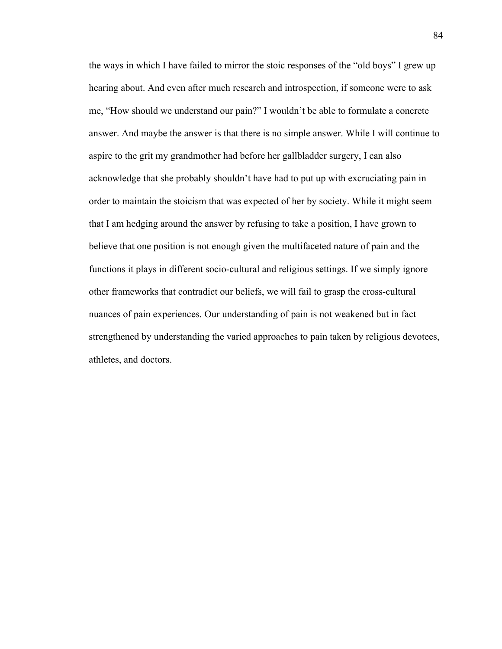the ways in which I have failed to mirror the stoic responses of the "old boys" I grew up hearing about. And even after much research and introspection, if someone were to ask me, "How should we understand our pain?" I wouldn't be able to formulate a concrete answer. And maybe the answer is that there is no simple answer. While I will continue to aspire to the grit my grandmother had before her gallbladder surgery, I can also acknowledge that she probably shouldn't have had to put up with excruciating pain in order to maintain the stoicism that was expected of her by society. While it might seem that I am hedging around the answer by refusing to take a position, I have grown to believe that one position is not enough given the multifaceted nature of pain and the functions it plays in different socio-cultural and religious settings. If we simply ignore other frameworks that contradict our beliefs, we will fail to grasp the cross-cultural nuances of pain experiences. Our understanding of pain is not weakened but in fact strengthened by understanding the varied approaches to pain taken by religious devotees, athletes, and doctors.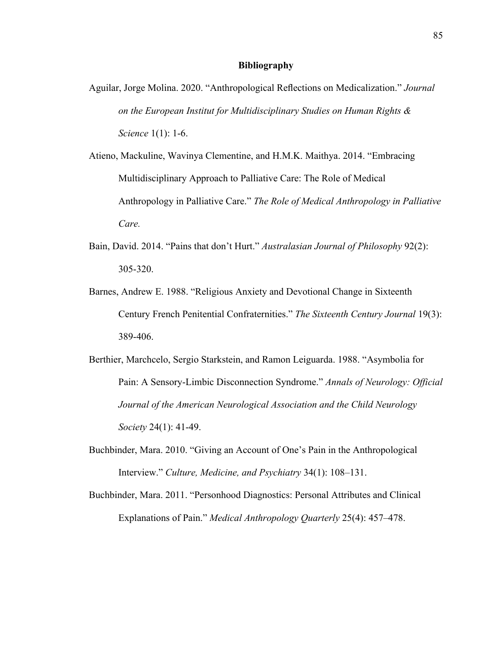#### **Bibliography**

- Aguilar, Jorge Molina. 2020. "Anthropological Reflections on Medicalization." *Journal on the European Institut for Multidisciplinary Studies on Human Rights & Science* 1(1): 1-6.
- Atieno, Mackuline, Wavinya Clementine, and H.M.K. Maithya. 2014. "Embracing Multidisciplinary Approach to Palliative Care: The Role of Medical Anthropology in Palliative Care." *The Role of Medical Anthropology in Palliative Care.*
- Bain, David. 2014. "Pains that don't Hurt." *Australasian Journal of Philosophy* 92(2): 305-320.
- Barnes, Andrew E. 1988. "Religious Anxiety and Devotional Change in Sixteenth Century French Penitential Confraternities." *The Sixteenth Century Journal* 19(3): 389-406.
- Berthier, Marchcelo, Sergio Starkstein, and Ramon Leiguarda. 1988. "Asymbolia for Pain: A Sensory-Limbic Disconnection Syndrome." *Annals of Neurology: Official Journal of the American Neurological Association and the Child Neurology Society* 24(1): 41-49.
- Buchbinder, Mara. 2010. "Giving an Account of One's Pain in the Anthropological Interview." *Culture, Medicine, and Psychiatry* 34(1): 108–131.
- Buchbinder, Mara. 2011. "Personhood Diagnostics: Personal Attributes and Clinical Explanations of Pain." *Medical Anthropology Quarterly* 25(4): 457–478.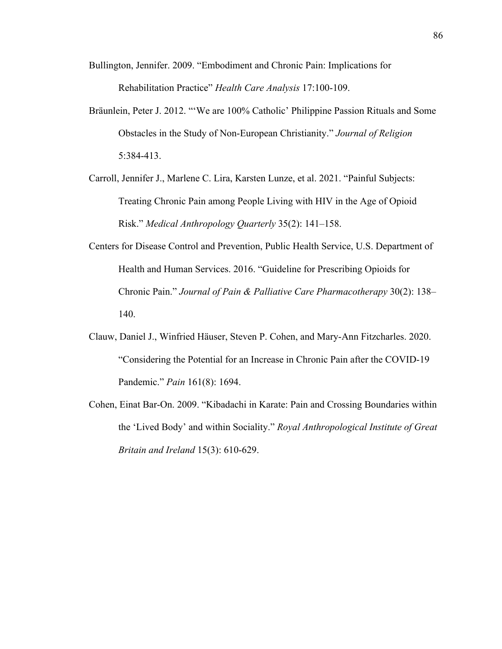- Bullington, Jennifer. 2009. "Embodiment and Chronic Pain: Implications for Rehabilitation Practice" *Health Care Analysis* 17:100-109.
- Bräunlein, Peter J. 2012. "'We are 100% Catholic' Philippine Passion Rituals and Some Obstacles in the Study of Non-European Christianity." *Journal of Religion* 5:384-413.
- Carroll, Jennifer J., Marlene C. Lira, Karsten Lunze, et al. 2021. "Painful Subjects: Treating Chronic Pain among People Living with HIV in the Age of Opioid Risk." *Medical Anthropology Quarterly* 35(2): 141–158.
- Centers for Disease Control and Prevention, Public Health Service, U.S. Department of Health and Human Services. 2016. "Guideline for Prescribing Opioids for Chronic Pain." *Journal of Pain & Palliative Care Pharmacotherapy* 30(2): 138– 140.
- Clauw, Daniel J., Winfried Häuser, Steven P. Cohen, and Mary-Ann Fitzcharles. 2020. "Considering the Potential for an Increase in Chronic Pain after the COVID-19 Pandemic." *Pain* 161(8): 1694.
- Cohen, Einat Bar-On. 2009. "Kibadachi in Karate: Pain and Crossing Boundaries within the 'Lived Body' and within Sociality." *Royal Anthropological Institute of Great Britain and Ireland* 15(3): 610-629.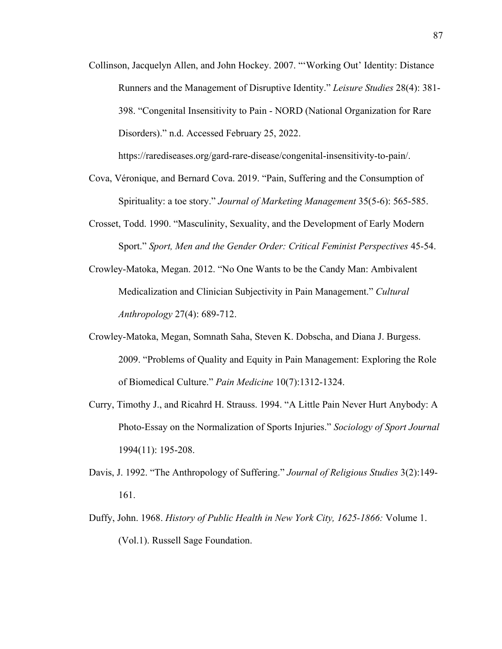Collinson, Jacquelyn Allen, and John Hockey. 2007. "'Working Out' Identity: Distance Runners and the Management of Disruptive Identity." *Leisure Studies* 28(4): 381- 398. "Congenital Insensitivity to Pain - NORD (National Organization for Rare Disorders)." n.d. Accessed February 25, 2022.

https://rarediseases.org/gard-rare-disease/congenital-insensitivity-to-pain/.

- Cova, Véronique, and Bernard Cova. 2019. "Pain, Suffering and the Consumption of Spirituality: a toe story." *Journal of Marketing Management* 35(5-6): 565-585.
- Crosset, Todd. 1990. "Masculinity, Sexuality, and the Development of Early Modern Sport." *Sport, Men and the Gender Order: Critical Feminist Perspectives* 45-54.
- Crowley-Matoka, Megan. 2012. "No One Wants to be the Candy Man: Ambivalent Medicalization and Clinician Subjectivity in Pain Management." *Cultural Anthropology* 27(4): 689-712.
- Crowley-Matoka, Megan, Somnath Saha, Steven K. Dobscha, and Diana J. Burgess. 2009. "Problems of Quality and Equity in Pain Management: Exploring the Role of Biomedical Culture." *Pain Medicine* 10(7):1312-1324.
- Curry, Timothy J., and Ricahrd H. Strauss. 1994. "A Little Pain Never Hurt Anybody: A Photo-Essay on the Normalization of Sports Injuries." *Sociology of Sport Journal* 1994(11): 195-208.
- Davis, J. 1992. "The Anthropology of Suffering." *Journal of Religious Studies* 3(2):149- 161.
- Duffy, John. 1968. *History of Public Health in New York City, 1625-1866:* Volume 1. (Vol.1). Russell Sage Foundation.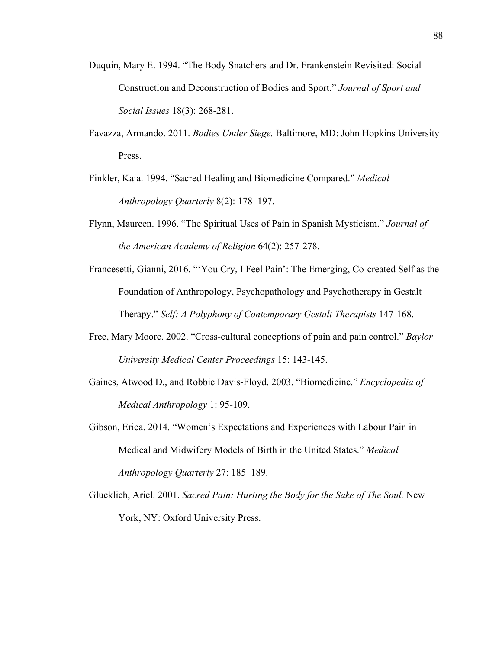- Duquin, Mary E. 1994. "The Body Snatchers and Dr. Frankenstein Revisited: Social Construction and Deconstruction of Bodies and Sport." *Journal of Sport and Social Issues* 18(3): 268-281.
- Favazza, Armando. 2011. *Bodies Under Siege.* Baltimore, MD: John Hopkins University Press.
- Finkler, Kaja. 1994. "Sacred Healing and Biomedicine Compared." *Medical Anthropology Quarterly* 8(2): 178–197.
- Flynn, Maureen. 1996. "The Spiritual Uses of Pain in Spanish Mysticism." *Journal of the American Academy of Religion* 64(2): 257-278.
- Francesetti, Gianni, 2016. "'You Cry, I Feel Pain': The Emerging, Co-created Self as the Foundation of Anthropology, Psychopathology and Psychotherapy in Gestalt Therapy." *Self: A Polyphony of Contemporary Gestalt Therapists* 147-168.
- Free, Mary Moore. 2002. "Cross-cultural conceptions of pain and pain control." *Baylor University Medical Center Proceedings* 15: 143-145.
- Gaines, Atwood D., and Robbie Davis-Floyd. 2003. "Biomedicine." *Encyclopedia of Medical Anthropology* 1: 95-109.
- Gibson, Erica. 2014. "Women's Expectations and Experiences with Labour Pain in Medical and Midwifery Models of Birth in the United States." *Medical Anthropology Quarterly* 27: 185–189.
- Glucklich, Ariel. 2001. *Sacred Pain: Hurting the Body for the Sake of The Soul.* New York, NY: Oxford University Press.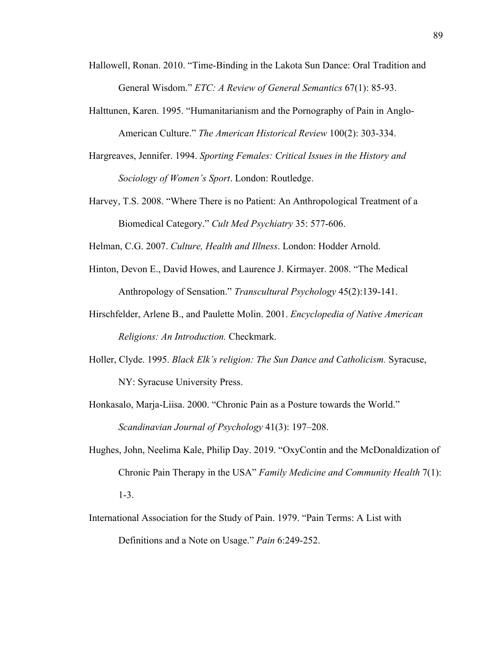- Hallowell, Ronan. 2010. "Time-Binding in the Lakota Sun Dance: Oral Tradition and General Wisdom." *ETC: A Review of General Semantics* 67(1): 85-93.
- Halttunen, Karen. 1995. "Humanitarianism and the Pornography of Pain in Anglo-American Culture." *The American Historical Review* 100(2): 303-334.
- Hargreaves, Jennifer. 1994. *Sporting Females: Critical Issues in the History and Sociology of Women's Sport*. London: Routledge.
- Harvey, T.S. 2008. "Where There is no Patient: An Anthropological Treatment of a Biomedical Category." *Cult Med Psychiatry* 35: 577-606.

Helman, C.G. 2007. *Culture, Health and Illness*. London: Hodder Arnold.

- Hinton, Devon E., David Howes, and Laurence J. Kirmayer. 2008. "The Medical Anthropology of Sensation." *Transcultural Psychology* 45(2):139-141.
- Hirschfelder, Arlene B., and Paulette Molin. 2001. *Encyclopedia of Native American Religions: An Introduction.* Checkmark.
- Holler, Clyde. 1995. *Black Elk's religion: The Sun Dance and Catholicism.* Syracuse, NY: Syracuse University Press.
- Honkasalo, Marja-Liisa. 2000. "Chronic Pain as a Posture towards the World." *Scandinavian Journal of Psychology* 41(3): 197–208.
- Hughes, John, Neelima Kale, Philip Day. 2019. "OxyContin and the McDonaldization of Chronic Pain Therapy in the USA" *Family Medicine and Community Health* 7(1): 1-3.
- International Association for the Study of Pain. 1979. "Pain Terms: A List with Definitions and a Note on Usage." *Pain* 6:249-252.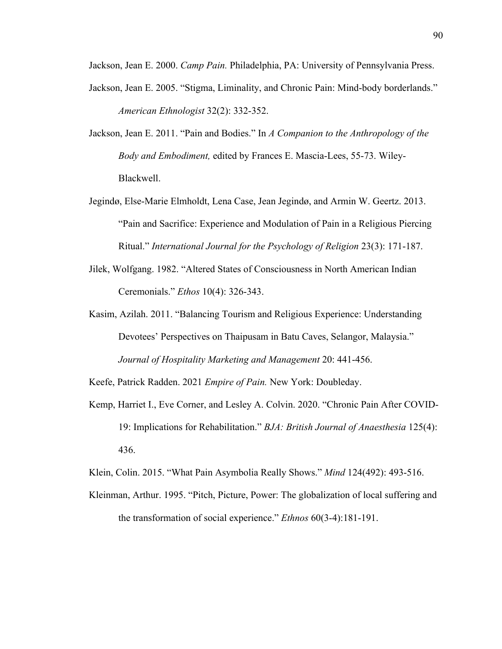Jackson, Jean E. 2000. *Camp Pain.* Philadelphia, PA: University of Pennsylvania Press.

- Jackson, Jean E. 2005. "Stigma, Liminality, and Chronic Pain: Mind-body borderlands." *American Ethnologist* 32(2): 332-352.
- Jackson, Jean E. 2011. "Pain and Bodies." In *A Companion to the Anthropology of the Body and Embodiment,* edited by Frances E. Mascia-Lees, 55-73. Wiley-Blackwell.
- Jegindø, Else-Marie Elmholdt, Lena Case, Jean Jegindø, and Armin W. Geertz. 2013. "Pain and Sacrifice: Experience and Modulation of Pain in a Religious Piercing Ritual." *International Journal for the Psychology of Religion* 23(3): 171-187.
- Jilek, Wolfgang. 1982. "Altered States of Consciousness in North American Indian Ceremonials." *Ethos* 10(4): 326-343.
- Kasim, Azilah. 2011. "Balancing Tourism and Religious Experience: Understanding Devotees' Perspectives on Thaipusam in Batu Caves, Selangor, Malaysia." *Journal of Hospitality Marketing and Management* 20: 441-456.

Keefe, Patrick Radden. 2021 *Empire of Pain.* New York: Doubleday.

Kemp, Harriet I., Eve Corner, and Lesley A. Colvin. 2020. "Chronic Pain After COVID-19: Implications for Rehabilitation." *BJA: British Journal of Anaesthesia* 125(4): 436.

Klein, Colin. 2015. "What Pain Asymbolia Really Shows." *Mind* 124(492): 493-516.

Kleinman, Arthur. 1995. "Pitch, Picture, Power: The globalization of local suffering and the transformation of social experience." *Ethnos* 60(3-4):181-191.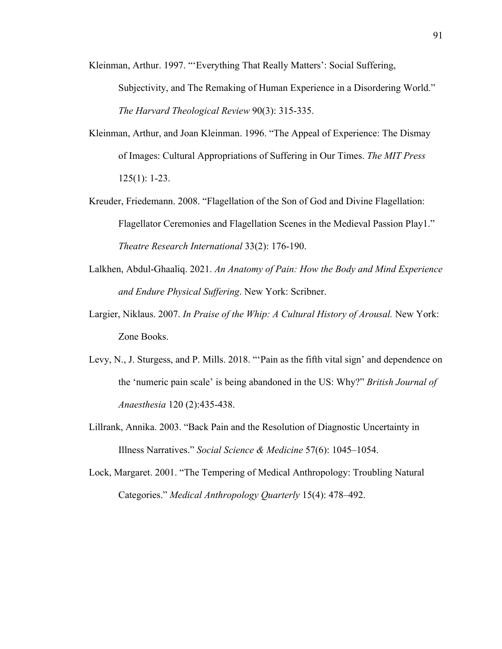Kleinman, Arthur. 1997. "'Everything That Really Matters': Social Suffering, Subjectivity, and The Remaking of Human Experience in a Disordering World." *The Harvard Theological Review* 90(3): 315-335.

- Kleinman, Arthur, and Joan Kleinman. 1996. "The Appeal of Experience: The Dismay of Images: Cultural Appropriations of Suffering in Our Times. *The MIT Press* 125(1): 1-23.
- Kreuder, Friedemann. 2008. "Flagellation of the Son of God and Divine Flagellation: Flagellator Ceremonies and Flagellation Scenes in the Medieval Passion Play1." *Theatre Research International* 33(2): 176-190.
- Lalkhen, Abdul-Ghaaliq. 2021. *An Anatomy of Pain: How the Body and Mind Experience and Endure Physical Suffering*. New York: Scribner.
- Largier, Niklaus. 2007. *In Praise of the Whip: A Cultural History of Arousal.* New York: Zone Books.
- Levy, N., J. Sturgess, and P. Mills. 2018. "'Pain as the fifth vital sign' and dependence on the 'numeric pain scale' is being abandoned in the US: Why?" *British Journal of Anaesthesia* 120 (2):435-438.
- Lillrank, Annika. 2003. "Back Pain and the Resolution of Diagnostic Uncertainty in Illness Narratives." *Social Science & Medicine* 57(6): 1045–1054.
- Lock, Margaret. 2001. "The Tempering of Medical Anthropology: Troubling Natural Categories." *Medical Anthropology Quarterly* 15(4): 478–492.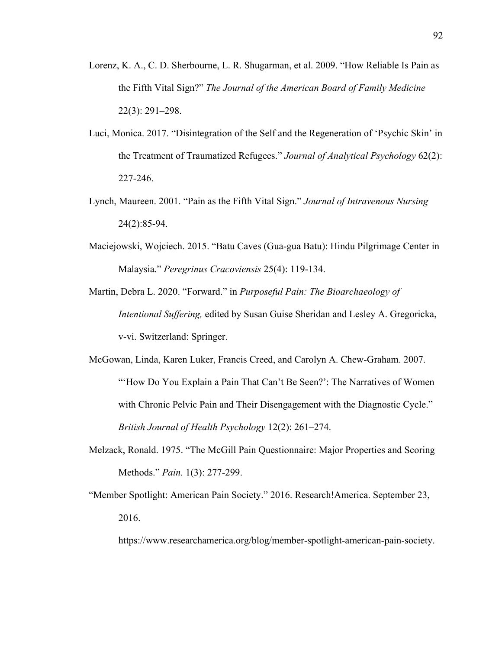- Lorenz, K. A., C. D. Sherbourne, L. R. Shugarman, et al. 2009. "How Reliable Is Pain as the Fifth Vital Sign?" *The Journal of the American Board of Family Medicine* 22(3): 291–298.
- Luci, Monica. 2017. "Disintegration of the Self and the Regeneration of 'Psychic Skin' in the Treatment of Traumatized Refugees." *Journal of Analytical Psychology* 62(2): 227-246.
- Lynch, Maureen. 2001. "Pain as the Fifth Vital Sign." *Journal of Intravenous Nursing* 24(2):85-94.
- Maciejowski, Wojciech. 2015. "Batu Caves (Gua-gua Batu): Hindu Pilgrimage Center in Malaysia." *Peregrinus Cracoviensis* 25(4): 119-134.
- Martin, Debra L. 2020. "Forward." in *Purposeful Pain: The Bioarchaeology of Intentional Suffering,* edited by Susan Guise Sheridan and Lesley A. Gregoricka, v-vi. Switzerland: Springer.
- McGowan, Linda, Karen Luker, Francis Creed, and Carolyn A. Chew-Graham. 2007. "'How Do You Explain a Pain That Can't Be Seen?': The Narratives of Women with Chronic Pelvic Pain and Their Disengagement with the Diagnostic Cycle." *British Journal of Health Psychology* 12(2): 261–274.
- Melzack, Ronald. 1975. "The McGill Pain Questionnaire: Major Properties and Scoring Methods." *Pain.* 1(3): 277-299.
- "Member Spotlight: American Pain Society." 2016. Research!America. September 23, 2016.

https://www.researchamerica.org/blog/member-spotlight-american-pain-society.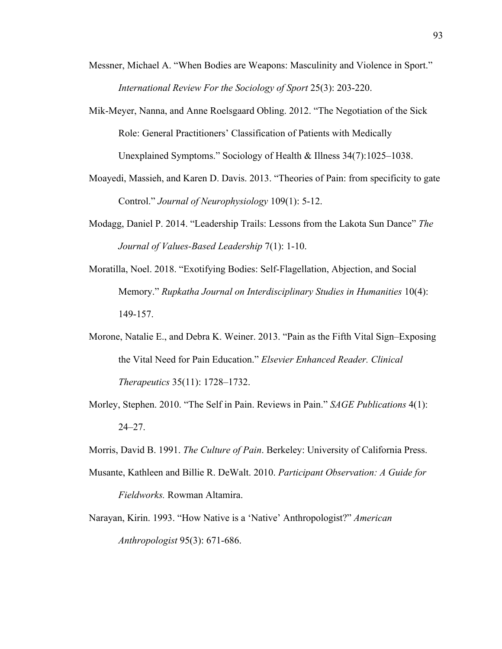- Messner, Michael A. "When Bodies are Weapons: Masculinity and Violence in Sport." *International Review For the Sociology of Sport* 25(3): 203-220.
- Mik-Meyer, Nanna, and Anne Roelsgaard Obling. 2012. "The Negotiation of the Sick Role: General Practitioners' Classification of Patients with Medically Unexplained Symptoms." Sociology of Health & Illness 34(7):1025–1038.
- Moayedi, Massieh, and Karen D. Davis. 2013. "Theories of Pain: from specificity to gate Control." *Journal of Neurophysiology* 109(1): 5-12.
- Modagg, Daniel P. 2014. "Leadership Trails: Lessons from the Lakota Sun Dance" *The Journal of Values-Based Leadership* 7(1): 1-10.
- Moratilla, Noel. 2018. "Exotifying Bodies: Self-Flagellation, Abjection, and Social Memory." *Rupkatha Journal on Interdisciplinary Studies in Humanities* 10(4): 149-157.
- Morone, Natalie E., and Debra K. Weiner. 2013. "Pain as the Fifth Vital Sign–Exposing the Vital Need for Pain Education." *Elsevier Enhanced Reader. Clinical Therapeutics* 35(11): 1728–1732.
- Morley, Stephen. 2010. "The Self in Pain. Reviews in Pain." *SAGE Publications* 4(1): 24–27.

Morris, David B. 1991. *The Culture of Pain*. Berkeley: University of California Press.

- Musante, Kathleen and Billie R. DeWalt. 2010. *Participant Observation: A Guide for Fieldworks.* Rowman Altamira.
- Narayan, Kirin. 1993. "How Native is a 'Native' Anthropologist?" *American Anthropologist* 95(3): 671-686.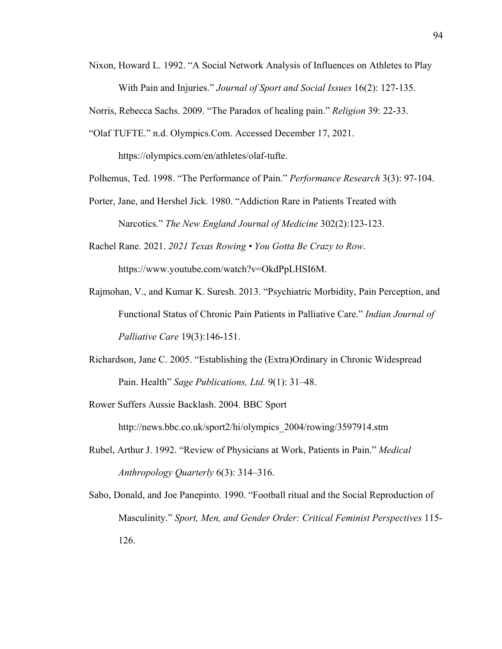Nixon, Howard L. 1992. "A Social Network Analysis of Influences on Athletes to Play With Pain and Injuries." *Journal of Sport and Social Issues* 16(2): 127-135.

Norris, Rebecca Sachs. 2009. "The Paradox of healing pain." *Religion* 39: 22-33.

"Olaf TUFTE." n.d. Olympics.Com. Accessed December 17, 2021.

https://olympics.com/en/athletes/olaf-tufte.

Polhemus, Ted. 1998. "The Performance of Pain." *Performance Research* 3(3): 97-104.

- Porter, Jane, and Hershel Jick. 1980. "Addiction Rare in Patients Treated with Narcotics." *The New England Journal of Medicine* 302(2):123-123.
- Rachel Rane. 2021. *2021 Texas Rowing You Gotta Be Crazy to Row*. https://www.youtube.com/watch?v=OkdPpLHSI6M.
- Rajmohan, V., and Kumar K. Suresh. 2013. "Psychiatric Morbidity, Pain Perception, and Functional Status of Chronic Pain Patients in Palliative Care." *Indian Journal of Palliative Care* 19(3):146-151.
- Richardson, Jane C. 2005. "Establishing the (Extra)Ordinary in Chronic Widespread Pain. Health" *Sage Publications, Ltd.* 9(1): 31–48.
- Rower Suffers Aussie Backlash. 2004. BBC Sport http://news.bbc.co.uk/sport2/hi/olympics\_2004/rowing/3597914.stm
- Rubel, Arthur J. 1992. "Review of Physicians at Work, Patients in Pain." *Medical Anthropology Quarterly* 6(3): 314–316.
- Sabo, Donald, and Joe Panepinto. 1990. "Football ritual and the Social Reproduction of Masculinity." *Sport, Men, and Gender Order: Critical Feminist Perspectives* 115- 126.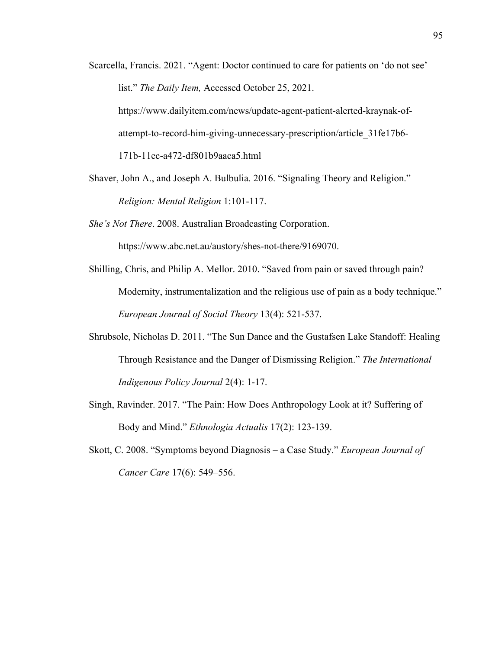- Scarcella, Francis. 2021. "Agent: Doctor continued to care for patients on 'do not see' list." *The Daily Item,* Accessed October 25, 2021. https://www.dailyitem.com/news/update-agent-patient-alerted-kraynak-ofattempt-to-record-him-giving-unnecessary-prescription/article\_31fe17b6- 171b-11ec-a472-df801b9aaca5.html
- Shaver, John A., and Joseph A. Bulbulia. 2016. "Signaling Theory and Religion." *Religion: Mental Religion* 1:101-117.
- *She's Not There*. 2008. Australian Broadcasting Corporation.

https://www.abc.net.au/austory/shes-not-there/9169070.

- Shilling, Chris, and Philip A. Mellor. 2010. "Saved from pain or saved through pain? Modernity, instrumentalization and the religious use of pain as a body technique." *European Journal of Social Theory* 13(4): 521-537.
- Shrubsole, Nicholas D. 2011. "The Sun Dance and the Gustafsen Lake Standoff: Healing Through Resistance and the Danger of Dismissing Religion." *The International Indigenous Policy Journal* 2(4): 1-17.
- Singh, Ravinder. 2017. "The Pain: How Does Anthropology Look at it? Suffering of Body and Mind." *Ethnologia Actualis* 17(2): 123-139.
- Skott, C. 2008. "Symptoms beyond Diagnosis a Case Study." *European Journal of Cancer Care* 17(6): 549–556.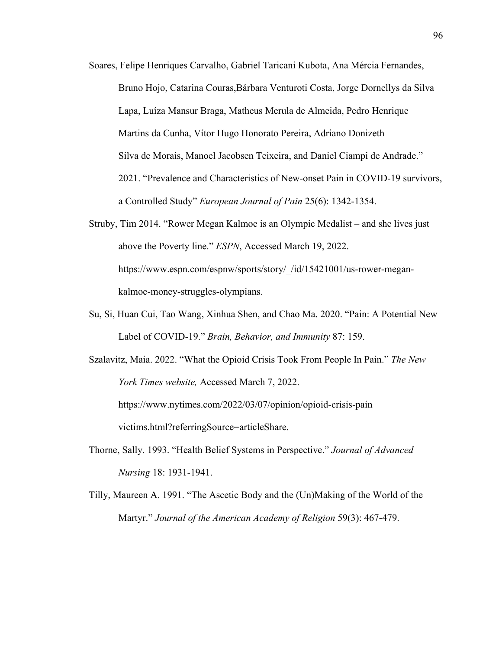- Soares, Felipe Henriques Carvalho, Gabriel Taricani Kubota, Ana Mércia Fernandes, Bruno Hojo, Catarina Couras,Bárbara Venturoti Costa, Jorge Dornellys da Silva Lapa, Luíza Mansur Braga, Matheus Merula de Almeida, Pedro Henrique Martins da Cunha, Vítor Hugo Honorato Pereira, Adriano Donizeth Silva de Morais, Manoel Jacobsen Teixeira, and Daniel Ciampi de Andrade." 2021. "Prevalence and Characteristics of New-onset Pain in COVID-19 survivors, a Controlled Study" *European Journal of Pain* 25(6): 1342-1354.
- Struby, Tim 2014. "Rower Megan Kalmoe is an Olympic Medalist and she lives just above the Poverty line." *ESPN*, Accessed March 19, 2022. https://www.espn.com/espnw/sports/story/\_/id/15421001/us-rower-megankalmoe-money-struggles-olympians.
- Su, Si, Huan Cui, Tao Wang, Xinhua Shen, and Chao Ma. 2020. "Pain: A Potential New Label of COVID-19." *Brain, Behavior, and Immunity* 87: 159.
- Szalavitz, Maia. 2022. "What the Opioid Crisis Took From People In Pain." *The New York Times website,* Accessed March 7, 2022.

https://www.nytimes.com/2022/03/07/opinion/opioid-crisis-pain victims.html?referringSource=articleShare.

- Thorne, Sally. 1993. "Health Belief Systems in Perspective." *Journal of Advanced Nursing* 18: 1931-1941.
- Tilly, Maureen A. 1991. "The Ascetic Body and the (Un)Making of the World of the Martyr." *Journal of the American Academy of Religion* 59(3): 467-479.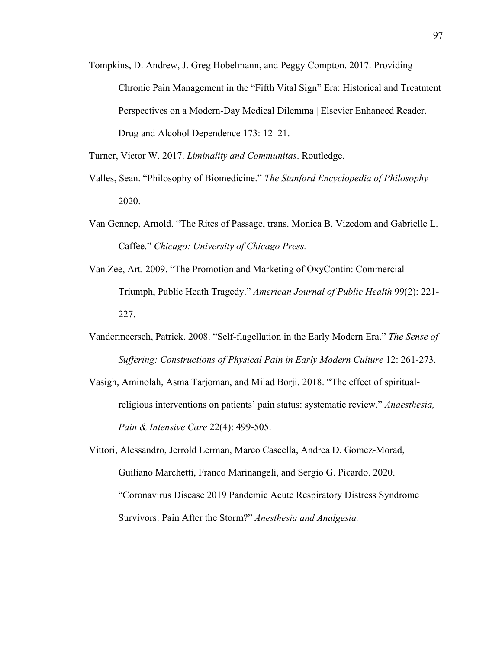Tompkins, D. Andrew, J. Greg Hobelmann, and Peggy Compton. 2017. Providing Chronic Pain Management in the "Fifth Vital Sign" Era: Historical and Treatment Perspectives on a Modern-Day Medical Dilemma | Elsevier Enhanced Reader. Drug and Alcohol Dependence 173: 12–21.

Turner, Victor W. 2017. *Liminality and Communitas*. Routledge.

- Valles, Sean. "Philosophy of Biomedicine." *The Stanford Encyclopedia of Philosophy* 2020.
- Van Gennep, Arnold. "The Rites of Passage, trans. Monica B. Vizedom and Gabrielle L. Caffee." *Chicago: University of Chicago Press.*
- Van Zee, Art. 2009. "The Promotion and Marketing of OxyContin: Commercial Triumph, Public Heath Tragedy." *American Journal of Public Health* 99(2): 221- 227.
- Vandermeersch, Patrick. 2008. "Self-flagellation in the Early Modern Era." *The Sense of Suffering: Constructions of Physical Pain in Early Modern Culture* 12: 261-273.
- Vasigh, Aminolah, Asma Tarjoman, and Milad Borji. 2018. "The effect of spiritualreligious interventions on patients' pain status: systematic review." *Anaesthesia, Pain & Intensive Care* 22(4): 499-505.
- Vittori, Alessandro, Jerrold Lerman, Marco Cascella, Andrea D. Gomez-Morad, Guiliano Marchetti, Franco Marinangeli, and Sergio G. Picardo. 2020. "Coronavirus Disease 2019 Pandemic Acute Respiratory Distress Syndrome Survivors: Pain After the Storm?" *Anesthesia and Analgesia.*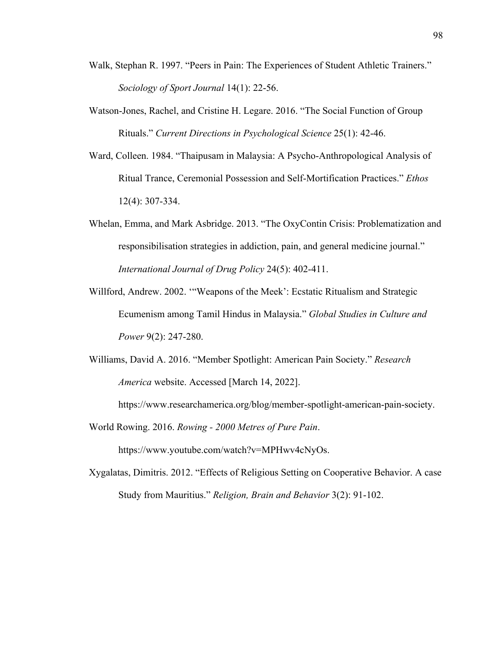- Walk, Stephan R. 1997. "Peers in Pain: The Experiences of Student Athletic Trainers." *Sociology of Sport Journal* 14(1): 22-56.
- Watson-Jones, Rachel, and Cristine H. Legare. 2016. "The Social Function of Group Rituals." *Current Directions in Psychological Science* 25(1): 42-46.
- Ward, Colleen. 1984. "Thaipusam in Malaysia: A Psycho-Anthropological Analysis of Ritual Trance, Ceremonial Possession and Self-Mortification Practices." *Ethos* 12(4): 307-334.
- Whelan, Emma, and Mark Asbridge. 2013. "The OxyContin Crisis: Problematization and responsibilisation strategies in addiction, pain, and general medicine journal." *International Journal of Drug Policy* 24(5): 402-411.
- Willford, Andrew. 2002. '"Weapons of the Meek': Ecstatic Ritualism and Strategic Ecumenism among Tamil Hindus in Malaysia." *Global Studies in Culture and Power* 9(2): 247-280.
- Williams, David A. 2016. "Member Spotlight: American Pain Society." *Research America* website. Accessed [March 14, 2022].

https://www.researchamerica.org/blog/member-spotlight-american-pain-society.

World Rowing. 2016. *Rowing - 2000 Metres of Pure Pain*.

https://www.youtube.com/watch?v=MPHwv4cNyOs.

Xygalatas, Dimitris. 2012. "Effects of Religious Setting on Cooperative Behavior. A case Study from Mauritius." *Religion, Brain and Behavior* 3(2): 91-102.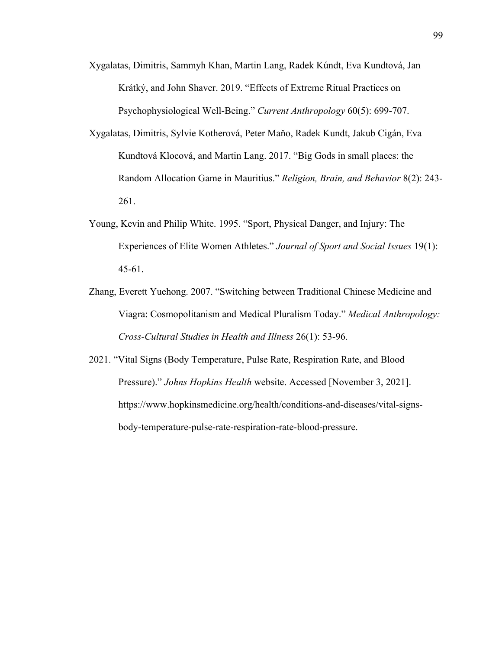Xygalatas, Dimitris, Sammyh Khan, Martin Lang, Radek Kúndt, Eva Kundtová, Jan Krátký, and John Shaver. 2019. "Effects of Extreme Ritual Practices on Psychophysiological Well-Being." *Current Anthropology* 60(5): 699-707.

- Xygalatas, Dimitris, Sylvie Kotherová, Peter Maňo, Radek Kundt, Jakub Cigán, Eva Kundtová Klocová, and Martin Lang. 2017. "Big Gods in small places: the Random Allocation Game in Mauritius." *Religion, Brain, and Behavior* 8(2): 243- 261.
- Young, Kevin and Philip White. 1995. "Sport, Physical Danger, and Injury: The Experiences of Elite Women Athletes." *Journal of Sport and Social Issues* 19(1): 45-61.
- Zhang, Everett Yuehong. 2007. "Switching between Traditional Chinese Medicine and Viagra: Cosmopolitanism and Medical Pluralism Today." *Medical Anthropology: Cross-Cultural Studies in Health and Illness* 26(1): 53-96.
- 2021. "Vital Signs (Body Temperature, Pulse Rate, Respiration Rate, and Blood Pressure)." *Johns Hopkins Health* website. Accessed [November 3, 2021]. https://www.hopkinsmedicine.org/health/conditions-and-diseases/vital-signsbody-temperature-pulse-rate-respiration-rate-blood-pressure.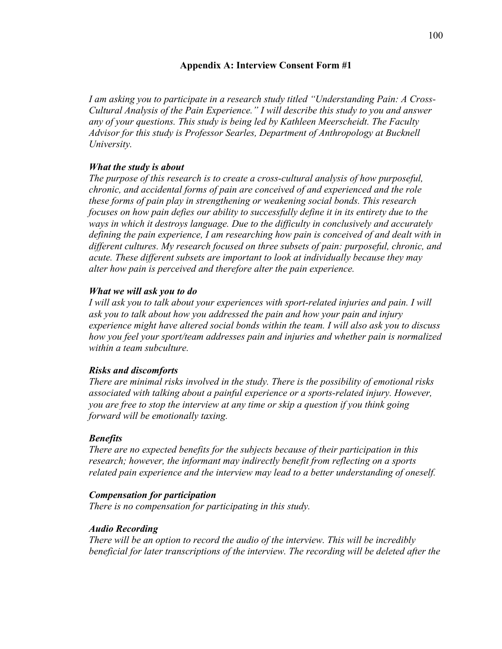## **Appendix A: Interview Consent Form #1**

*I am asking you to participate in a research study titled "Understanding Pain: A Cross-Cultural Analysis of the Pain Experience." I will describe this study to you and answer any of your questions. This study is being led by Kathleen Meerscheidt. The Faculty Advisor for this study is Professor Searles, Department of Anthropology at Bucknell University.*

# *What the study is about*

*The purpose of this research is to create a cross-cultural analysis of how purposeful, chronic, and accidental forms of pain are conceived of and experienced and the role these forms of pain play in strengthening or weakening social bonds. This research focuses on how pain defies our ability to successfully define it in its entirety due to the ways in which it destroys language. Due to the difficulty in conclusively and accurately defining the pain experience, I am researching how pain is conceived of and dealt with in different cultures. My research focused on three subsets of pain: purposeful, chronic, and acute. These different subsets are important to look at individually because they may alter how pain is perceived and therefore alter the pain experience.*

## *What we will ask you to do*

*I* will ask you to talk about your experiences with sport-related injuries and pain. I will *ask you to talk about how you addressed the pain and how your pain and injury experience might have altered social bonds within the team. I will also ask you to discuss how you feel your sport/team addresses pain and injuries and whether pain is normalized within a team subculture.*

# *Risks and discomforts*

*There are minimal risks involved in the study. There is the possibility of emotional risks associated with talking about a painful experience or a sports-related injury. However, you are free to stop the interview at any time or skip a question if you think going forward will be emotionally taxing.*

# *Benefits*

*There are no expected benefits for the subjects because of their participation in this research; however, the informant may indirectly benefit from reflecting on a sports related pain experience and the interview may lead to a better understanding of oneself.*

## *Compensation for participation*

*There is no compensation for participating in this study.*

## *Audio Recording*

*There will be an option to record the audio of the interview. This will be incredibly beneficial for later transcriptions of the interview. The recording will be deleted after the*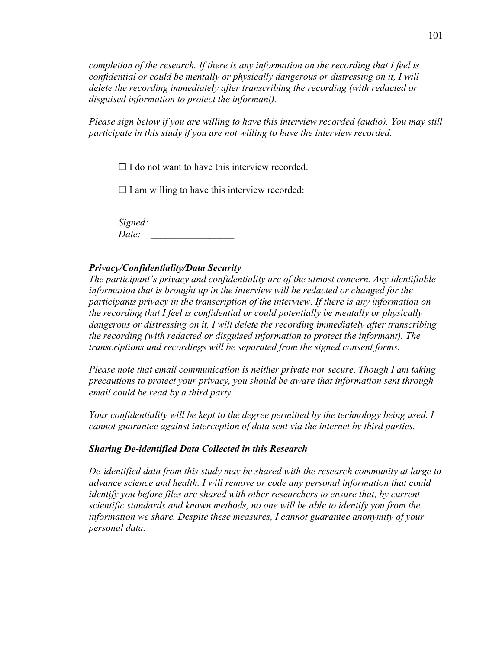*completion of the research. If there is any information on the recording that I feel is confidential or could be mentally or physically dangerous or distressing on it, I will delete the recording immediately after transcribing the recording (with redacted or disguised information to protect the informant).*

*Please sign below if you are willing to have this interview recorded (audio). You may still participate in this study if you are not willing to have the interview recorded.*

 $\Box$  I do not want to have this interview recorded.

 $\Box$  I am willing to have this interview recorded:

*Signed: Date: \_***\_\_\_\_\_\_\_\_\_\_\_\_\_\_\_\_\_** 

## *Privacy/Confidentiality/Data Security*

*The participant's privacy and confidentiality are of the utmost concern. Any identifiable information that is brought up in the interview will be redacted or changed for the participants privacy in the transcription of the interview. If there is any information on the recording that I feel is confidential or could potentially be mentally or physically dangerous or distressing on it, I will delete the recording immediately after transcribing the recording (with redacted or disguised information to protect the informant). The transcriptions and recordings will be separated from the signed consent forms.*

*Please note that email communication is neither private nor secure. Though I am taking precautions to protect your privacy, you should be aware that information sent through email could be read by a third party.*

*Your confidentiality will be kept to the degree permitted by the technology being used. I cannot guarantee against interception of data sent via the internet by third parties.*

## *Sharing De-identified Data Collected in this Research*

*De-identified data from this study may be shared with the research community at large to advance science and health. I will remove or code any personal information that could identify you before files are shared with other researchers to ensure that, by current scientific standards and known methods, no one will be able to identify you from the information we share. Despite these measures, I cannot guarantee anonymity of your personal data.*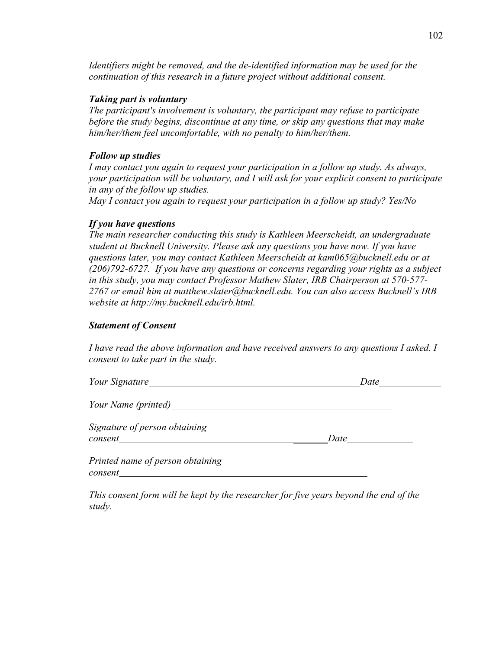*Identifiers might be removed, and the de-identified information may be used for the continuation of this research in a future project without additional consent.*

### *Taking part is voluntary*

*The participant's involvement is voluntary, the participant may refuse to participate before the study begins, discontinue at any time, or skip any questions that may make him/her/them feel uncomfortable, with no penalty to him/her/them.*

## *Follow up studies*

*I may contact you again to request your participation in a follow up study. As always, your participation will be voluntary, and I will ask for your explicit consent to participate in any of the follow up studies.*

*May I contact you again to request your participation in a follow up study? Yes/No*

### *If you have questions*

*The main researcher conducting this study is Kathleen Meerscheidt, an undergraduate student at Bucknell University. Please ask any questions you have now. If you have questions later, you may contact Kathleen Meerscheidt at kam065@bucknell.edu or at (206)792-6727. If you have any questions or concerns regarding your rights as a subject in this study, you may contact Professor Mathew Slater, IRB Chairperson at 570-577- 2767 or email him at matthew.slater@bucknell.edu. You can also access Bucknell's IRB website at http://my.bucknell.edu/irb.html.*

### *Statement of Consent*

*I have read the above information and have received answers to any questions I asked. I consent to take part in the study.*

| Your Signature                              | Date |
|---------------------------------------------|------|
| Your Name (printed)                         |      |
| Signature of person obtaining<br>consent    | Date |
| Printed name of person obtaining<br>consent |      |

*This consent form will be kept by the researcher for five years beyond the end of the study.*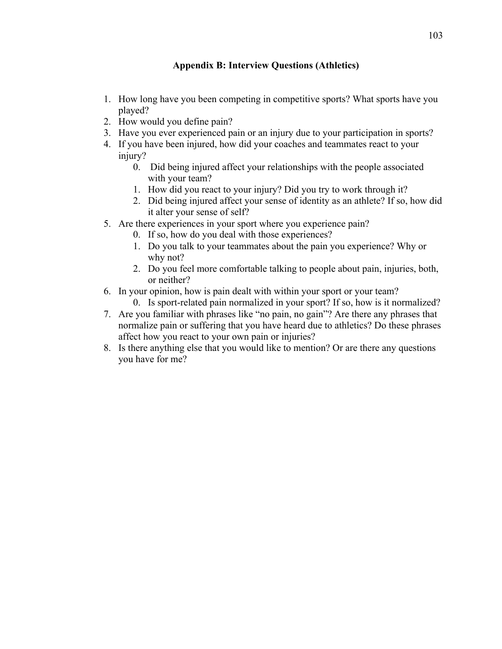# **Appendix B: Interview Questions (Athletics)**

- 1. How long have you been competing in competitive sports? What sports have you played?
- 2. How would you define pain?
- 3. Have you ever experienced pain or an injury due to your participation in sports?
- 4. If you have been injured, how did your coaches and teammates react to your injury?
	- 0. Did being injured affect your relationships with the people associated with your team?
	- 1. How did you react to your injury? Did you try to work through it?
	- 2. Did being injured affect your sense of identity as an athlete? If so, how did it alter your sense of self?
- 5. Are there experiences in your sport where you experience pain?
	- 0. If so, how do you deal with those experiences?
	- 1. Do you talk to your teammates about the pain you experience? Why or why not?
	- 2. Do you feel more comfortable talking to people about pain, injuries, both, or neither?
- 6. In your opinion, how is pain dealt with within your sport or your team?
	- 0. Is sport-related pain normalized in your sport? If so, how is it normalized?
- 7. Are you familiar with phrases like "no pain, no gain"? Are there any phrases that normalize pain or suffering that you have heard due to athletics? Do these phrases affect how you react to your own pain or injuries?
- 8. Is there anything else that you would like to mention? Or are there any questions you have for me?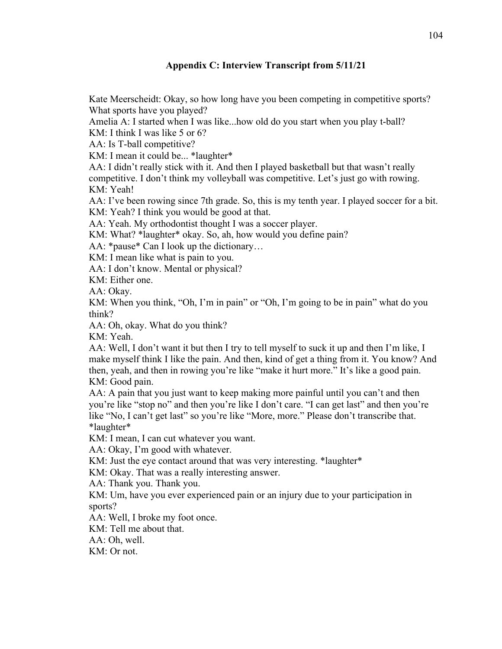# **Appendix C: Interview Transcript from 5/11/21**

Kate Meerscheidt: Okay, so how long have you been competing in competitive sports? What sports have you played?

Amelia A: I started when I was like...how old do you start when you play t-ball?

KM: I think I was like 5 or 6?

AA: Is T-ball competitive?

KM: I mean it could be... \*laughter\*

AA: I didn't really stick with it. And then I played basketball but that wasn't really competitive. I don't think my volleyball was competitive. Let's just go with rowing. KM: Yeah!

AA: I've been rowing since 7th grade. So, this is my tenth year. I played soccer for a bit. KM: Yeah? I think you would be good at that.

AA: Yeah. My orthodontist thought I was a soccer player.

KM: What? \*laughter\* okay. So, ah, how would you define pain?

AA: \*pause\* Can I look up the dictionary...

KM: I mean like what is pain to you.

AA: I don't know. Mental or physical?

KM: Either one.

AA: Okay.

KM: When you think, "Oh, I'm in pain" or "Oh, I'm going to be in pain" what do you think?

AA: Oh, okay. What do you think?

KM: Yeah.

AA: Well, I don't want it but then I try to tell myself to suck it up and then I'm like, I make myself think I like the pain. And then, kind of get a thing from it. You know? And then, yeah, and then in rowing you're like "make it hurt more." It's like a good pain. KM: Good pain.

AA: A pain that you just want to keep making more painful until you can't and then you're like "stop no" and then you're like I don't care. "I can get last" and then you're like "No, I can't get last" so you're like "More, more." Please don't transcribe that. \*laughter\*

KM: I mean, I can cut whatever you want.

AA: Okay, I'm good with whatever.

KM: Just the eye contact around that was very interesting. \*laughter\*

KM: Okay. That was a really interesting answer.

AA: Thank you. Thank you.

KM: Um, have you ever experienced pain or an injury due to your participation in sports?

AA: Well, I broke my foot once.

KM: Tell me about that.

AA: Oh, well.

KM: Or not.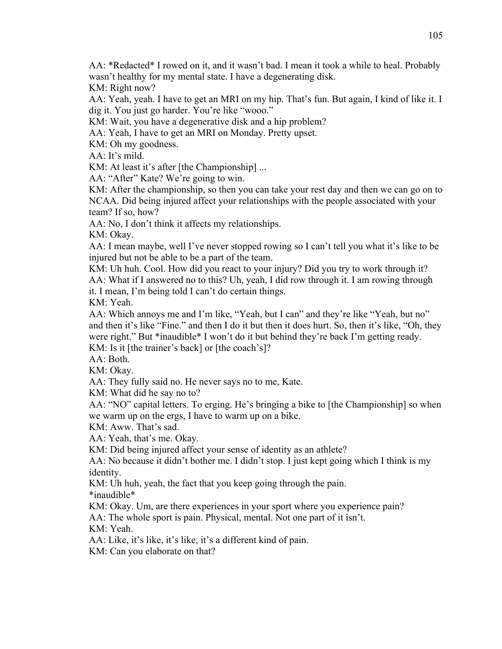AA: \*Redacted\* I rowed on it, and it wasn't bad. I mean it took a while to heal. Probably wasn't healthy for my mental state. I have a degenerating disk.

KM: Right now?

AA: Yeah, yeah. I have to get an MRI on my hip. That's fun. But again, I kind of like it. I dig it. You just go harder. You're like "wooo."

KM: Wait, you have a degenerative disk and a hip problem?

AA: Yeah, I have to get an MRI on Monday. Pretty upset.

KM: Oh my goodness.

AA: It's mild.

KM: At least it's after [the Championship] ...

AA: "After" Kate? We're going to win.

KM: After the championship, so then you can take your rest day and then we can go on to NCAA. Did being injured affect your relationships with the people associated with your team? If so, how?

AA: No, I don't think it affects my relationships.

KM: Okay.

AA: I mean maybe, well I've never stopped rowing so I can't tell you what it's like to be injured but not be able to be a part of the team.

KM: Uh huh. Cool. How did you react to your injury? Did you try to work through it? AA: What if I answered no to this? Uh, yeah, I did row through it. I am rowing through it. I mean, I'm being told I can't do certain things.

KM: Yeah.

AA: Which annoys me and I'm like, "Yeah, but I can" and they're like "Yeah, but no" and then it's like "Fine." and then I do it but then it does hurt. So, then it's like, "Oh, they were right." But \*inaudible\* I won't do it but behind they're back I'm getting ready. KM: Is it [the trainer's back] or [the coach's]?

AA: Both.

KM: Okay.

AA: They fully said no. He never says no to me, Kate.

KM: What did he say no to?

AA: "NO" capital letters. To erging. He's bringing a bike to [the Championship] so when we warm up on the ergs, I have to warm up on a bike.

KM: Aww. That's sad.

AA: Yeah, that's me. Okay.

KM: Did being injured affect your sense of identity as an athlete?

AA: No because it didn't bother me. I didn't stop. I just kept going which I think is my identity.

KM: Uh huh, yeah, the fact that you keep going through the pain.

\*inaudible\*

KM: Okay. Um, are there experiences in your sport where you experience pain?

AA: The whole sport is pain. Physical, mental. Not one part of it isn't.

KM: Yeah.

AA: Like, it's like, it's like, it's a different kind of pain.

KM: Can you elaborate on that?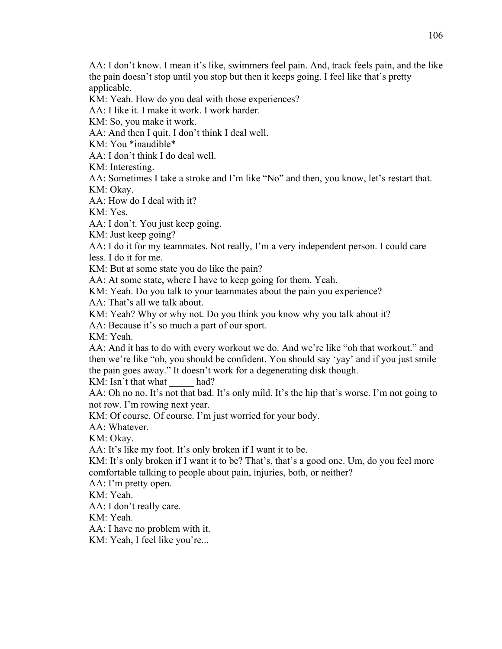AA: I don't know. I mean it's like, swimmers feel pain. And, track feels pain, and the like the pain doesn't stop until you stop but then it keeps going. I feel like that's pretty applicable.

KM: Yeah. How do you deal with those experiences?

AA: I like it. I make it work. I work harder.

KM: So, you make it work.

AA: And then I quit. I don't think I deal well.

KM: You \*inaudible\*

AA: I don't think I do deal well.

KM: Interesting.

AA: Sometimes I take a stroke and I'm like "No" and then, you know, let's restart that. KM: Okay.

AA: How do I deal with it?

KM: Yes.

AA: I don't. You just keep going.

KM: Just keep going?

AA: I do it for my teammates. Not really, I'm a very independent person. I could care less. I do it for me.

KM: But at some state you do like the pain?

AA: At some state, where I have to keep going for them. Yeah.

KM: Yeah. Do you talk to your teammates about the pain you experience?

AA: That's all we talk about.

KM: Yeah? Why or why not. Do you think you know why you talk about it?

AA: Because it's so much a part of our sport.

KM: Yeah.

AA: And it has to do with every workout we do. And we're like "oh that workout." and then we're like "oh, you should be confident. You should say 'yay' and if you just smile the pain goes away." It doesn't work for a degenerating disk though.

KM: Isn't that what had?

AA: Oh no no. It's not that bad. It's only mild. It's the hip that's worse. I'm not going to not row. I'm rowing next year.

KM: Of course. Of course. I'm just worried for your body.

AA: Whatever.

KM: Okay.

AA: It's like my foot. It's only broken if I want it to be.

KM: It's only broken if I want it to be? That's, that's a good one. Um, do you feel more comfortable talking to people about pain, injuries, both, or neither?

AA: I'm pretty open.

KM: Yeah.

AA: I don't really care.

KM: Yeah.

AA: I have no problem with it.

KM: Yeah, I feel like you're...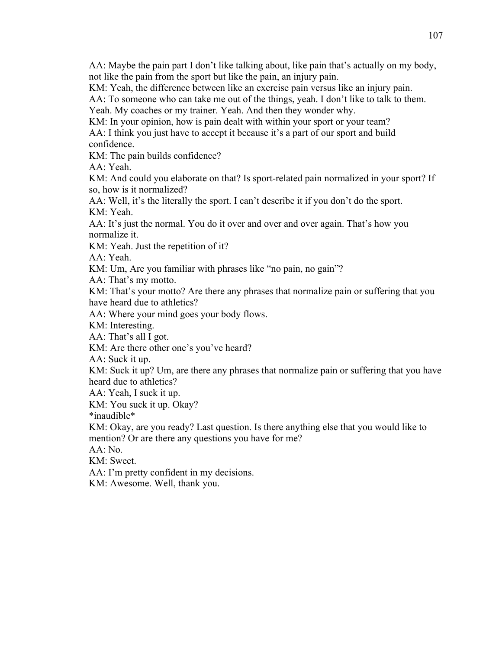AA: Maybe the pain part I don't like talking about, like pain that's actually on my body, not like the pain from the sport but like the pain, an injury pain.

KM: Yeah, the difference between like an exercise pain versus like an injury pain.

AA: To someone who can take me out of the things, yeah. I don't like to talk to them.

Yeah. My coaches or my trainer. Yeah. And then they wonder why.

KM: In your opinion, how is pain dealt with within your sport or your team?

AA: I think you just have to accept it because it's a part of our sport and build confidence.

KM: The pain builds confidence?

AA: Yeah.

KM: And could you elaborate on that? Is sport-related pain normalized in your sport? If so, how is it normalized?

AA: Well, it's the literally the sport. I can't describe it if you don't do the sport. KM: Yeah.

AA: It's just the normal. You do it over and over and over again. That's how you normalize it.

KM: Yeah. Just the repetition of it?

AA: Yeah.

KM: Um, Are you familiar with phrases like "no pain, no gain"?

AA: That's my motto.

KM: That's your motto? Are there any phrases that normalize pain or suffering that you have heard due to athletics?

AA: Where your mind goes your body flows.

KM: Interesting.

AA: That's all I got.

KM: Are there other one's you've heard?

AA: Suck it up.

KM: Suck it up? Um, are there any phrases that normalize pain or suffering that you have heard due to athletics?

AA: Yeah, I suck it up.

KM: You suck it up. Okay?

\*inaudible\*

KM: Okay, are you ready? Last question. Is there anything else that you would like to mention? Or are there any questions you have for me?

AA: No.

KM: Sweet.

AA: I'm pretty confident in my decisions.

KM: Awesome. Well, thank you.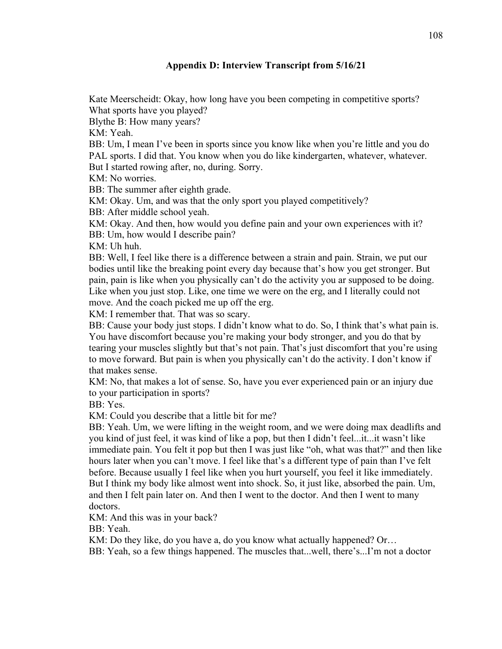# **Appendix D: Interview Transcript from 5/16/21**

Kate Meerscheidt: Okay, how long have you been competing in competitive sports? What sports have you played?

Blythe B: How many years?

KM: Yeah.

BB: Um, I mean I've been in sports since you know like when you're little and you do PAL sports. I did that. You know when you do like kindergarten, whatever, whatever. But I started rowing after, no, during. Sorry.

KM: No worries.

BB: The summer after eighth grade.

KM: Okay. Um, and was that the only sport you played competitively?

BB: After middle school yeah.

KM: Okay. And then, how would you define pain and your own experiences with it? BB: Um, how would I describe pain?

KM: Uh huh.

BB: Well, I feel like there is a difference between a strain and pain. Strain, we put our bodies until like the breaking point every day because that's how you get stronger. But pain, pain is like when you physically can't do the activity you ar supposed to be doing. Like when you just stop. Like, one time we were on the erg, and I literally could not move. And the coach picked me up off the erg.

KM: I remember that. That was so scary.

BB: Cause your body just stops. I didn't know what to do. So, I think that's what pain is. You have discomfort because you're making your body stronger, and you do that by tearing your muscles slightly but that's not pain. That's just discomfort that you're using to move forward. But pain is when you physically can't do the activity. I don't know if that makes sense.

KM: No, that makes a lot of sense. So, have you ever experienced pain or an injury due to your participation in sports?

BB: Yes.

KM: Could you describe that a little bit for me?

BB: Yeah. Um, we were lifting in the weight room, and we were doing max deadlifts and you kind of just feel, it was kind of like a pop, but then I didn't feel...it...it wasn't like immediate pain. You felt it pop but then I was just like "oh, what was that?" and then like hours later when you can't move. I feel like that's a different type of pain than I've felt before. Because usually I feel like when you hurt yourself, you feel it like immediately. But I think my body like almost went into shock. So, it just like, absorbed the pain. Um, and then I felt pain later on. And then I went to the doctor. And then I went to many doctors.

KM: And this was in your back?

BB: Yeah.

KM: Do they like, do you have a, do you know what actually happened? Or...

BB: Yeah, so a few things happened. The muscles that...well, there's...I'm not a doctor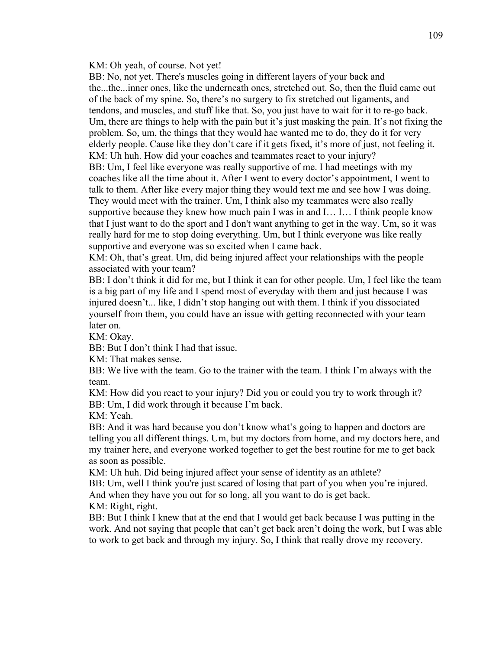#### KM: Oh yeah, of course. Not yet!

BB: No, not yet. There's muscles going in different layers of your back and the...the...inner ones, like the underneath ones, stretched out. So, then the fluid came out of the back of my spine. So, there's no surgery to fix stretched out ligaments, and tendons, and muscles, and stuff like that. So, you just have to wait for it to re-go back. Um, there are things to help with the pain but it's just masking the pain. It's not fixing the problem. So, um, the things that they would hae wanted me to do, they do it for very elderly people. Cause like they don't care if it gets fixed, it's more of just, not feeling it. KM: Uh huh. How did your coaches and teammates react to your injury? BB: Um, I feel like everyone was really supportive of me. I had meetings with my coaches like all the time about it. After I went to every doctor's appointment, I went to talk to them. After like every major thing they would text me and see how I was doing. They would meet with the trainer. Um, I think also my teammates were also really supportive because they knew how much pain I was in and I… I… I think people know that I just want to do the sport and I don't want anything to get in the way. Um, so it was really hard for me to stop doing everything. Um, but I think everyone was like really supportive and everyone was so excited when I came back.

KM: Oh, that's great. Um, did being injured affect your relationships with the people associated with your team?

BB: I don't think it did for me, but I think it can for other people. Um, I feel like the team is a big part of my life and I spend most of everyday with them and just because I was injured doesn't... like, I didn't stop hanging out with them. I think if you dissociated yourself from them, you could have an issue with getting reconnected with your team later on.

KM: Okay.

BB: But I don't think I had that issue.

KM: That makes sense.

BB: We live with the team. Go to the trainer with the team. I think I'm always with the team.

KM: How did you react to your injury? Did you or could you try to work through it? BB: Um, I did work through it because I'm back.

KM: Yeah.

BB: And it was hard because you don't know what's going to happen and doctors are telling you all different things. Um, but my doctors from home, and my doctors here, and my trainer here, and everyone worked together to get the best routine for me to get back as soon as possible.

KM: Uh huh. Did being injured affect your sense of identity as an athlete?

BB: Um, well I think you're just scared of losing that part of you when you're injured.

And when they have you out for so long, all you want to do is get back.

KM: Right, right.

BB: But I think I knew that at the end that I would get back because I was putting in the work. And not saying that people that can't get back aren't doing the work, but I was able to work to get back and through my injury. So, I think that really drove my recovery.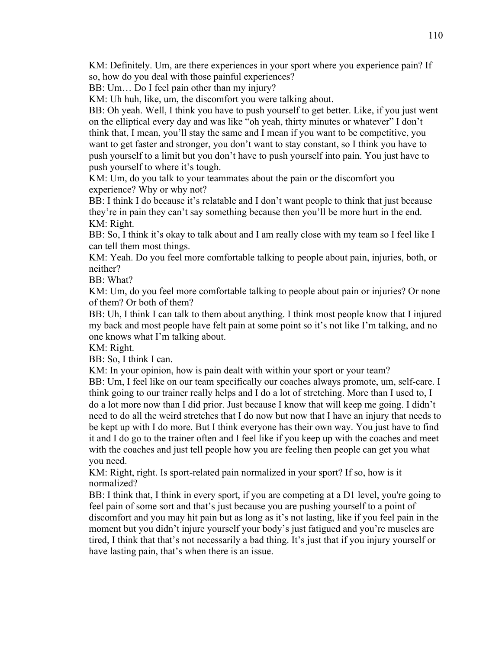KM: Definitely. Um, are there experiences in your sport where you experience pain? If so, how do you deal with those painful experiences?

BB: Um... Do I feel pain other than my injury?

KM: Uh huh, like, um, the discomfort you were talking about.

BB: Oh yeah. Well, I think you have to push yourself to get better. Like, if you just went on the elliptical every day and was like "oh yeah, thirty minutes or whatever" I don't think that, I mean, you'll stay the same and I mean if you want to be competitive, you want to get faster and stronger, you don't want to stay constant, so I think you have to push yourself to a limit but you don't have to push yourself into pain. You just have to push yourself to where it's tough.

KM: Um, do you talk to your teammates about the pain or the discomfort you experience? Why or why not?

BB: I think I do because it's relatable and I don't want people to think that just because they're in pain they can't say something because then you'll be more hurt in the end. KM: Right.

BB: So, I think it's okay to talk about and I am really close with my team so I feel like I can tell them most things.

KM: Yeah. Do you feel more comfortable talking to people about pain, injuries, both, or neither?

BB: What?

KM: Um, do you feel more comfortable talking to people about pain or injuries? Or none of them? Or both of them?

BB: Uh, I think I can talk to them about anything. I think most people know that I injured my back and most people have felt pain at some point so it's not like I'm talking, and no one knows what I'm talking about.

KM: Right.

BB: So, I think I can.

KM: In your opinion, how is pain dealt with within your sport or your team?

BB: Um, I feel like on our team specifically our coaches always promote, um, self-care. I think going to our trainer really helps and I do a lot of stretching. More than I used to, I do a lot more now than I did prior. Just because I know that will keep me going. I didn't need to do all the weird stretches that I do now but now that I have an injury that needs to be kept up with I do more. But I think everyone has their own way. You just have to find it and I do go to the trainer often and I feel like if you keep up with the coaches and meet with the coaches and just tell people how you are feeling then people can get you what you need.

KM: Right, right. Is sport-related pain normalized in your sport? If so, how is it normalized?

BB: I think that, I think in every sport, if you are competing at a D1 level, you're going to feel pain of some sort and that's just because you are pushing yourself to a point of discomfort and you may hit pain but as long as it's not lasting, like if you feel pain in the moment but you didn't injure yourself your body's just fatigued and you're muscles are tired, I think that that's not necessarily a bad thing. It's just that if you injury yourself or have lasting pain, that's when there is an issue.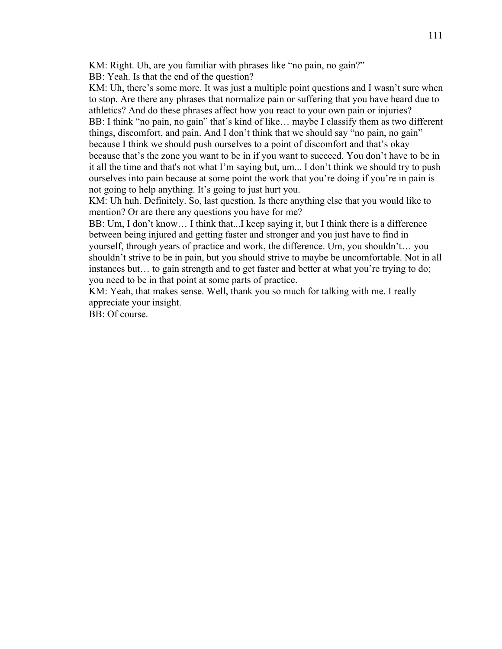KM: Right. Uh, are you familiar with phrases like "no pain, no gain?"

BB: Yeah. Is that the end of the question?

KM: Uh, there's some more. It was just a multiple point questions and I wasn't sure when to stop. Are there any phrases that normalize pain or suffering that you have heard due to athletics? And do these phrases affect how you react to your own pain or injuries? BB: I think "no pain, no gain" that's kind of like... maybe I classify them as two different things, discomfort, and pain. And I don't think that we should say "no pain, no gain" because I think we should push ourselves to a point of discomfort and that's okay because that's the zone you want to be in if you want to succeed. You don't have to be in it all the time and that's not what I'm saying but, um... I don't think we should try to push ourselves into pain because at some point the work that you're doing if you're in pain is not going to help anything. It's going to just hurt you.

KM: Uh huh. Definitely. So, last question. Is there anything else that you would like to mention? Or are there any questions you have for me?

BB: Um, I don't know… I think that...I keep saying it, but I think there is a difference between being injured and getting faster and stronger and you just have to find in yourself, through years of practice and work, the difference. Um, you shouldn't… you shouldn't strive to be in pain, but you should strive to maybe be uncomfortable. Not in all instances but… to gain strength and to get faster and better at what you're trying to do; you need to be in that point at some parts of practice.

KM: Yeah, that makes sense. Well, thank you so much for talking with me. I really appreciate your insight.

BB: Of course.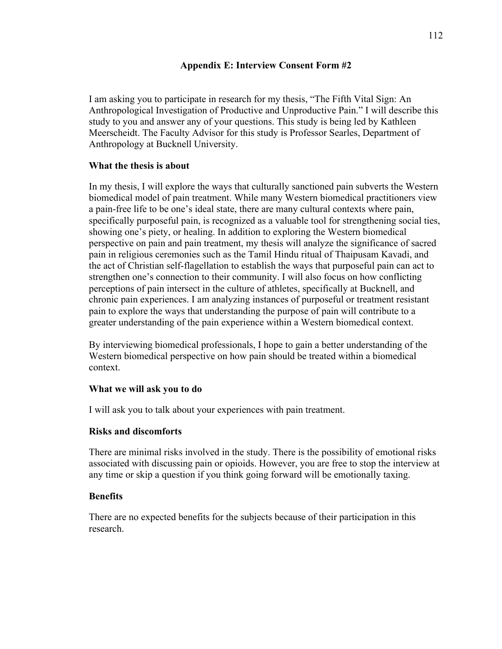## **Appendix E: Interview Consent Form #2**

I am asking you to participate in research for my thesis, "The Fifth Vital Sign: An Anthropological Investigation of Productive and Unproductive Pain." I will describe this study to you and answer any of your questions. This study is being led by Kathleen Meerscheidt. The Faculty Advisor for this study is Professor Searles, Department of Anthropology at Bucknell University.

## **What the thesis is about**

In my thesis, I will explore the ways that culturally sanctioned pain subverts the Western biomedical model of pain treatment. While many Western biomedical practitioners view a pain-free life to be one's ideal state, there are many cultural contexts where pain, specifically purposeful pain, is recognized as a valuable tool for strengthening social ties, showing one's piety, or healing. In addition to exploring the Western biomedical perspective on pain and pain treatment, my thesis will analyze the significance of sacred pain in religious ceremonies such as the Tamil Hindu ritual of Thaipusam Kavadi, and the act of Christian self-flagellation to establish the ways that purposeful pain can act to strengthen one's connection to their community. I will also focus on how conflicting perceptions of pain intersect in the culture of athletes, specifically at Bucknell, and chronic pain experiences. I am analyzing instances of purposeful or treatment resistant pain to explore the ways that understanding the purpose of pain will contribute to a greater understanding of the pain experience within a Western biomedical context.

By interviewing biomedical professionals, I hope to gain a better understanding of the Western biomedical perspective on how pain should be treated within a biomedical context.

## **What we will ask you to do**

I will ask you to talk about your experiences with pain treatment.

## **Risks and discomforts**

There are minimal risks involved in the study. There is the possibility of emotional risks associated with discussing pain or opioids. However, you are free to stop the interview at any time or skip a question if you think going forward will be emotionally taxing.

## **Benefits**

There are no expected benefits for the subjects because of their participation in this research.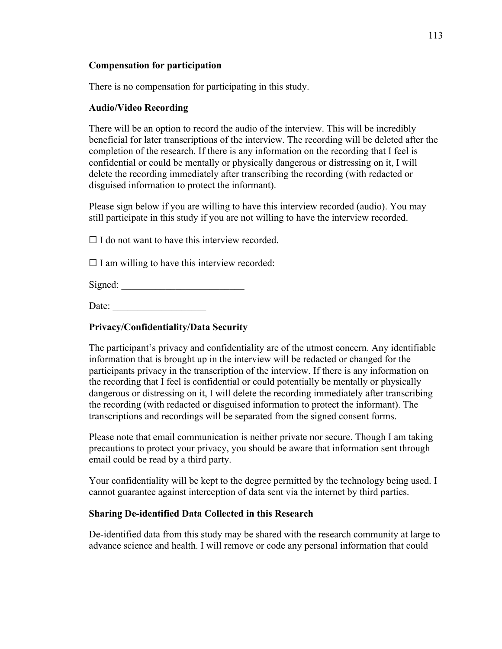# **Compensation for participation**

There is no compensation for participating in this study.

# **Audio/Video Recording**

There will be an option to record the audio of the interview. This will be incredibly beneficial for later transcriptions of the interview. The recording will be deleted after the completion of the research. If there is any information on the recording that I feel is confidential or could be mentally or physically dangerous or distressing on it, I will delete the recording immediately after transcribing the recording (with redacted or disguised information to protect the informant).

Please sign below if you are willing to have this interview recorded (audio). You may still participate in this study if you are not willing to have the interview recorded.

 $\Box$  I do not want to have this interview recorded.

 $\Box$  I am willing to have this interview recorded:

Signed:

Date:

# **Privacy/Confidentiality/Data Security**

The participant's privacy and confidentiality are of the utmost concern. Any identifiable information that is brought up in the interview will be redacted or changed for the participants privacy in the transcription of the interview. If there is any information on the recording that I feel is confidential or could potentially be mentally or physically dangerous or distressing on it, I will delete the recording immediately after transcribing the recording (with redacted or disguised information to protect the informant). The transcriptions and recordings will be separated from the signed consent forms.

Please note that email communication is neither private nor secure. Though I am taking precautions to protect your privacy, you should be aware that information sent through email could be read by a third party.

Your confidentiality will be kept to the degree permitted by the technology being used. I cannot guarantee against interception of data sent via the internet by third parties.

# **Sharing De-identified Data Collected in this Research**

De-identified data from this study may be shared with the research community at large to advance science and health. I will remove or code any personal information that could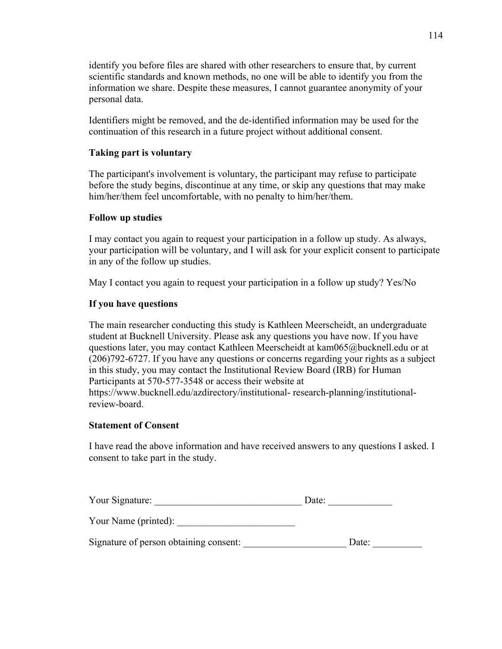identify you before files are shared with other researchers to ensure that, by current scientific standards and known methods, no one will be able to identify you from the information we share. Despite these measures, I cannot guarantee anonymity of your personal data.

Identifiers might be removed, and the de-identified information may be used for the continuation of this research in a future project without additional consent.

# **Taking part is voluntary**

The participant's involvement is voluntary, the participant may refuse to participate before the study begins, discontinue at any time, or skip any questions that may make him/her/them feel uncomfortable, with no penalty to him/her/them.

## **Follow up studies**

I may contact you again to request your participation in a follow up study. As always, your participation will be voluntary, and I will ask for your explicit consent to participate in any of the follow up studies.

May I contact you again to request your participation in a follow up study? Yes/No

### **If you have questions**

The main researcher conducting this study is Kathleen Meerscheidt, an undergraduate student at Bucknell University. Please ask any questions you have now. If you have questions later, you may contact Kathleen Meerscheidt at kam065@bucknell.edu or at (206)792-6727. If you have any questions or concerns regarding your rights as a subject in this study, you may contact the Institutional Review Board (IRB) for Human Participants at 570-577-3548 or access their website at https://www.bucknell.edu/azdirectory/institutional- research-planning/institutionalreview-board.

### **Statement of Consent**

I have read the above information and have received answers to any questions I asked. I consent to take part in the study.

| Your Signature:                        | Date: |  |
|----------------------------------------|-------|--|
| Your Name (printed):                   |       |  |
| Signature of person obtaining consent: | Date: |  |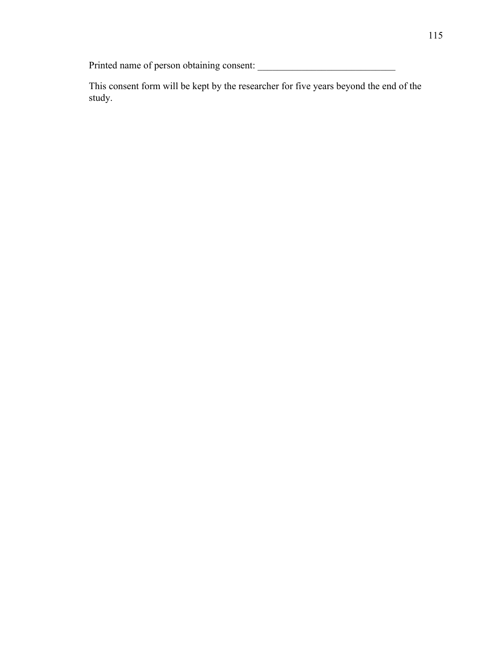Printed name of person obtaining consent: \_\_\_\_\_\_\_\_\_\_\_\_\_\_\_\_\_\_\_\_\_\_\_\_\_\_\_\_

This consent form will be kept by the researcher for five years beyond the end of the study.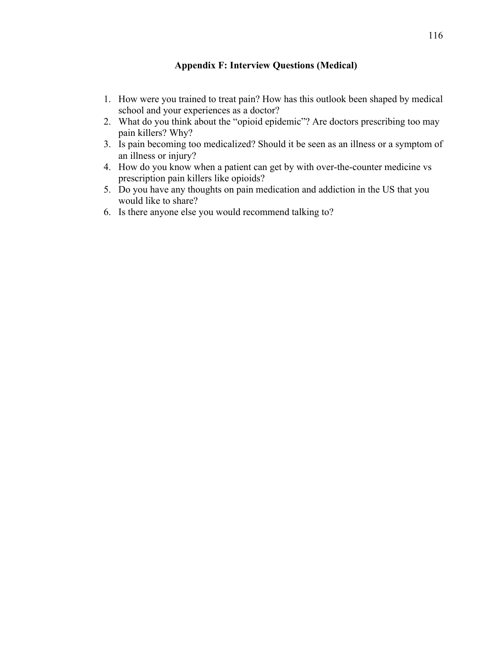### **Appendix F: Interview Questions (Medical)**

- 1. How were you trained to treat pain? How has this outlook been shaped by medical school and your experiences as a doctor?
- 2. What do you think about the "opioid epidemic"? Are doctors prescribing too may pain killers? Why?
- 3. Is pain becoming too medicalized? Should it be seen as an illness or a symptom of an illness or injury?
- 4. How do you know when a patient can get by with over-the-counter medicine vs prescription pain killers like opioids?
- 5. Do you have any thoughts on pain medication and addiction in the US that you would like to share?
- 6. Is there anyone else you would recommend talking to?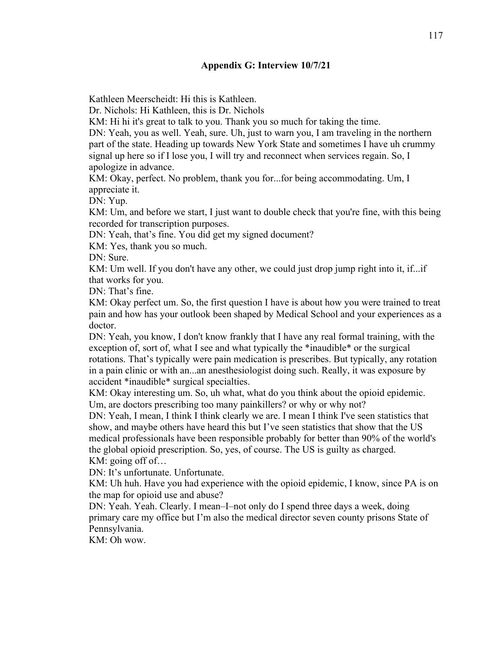### **Appendix G: Interview 10/7/21**

Kathleen Meerscheidt: Hi this is Kathleen.

Dr. Nichols: Hi Kathleen, this is Dr. Nichols

KM: Hi hi it's great to talk to you. Thank you so much for taking the time.

DN: Yeah, you as well. Yeah, sure. Uh, just to warn you, I am traveling in the northern part of the state. Heading up towards New York State and sometimes I have uh crummy signal up here so if I lose you, I will try and reconnect when services regain. So, I apologize in advance.

KM: Okay, perfect. No problem, thank you for...for being accommodating. Um, I appreciate it.

DN: Yup.

KM: Um, and before we start, I just want to double check that you're fine, with this being recorded for transcription purposes.

DN: Yeah, that's fine. You did get my signed document?

KM: Yes, thank you so much.

DN: Sure.

KM: Um well. If you don't have any other, we could just drop jump right into it, if...if that works for you.

DN: That's fine.

KM: Okay perfect um. So, the first question I have is about how you were trained to treat pain and how has your outlook been shaped by Medical School and your experiences as a doctor.

DN: Yeah, you know, I don't know frankly that I have any real formal training, with the exception of, sort of, what I see and what typically the \*inaudible\* or the surgical rotations. That's typically were pain medication is prescribes. But typically, any rotation in a pain clinic or with an...an anesthesiologist doing such. Really, it was exposure by accident \*inaudible\* surgical specialties.

KM: Okay interesting um. So, uh what, what do you think about the opioid epidemic. Um, are doctors prescribing too many painkillers? or why or why not?

DN: Yeah, I mean, I think I think clearly we are. I mean I think I've seen statistics that show, and maybe others have heard this but I've seen statistics that show that the US medical professionals have been responsible probably for better than 90% of the world's the global opioid prescription. So, yes, of course. The US is guilty as charged. KM: going off of…

DN: It's unfortunate. Unfortunate.

KM: Uh huh. Have you had experience with the opioid epidemic, I know, since PA is on the map for opioid use and abuse?

DN: Yeah. Yeah. Clearly. I mean–I–not only do I spend three days a week, doing primary care my office but I'm also the medical director seven county prisons State of Pennsylvania.

KM: Oh wow.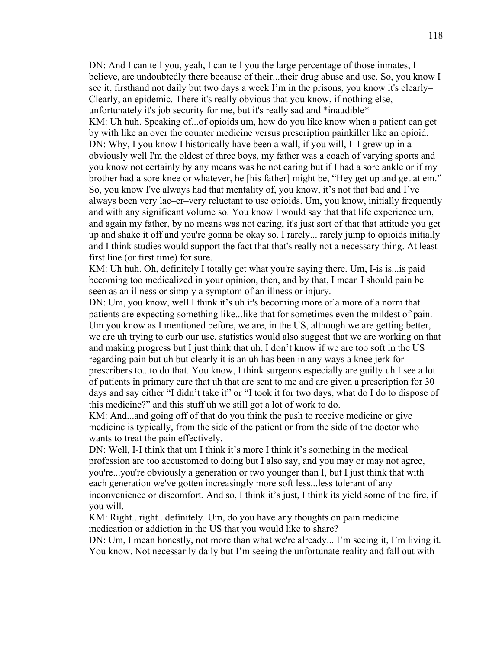DN: And I can tell you, yeah, I can tell you the large percentage of those inmates, I believe, are undoubtedly there because of their...their drug abuse and use. So, you know I see it, firsthand not daily but two days a week I'm in the prisons, you know it's clearly– Clearly, an epidemic. There it's really obvious that you know, if nothing else, unfortunately it's job security for me, but it's really sad and \*inaudible\* KM: Uh huh. Speaking of...of opioids um, how do you like know when a patient can get by with like an over the counter medicine versus prescription painkiller like an opioid. DN: Why, I you know I historically have been a wall, if you will, I–I grew up in a obviously well I'm the oldest of three boys, my father was a coach of varying sports and you know not certainly by any means was he not caring but if I had a sore ankle or if my brother had a sore knee or whatever, he [his father] might be, "Hey get up and get at em." So, you know I've always had that mentality of, you know, it's not that bad and I've always been very lac–er–very reluctant to use opioids. Um, you know, initially frequently and with any significant volume so. You know I would say that that life experience um, and again my father, by no means was not caring, it's just sort of that that attitude you get up and shake it off and you're gonna be okay so. I rarely... rarely jump to opioids initially and I think studies would support the fact that that's really not a necessary thing. At least first line (or first time) for sure.

KM: Uh huh. Oh, definitely I totally get what you're saying there. Um, I-is is...is paid becoming too medicalized in your opinion, then, and by that, I mean I should pain be seen as an illness or simply a symptom of an illness or injury.

DN: Um, you know, well I think it's uh it's becoming more of a more of a norm that patients are expecting something like...like that for sometimes even the mildest of pain. Um you know as I mentioned before, we are, in the US, although we are getting better, we are uh trying to curb our use, statistics would also suggest that we are working on that and making progress but I just think that uh, I don't know if we are too soft in the US regarding pain but uh but clearly it is an uh has been in any ways a knee jerk for prescribers to...to do that. You know, I think surgeons especially are guilty uh I see a lot of patients in primary care that uh that are sent to me and are given a prescription for 30 days and say either "I didn't take it" or "I took it for two days, what do I do to dispose of this medicine?" and this stuff uh we still got a lot of work to do.

KM: And...and going off of that do you think the push to receive medicine or give medicine is typically, from the side of the patient or from the side of the doctor who wants to treat the pain effectively.

DN: Well, I-I think that um I think it's more I think it's something in the medical profession are too accustomed to doing but I also say, and you may or may not agree, you're...you're obviously a generation or two younger than I, but I just think that with each generation we've gotten increasingly more soft less...less tolerant of any inconvenience or discomfort. And so, I think it's just, I think its yield some of the fire, if you will.

KM: Right...right...definitely. Um, do you have any thoughts on pain medicine medication or addiction in the US that you would like to share?

DN: Um, I mean honestly, not more than what we're already... I'm seeing it, I'm living it. You know. Not necessarily daily but I'm seeing the unfortunate reality and fall out with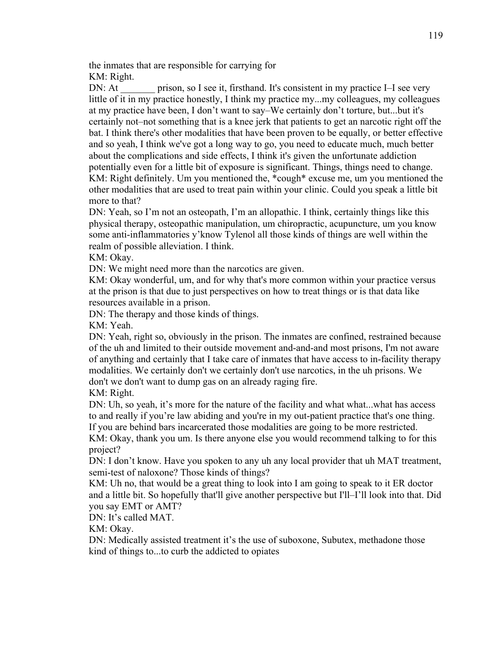the inmates that are responsible for carrying for KM: Right.

DN: At \_\_\_\_\_\_\_\_ prison, so I see it, firsthand. It's consistent in my practice I–I see very little of it in my practice honestly, I think my practice my...my colleagues, my colleagues at my practice have been, I don't want to say–We certainly don't torture, but...but it's certainly not–not something that is a knee jerk that patients to get an narcotic right off the bat. I think there's other modalities that have been proven to be equally, or better effective and so yeah, I think we've got a long way to go, you need to educate much, much better about the complications and side effects, I think it's given the unfortunate addiction potentially even for a little bit of exposure is significant. Things, things need to change. KM: Right definitely. Um you mentioned the, \*cough\* excuse me, um you mentioned the other modalities that are used to treat pain within your clinic. Could you speak a little bit more to that?

DN: Yeah, so I'm not an osteopath, I'm an allopathic. I think, certainly things like this physical therapy, osteopathic manipulation, um chiropractic, acupuncture, um you know some anti-inflammatories y'know Tylenol all those kinds of things are well within the realm of possible alleviation. I think.

KM: Okay.

DN: We might need more than the narcotics are given.

KM: Okay wonderful, um, and for why that's more common within your practice versus at the prison is that due to just perspectives on how to treat things or is that data like resources available in a prison.

DN: The therapy and those kinds of things.

KM: Yeah.

DN: Yeah, right so, obviously in the prison. The inmates are confined, restrained because of the uh and limited to their outside movement and-and-and most prisons, I'm not aware of anything and certainly that I take care of inmates that have access to in-facility therapy modalities. We certainly don't we certainly don't use narcotics, in the uh prisons. We don't we don't want to dump gas on an already raging fire.

KM: Right.

DN: Uh, so yeah, it's more for the nature of the facility and what what...what has access to and really if you're law abiding and you're in my out-patient practice that's one thing. If you are behind bars incarcerated those modalities are going to be more restricted.

KM: Okay, thank you um. Is there anyone else you would recommend talking to for this project?

DN: I don't know. Have you spoken to any uh any local provider that uh MAT treatment, semi-test of naloxone? Those kinds of things?

KM: Uh no, that would be a great thing to look into I am going to speak to it ER doctor and a little bit. So hopefully that'll give another perspective but I'll–I'll look into that. Did you say EMT or AMT?

DN: It's called MAT.

KM: Okay.

DN: Medically assisted treatment it's the use of suboxone, Subutex, methadone those kind of things to...to curb the addicted to opiates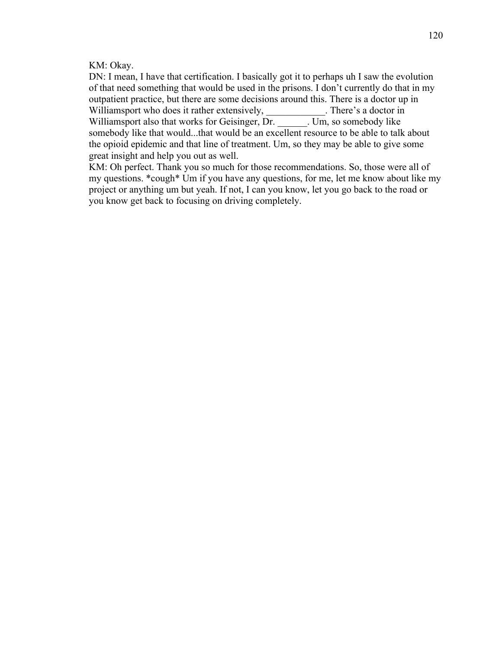KM: Okay.

DN: I mean, I have that certification. I basically got it to perhaps uh I saw the evolution of that need something that would be used in the prisons. I don't currently do that in my outpatient practice, but there are some decisions around this. There is a doctor up in Williamsport who does it rather extensively, There's a doctor in Williamsport also that works for Geisinger, Dr. Um, so somebody like somebody like that would...that would be an excellent resource to be able to talk about the opioid epidemic and that line of treatment. Um, so they may be able to give some great insight and help you out as well.

KM: Oh perfect. Thank you so much for those recommendations. So, those were all of my questions. \*cough\* Um if you have any questions, for me, let me know about like my project or anything um but yeah. If not, I can you know, let you go back to the road or you know get back to focusing on driving completely.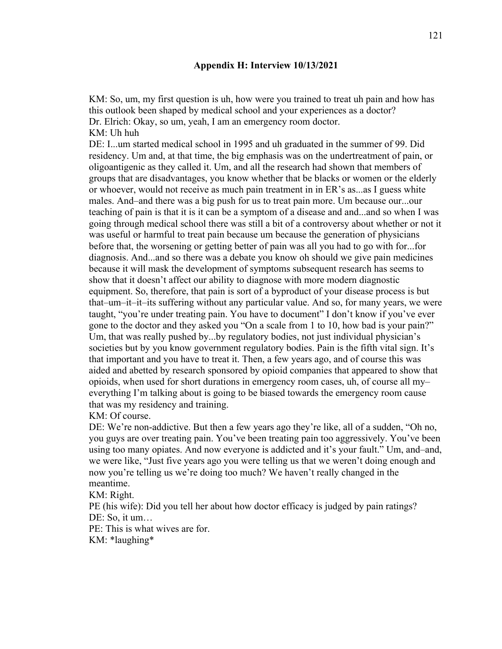#### **Appendix H: Interview 10/13/2021**

KM: So, um, my first question is uh, how were you trained to treat uh pain and how has this outlook been shaped by medical school and your experiences as a doctor? Dr. Elrich: Okay, so um, yeah, I am an emergency room doctor. KM: Uh huh

DE: I...um started medical school in 1995 and uh graduated in the summer of 99. Did residency. Um and, at that time, the big emphasis was on the undertreatment of pain, or oligoantigenic as they called it. Um, and all the research had shown that members of groups that are disadvantages, you know whether that be blacks or women or the elderly or whoever, would not receive as much pain treatment in in ER's as...as I guess white males. And–and there was a big push for us to treat pain more. Um because our...our teaching of pain is that it is it can be a symptom of a disease and and...and so when I was going through medical school there was still a bit of a controversy about whether or not it was useful or harmful to treat pain because um because the generation of physicians before that, the worsening or getting better of pain was all you had to go with for...for diagnosis. And...and so there was a debate you know oh should we give pain medicines because it will mask the development of symptoms subsequent research has seems to show that it doesn't affect our ability to diagnose with more modern diagnostic equipment. So, therefore, that pain is sort of a byproduct of your disease process is but that–um–it–it–its suffering without any particular value. And so, for many years, we were taught, "you're under treating pain. You have to document" I don't know if you've ever gone to the doctor and they asked you "On a scale from 1 to 10, how bad is your pain?" Um, that was really pushed by...by regulatory bodies, not just individual physician's societies but by you know government regulatory bodies. Pain is the fifth vital sign. It's that important and you have to treat it. Then, a few years ago, and of course this was aided and abetted by research sponsored by opioid companies that appeared to show that opioids, when used for short durations in emergency room cases, uh, of course all my– everything I'm talking about is going to be biased towards the emergency room cause that was my residency and training.

KM: Of course.

DE: We're non-addictive. But then a few years ago they're like, all of a sudden, "Oh no, you guys are over treating pain. You've been treating pain too aggressively. You've been using too many opiates. And now everyone is addicted and it's your fault." Um, and–and, we were like, "Just five years ago you were telling us that we weren't doing enough and now you're telling us we're doing too much? We haven't really changed in the meantime.

KM: Right.

PE (his wife): Did you tell her about how doctor efficacy is judged by pain ratings? DE: So, it um...

PE: This is what wives are for. KM: \*laughing\*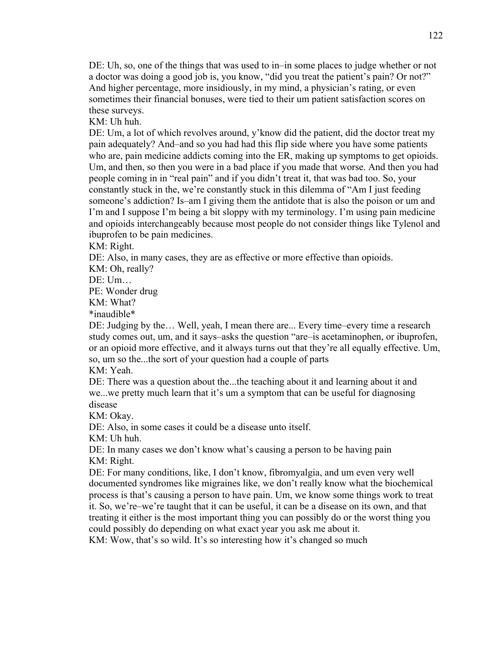DE: Uh, so, one of the things that was used to in–in some places to judge whether or not a doctor was doing a good job is, you know, "did you treat the patient's pain? Or not?" And higher percentage, more insidiously, in my mind, a physician's rating, or even sometimes their financial bonuses, were tied to their um patient satisfaction scores on these surveys.

KM: Uh huh.

DE: Um, a lot of which revolves around, y'know did the patient, did the doctor treat my pain adequately? And–and so you had had this flip side where you have some patients who are, pain medicine addicts coming into the ER, making up symptoms to get opioids. Um, and then, so then you were in a bad place if you made that worse. And then you had people coming in in "real pain" and if you didn't treat it, that was bad too. So, your constantly stuck in the, we're constantly stuck in this dilemma of "Am I just feeding someone's addiction? Is–am I giving them the antidote that is also the poison or um and I'm and I suppose I'm being a bit sloppy with my terminology. I'm using pain medicine and opioids interchangeably because most people do not consider things like Tylenol and ibuprofen to be pain medicines.

KM: Right.

DE: Also, in many cases, they are as effective or more effective than opioids.

KM: Oh, really?

DE: Um…

PE: Wonder drug

KM: What?

\*inaudible\*

DE: Judging by the… Well, yeah, I mean there are... Every time–every time a research study comes out, um, and it says–asks the question "are–is acetaminophen, or ibuprofen, or an opioid more effective, and it always turns out that they're all equally effective. Um, so, um so the...the sort of your question had a couple of parts

KM: Yeah.

DE: There was a question about the...the teaching about it and learning about it and we...we pretty much learn that it's um a symptom that can be useful for diagnosing disease

KM: Okay.

DE: Also, in some cases it could be a disease unto itself.

KM: Uh huh.

DE: In many cases we don't know what's causing a person to be having pain KM: Right.

DE: For many conditions, like, I don't know, fibromyalgia, and um even very well documented syndromes like migraines like, we don't really know what the biochemical process is that's causing a person to have pain. Um, we know some things work to treat it. So, we're–we're taught that it can be useful, it can be a disease on its own, and that treating it either is the most important thing you can possibly do or the worst thing you could possibly do depending on what exact year you ask me about it.

KM: Wow, that's so wild. It's so interesting how it's changed so much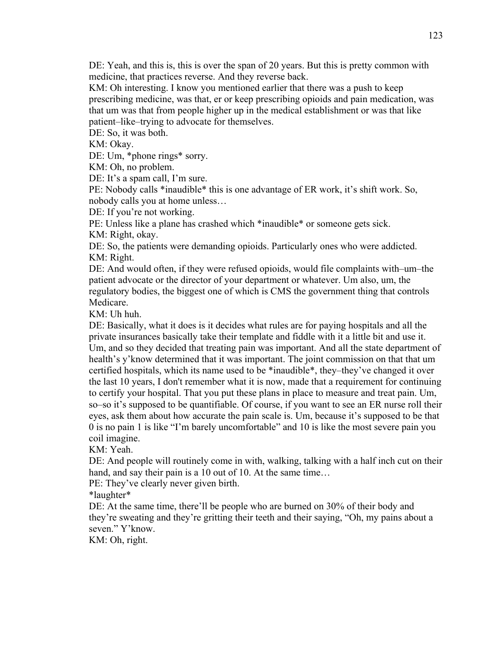DE: Yeah, and this is, this is over the span of 20 years. But this is pretty common with medicine, that practices reverse. And they reverse back.

KM: Oh interesting. I know you mentioned earlier that there was a push to keep prescribing medicine, was that, er or keep prescribing opioids and pain medication, was that um was that from people higher up in the medical establishment or was that like patient–like–trying to advocate for themselves.

DE: So, it was both.

KM: Okay.

DE: Um, \*phone rings\* sorry.

KM: Oh, no problem.

DE: It's a spam call, I'm sure.

PE: Nobody calls \*inaudible\* this is one advantage of ER work, it's shift work. So, nobody calls you at home unless…

DE: If you're not working.

PE: Unless like a plane has crashed which \*inaudible\* or someone gets sick. KM: Right, okay.

DE: So, the patients were demanding opioids. Particularly ones who were addicted. KM: Right.

DE: And would often, if they were refused opioids, would file complaints with–um–the patient advocate or the director of your department or whatever. Um also, um, the regulatory bodies, the biggest one of which is CMS the government thing that controls Medicare.

KM: Uh huh.

DE: Basically, what it does is it decides what rules are for paying hospitals and all the private insurances basically take their template and fiddle with it a little bit and use it. Um, and so they decided that treating pain was important. And all the state department of health's y'know determined that it was important. The joint commission on that that um certified hospitals, which its name used to be \*inaudible\*, they–they've changed it over the last 10 years, I don't remember what it is now, made that a requirement for continuing to certify your hospital. That you put these plans in place to measure and treat pain. Um, so–so it's supposed to be quantifiable. Of course, if you want to see an ER nurse roll their eyes, ask them about how accurate the pain scale is. Um, because it's supposed to be that 0 is no pain 1 is like "I'm barely uncomfortable" and 10 is like the most severe pain you coil imagine.

KM: Yeah.

DE: And people will routinely come in with, walking, talking with a half inch cut on their hand, and say their pain is a 10 out of 10. At the same time...

PE: They've clearly never given birth.

\*laughter\*

DE: At the same time, there'll be people who are burned on 30% of their body and they're sweating and they're gritting their teeth and their saying, "Oh, my pains about a seven." Y'know.

KM: Oh, right.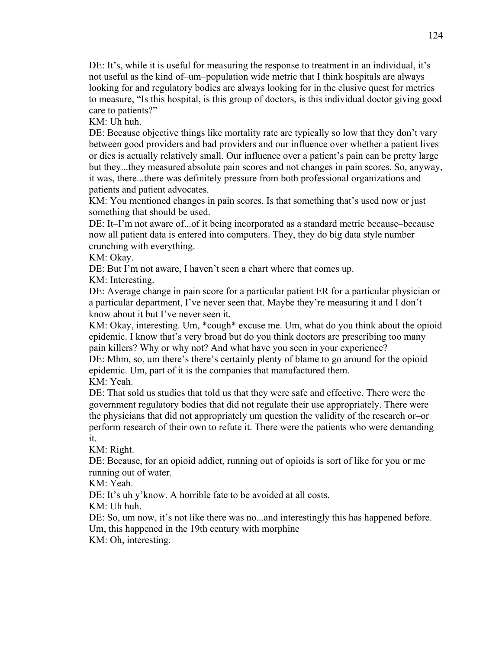DE: It's, while it is useful for measuring the response to treatment in an individual, it's not useful as the kind of–um–population wide metric that I think hospitals are always looking for and regulatory bodies are always looking for in the elusive quest for metrics to measure, "Is this hospital, is this group of doctors, is this individual doctor giving good care to patients?"

KM: Uh huh.

DE: Because objective things like mortality rate are typically so low that they don't vary between good providers and bad providers and our influence over whether a patient lives or dies is actually relatively small. Our influence over a patient's pain can be pretty large but they...they measured absolute pain scores and not changes in pain scores. So, anyway, it was, there...there was definitely pressure from both professional organizations and patients and patient advocates.

KM: You mentioned changes in pain scores. Is that something that's used now or just something that should be used.

DE: It–I'm not aware of...of it being incorporated as a standard metric because–because now all patient data is entered into computers. They, they do big data style number crunching with everything.

KM: Okay.

DE: But I'm not aware, I haven't seen a chart where that comes up.

KM: Interesting.

DE: Average change in pain score for a particular patient ER for a particular physician or a particular department, I've never seen that. Maybe they're measuring it and I don't know about it but I've never seen it.

KM: Okay, interesting. Um, \*cough\* excuse me. Um, what do you think about the opioid epidemic. I know that's very broad but do you think doctors are prescribing too many pain killers? Why or why not? And what have you seen in your experience?

DE: Mhm, so, um there's there's certainly plenty of blame to go around for the opioid epidemic. Um, part of it is the companies that manufactured them.

KM: Yeah.

DE: That sold us studies that told us that they were safe and effective. There were the government regulatory bodies that did not regulate their use appropriately. There were the physicians that did not appropriately um question the validity of the research or–or perform research of their own to refute it. There were the patients who were demanding it.

KM: Right.

DE: Because, for an opioid addict, running out of opioids is sort of like for you or me running out of water.

KM: Yeah.

DE: It's uh y'know. A horrible fate to be avoided at all costs.

KM: Uh huh.

DE: So, um now, it's not like there was no...and interestingly this has happened before.

Um, this happened in the 19th century with morphine

KM: Oh, interesting.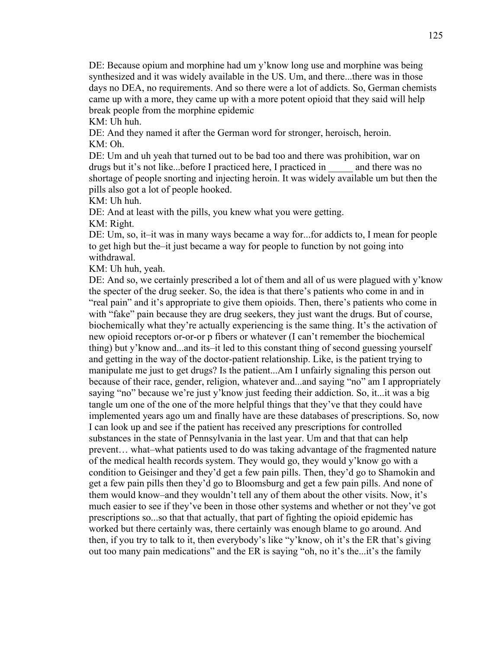DE: Because opium and morphine had um y'know long use and morphine was being synthesized and it was widely available in the US. Um, and there...there was in those days no DEA, no requirements. And so there were a lot of addicts. So, German chemists came up with a more, they came up with a more potent opioid that they said will help break people from the morphine epidemic

KM: Uh huh.

DE: And they named it after the German word for stronger, heroisch, heroin. KM: Oh.

DE: Um and uh yeah that turned out to be bad too and there was prohibition, war on drugs but it's not like...before I practiced here, I practiced in \_\_\_\_\_ and there was no shortage of people snorting and injecting heroin. It was widely available um but then the pills also got a lot of people hooked.

KM: Uh huh.

DE: And at least with the pills, you knew what you were getting.

KM: Right.

DE: Um, so, it–it was in many ways became a way for...for addicts to, I mean for people to get high but the–it just became a way for people to function by not going into withdrawal.

KM: Uh huh, yeah.

DE: And so, we certainly prescribed a lot of them and all of us were plagued with y'know the specter of the drug seeker. So, the idea is that there's patients who come in and in "real pain" and it's appropriate to give them opioids. Then, there's patients who come in with "fake" pain because they are drug seekers, they just want the drugs. But of course, biochemically what they're actually experiencing is the same thing. It's the activation of new opioid receptors or-or-or p fibers or whatever (I can't remember the biochemical thing) but y'know and...and its–it led to this constant thing of second guessing yourself and getting in the way of the doctor-patient relationship. Like, is the patient trying to manipulate me just to get drugs? Is the patient...Am I unfairly signaling this person out because of their race, gender, religion, whatever and...and saying "no" am I appropriately saying "no" because we're just y'know just feeding their addiction. So, it...it was a big tangle um one of the one of the more helpful things that they've that they could have implemented years ago um and finally have are these databases of prescriptions. So, now I can look up and see if the patient has received any prescriptions for controlled substances in the state of Pennsylvania in the last year. Um and that that can help prevent… what–what patients used to do was taking advantage of the fragmented nature of the medical health records system. They would go, they would y'know go with a condition to Geisinger and they'd get a few pain pills. Then, they'd go to Shamokin and get a few pain pills then they'd go to Bloomsburg and get a few pain pills. And none of them would know–and they wouldn't tell any of them about the other visits. Now, it's much easier to see if they've been in those other systems and whether or not they've got prescriptions so...so that that actually, that part of fighting the opioid epidemic has worked but there certainly was, there certainly was enough blame to go around. And then, if you try to talk to it, then everybody's like "y'know, oh it's the ER that's giving out too many pain medications" and the ER is saying "oh, no it's the...it's the family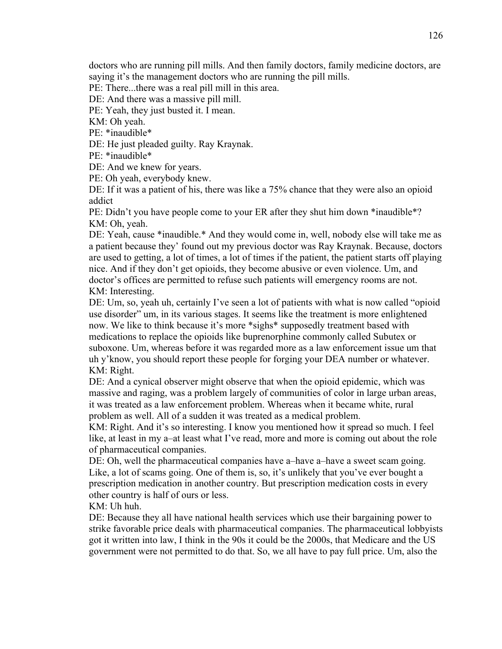doctors who are running pill mills. And then family doctors, family medicine doctors, are saying it's the management doctors who are running the pill mills.

PE: There...there was a real pill mill in this area.

DE: And there was a massive pill mill.

PE: Yeah, they just busted it. I mean.

KM: Oh yeah.

PE: \*inaudible\*

DE: He just pleaded guilty. Ray Kraynak.

PE: \*inaudible\*

DE: And we knew for years.

PE: Oh yeah, everybody knew.

DE: If it was a patient of his, there was like a 75% chance that they were also an opioid addict

PE: Didn't you have people come to your ER after they shut him down \*inaudible\*? KM: Oh, yeah.

DE: Yeah, cause \*inaudible.\* And they would come in, well, nobody else will take me as a patient because they' found out my previous doctor was Ray Kraynak. Because, doctors are used to getting, a lot of times, a lot of times if the patient, the patient starts off playing nice. And if they don't get opioids, they become abusive or even violence. Um, and doctor's offices are permitted to refuse such patients will emergency rooms are not. KM: Interesting.

DE: Um, so, yeah uh, certainly I've seen a lot of patients with what is now called "opioid use disorder" um, in its various stages. It seems like the treatment is more enlightened now. We like to think because it's more \*sighs\* supposedly treatment based with medications to replace the opioids like buprenorphine commonly called Subutex or suboxone. Um, whereas before it was regarded more as a law enforcement issue um that uh y'know, you should report these people for forging your DEA number or whatever. KM: Right.

DE: And a cynical observer might observe that when the opioid epidemic, which was massive and raging, was a problem largely of communities of color in large urban areas, it was treated as a law enforcement problem. Whereas when it became white, rural problem as well. All of a sudden it was treated as a medical problem.

KM: Right. And it's so interesting. I know you mentioned how it spread so much. I feel like, at least in my a–at least what I've read, more and more is coming out about the role of pharmaceutical companies.

DE: Oh, well the pharmaceutical companies have a–have a–have a sweet scam going. Like, a lot of scams going. One of them is, so, it's unlikely that you've ever bought a prescription medication in another country. But prescription medication costs in every other country is half of ours or less.

KM: Uh huh.

DE: Because they all have national health services which use their bargaining power to strike favorable price deals with pharmaceutical companies. The pharmaceutical lobbyists got it written into law, I think in the 90s it could be the 2000s, that Medicare and the US government were not permitted to do that. So, we all have to pay full price. Um, also the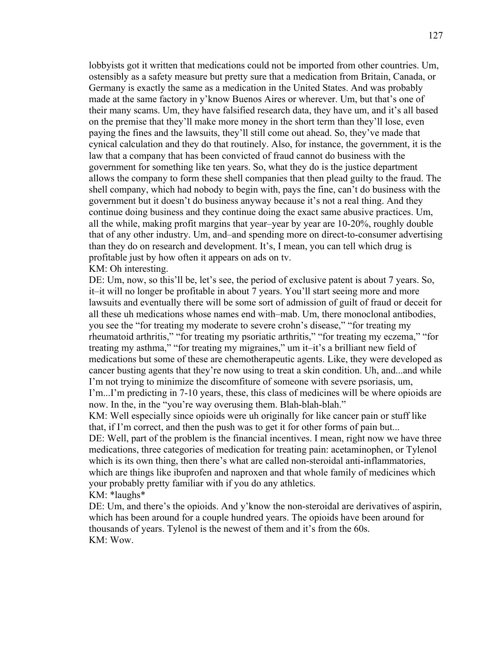lobbyists got it written that medications could not be imported from other countries. Um, ostensibly as a safety measure but pretty sure that a medication from Britain, Canada, or Germany is exactly the same as a medication in the United States. And was probably made at the same factory in y'know Buenos Aires or wherever. Um, but that's one of their many scams. Um, they have falsified research data, they have um, and it's all based on the premise that they'll make more money in the short term than they'll lose, even paying the fines and the lawsuits, they'll still come out ahead. So, they've made that cynical calculation and they do that routinely. Also, for instance, the government, it is the law that a company that has been convicted of fraud cannot do business with the government for something like ten years. So, what they do is the justice department allows the company to form these shell companies that then plead guilty to the fraud. The shell company, which had nobody to begin with, pays the fine, can't do business with the government but it doesn't do business anyway because it's not a real thing. And they continue doing business and they continue doing the exact same abusive practices. Um, all the while, making profit margins that year–year by year are 10-20%, roughly double that of any other industry. Um, and–and spending more on direct-to-consumer advertising than they do on research and development. It's, I mean, you can tell which drug is profitable just by how often it appears on ads on tv.

#### KM: Oh interesting.

DE: Um, now, so this'll be, let's see, the period of exclusive patent is about 7 years. So, it–it will no longer be profitable in about 7 years. You'll start seeing more and more lawsuits and eventually there will be some sort of admission of guilt of fraud or deceit for all these uh medications whose names end with–mab. Um, there monoclonal antibodies, you see the "for treating my moderate to severe crohn's disease," "for treating my rheumatoid arthritis," "for treating my psoriatic arthritis," "for treating my eczema," "for treating my asthma," "for treating my migraines," um it–it's a brilliant new field of medications but some of these are chemotherapeutic agents. Like, they were developed as cancer busting agents that they're now using to treat a skin condition. Uh, and...and while I'm not trying to minimize the discomfiture of someone with severe psoriasis, um, I'm...I'm predicting in 7-10 years, these, this class of medicines will be where opioids are now. In the, in the "you're way overusing them. Blah-blah-blah."

KM: Well especially since opioids were uh originally for like cancer pain or stuff like that, if I'm correct, and then the push was to get it for other forms of pain but...

DE: Well, part of the problem is the financial incentives. I mean, right now we have three medications, three categories of medication for treating pain: acetaminophen, or Tylenol which is its own thing, then there's what are called non-steroidal anti-inflammatories, which are things like ibuprofen and naproxen and that whole family of medicines which your probably pretty familiar with if you do any athletics. KM: \*laughs\*

DE: Um, and there's the opioids. And y'know the non-steroidal are derivatives of aspirin, which has been around for a couple hundred years. The opioids have been around for thousands of years. Tylenol is the newest of them and it's from the 60s. KM: Wow.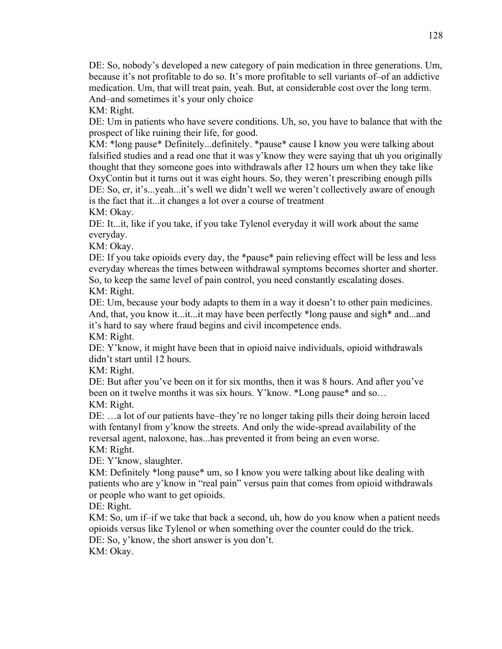DE: So, nobody's developed a new category of pain medication in three generations. Um, because it's not profitable to do so. It's more profitable to sell variants of–of an addictive medication. Um, that will treat pain, yeah. But, at considerable cost over the long term. And–and sometimes it's your only choice KM: Right.

DE: Um in patients who have severe conditions. Uh, so, you have to balance that with the prospect of like ruining their life, for good.

KM: \*long pause\* Definitely...definitely. \*pause\* cause I know you were talking about falsified studies and a read one that it was y'know they were saying that uh you originally thought that they someone goes into withdrawals after 12 hours um when they take like OxyContin but it turns out it was eight hours. So, they weren't prescribing enough pills DE: So, er, it's...yeah...it's well we didn't well we weren't collectively aware of enough is the fact that it...it changes a lot over a course of treatment

KM: Okay.

DE: It...it, like if you take, if you take Tylenol everyday it will work about the same everyday.

KM: Okay.

DE: If you take opioids every day, the \*pause\* pain relieving effect will be less and less everyday whereas the times between withdrawal symptoms becomes shorter and shorter. So, to keep the same level of pain control, you need constantly escalating doses. KM: Right.

DE: Um, because your body adapts to them in a way it doesn't to other pain medicines. And, that, you know it...it...it may have been perfectly \*long pause and sigh\* and...and it's hard to say where fraud begins and civil incompetence ends.

KM: Right.

DE: Y'know, it might have been that in opioid naive individuals, opioid withdrawals didn't start until 12 hours.

KM: Right.

DE: But after you've been on it for six months, then it was 8 hours. And after you've been on it twelve months it was six hours. Y'know. \*Long pause\* and so… KM: Right.

DE: …a lot of our patients have–they're no longer taking pills their doing heroin laced with fentanyl from y'know the streets. And only the wide-spread availability of the reversal agent, naloxone, has...has prevented it from being an even worse.

KM: Right.

DE: Y'know, slaughter.

KM: Definitely \*long pause\* um, so I know you were talking about like dealing with patients who are y'know in "real pain" versus pain that comes from opioid withdrawals or people who want to get opioids.

DE: Right.

KM: So, um if–if we take that back a second, uh, how do you know when a patient needs opioids versus like Tylenol or when something over the counter could do the trick. DE: So, y'know, the short answer is you don't.

KM: Okay.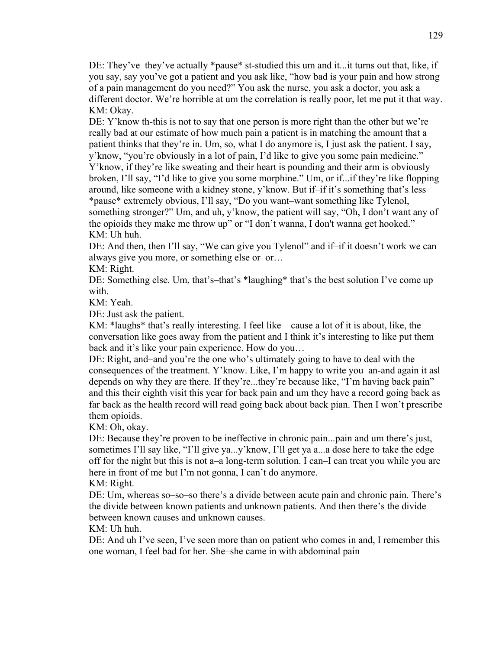DE: They've–they've actually \*pause\* st-studied this um and it...it turns out that, like, if you say, say you've got a patient and you ask like, "how bad is your pain and how strong of a pain management do you need?" You ask the nurse, you ask a doctor, you ask a different doctor. We're horrible at um the correlation is really poor, let me put it that way. KM: Okay.

DE: Y'know th-this is not to say that one person is more right than the other but we're really bad at our estimate of how much pain a patient is in matching the amount that a patient thinks that they're in. Um, so, what I do anymore is, I just ask the patient. I say, y'know, "you're obviously in a lot of pain, I'd like to give you some pain medicine." Y'know, if they're like sweating and their heart is pounding and their arm is obviously broken, I'll say, "I'd like to give you some morphine." Um, or if...if they're like flopping around, like someone with a kidney stone, y'know. But if–if it's something that's less \*pause\* extremely obvious, I'll say, "Do you want–want something like Tylenol, something stronger?" Um, and uh, y'know, the patient will say, "Oh, I don't want any of the opioids they make me throw up" or "I don't wanna, I don't wanna get hooked." KM: Uh huh.

DE: And then, then I'll say, "We can give you Tylenol" and if–if it doesn't work we can always give you more, or something else or–or…

KM: Right.

DE: Something else. Um, that's–that's \*laughing\* that's the best solution I've come up with.

KM: Yeah.

DE: Just ask the patient.

KM: \*laughs\* that's really interesting. I feel like – cause a lot of it is about, like, the conversation like goes away from the patient and I think it's interesting to like put them back and it's like your pain experience. How do you…

DE: Right, and–and you're the one who's ultimately going to have to deal with the consequences of the treatment. Y'know. Like, I'm happy to write you–an-and again it asl depends on why they are there. If they're...they're because like, "I'm having back pain" and this their eighth visit this year for back pain and um they have a record going back as far back as the health record will read going back about back pian. Then I won't prescribe them opioids.

KM: Oh, okay.

DE: Because they're proven to be ineffective in chronic pain...pain and um there's just, sometimes I'll say like, "I'll give ya...y'know, I'll get ya a...a dose here to take the edge off for the night but this is not a–a long-term solution. I can–I can treat you while you are here in front of me but I'm not gonna, I can't do anymore.

KM: Right.

DE: Um, whereas so–so–so there's a divide between acute pain and chronic pain. There's the divide between known patients and unknown patients. And then there's the divide between known causes and unknown causes.

KM: Uh huh.

DE: And uh I've seen, I've seen more than on patient who comes in and, I remember this one woman, I feel bad for her. She–she came in with abdominal pain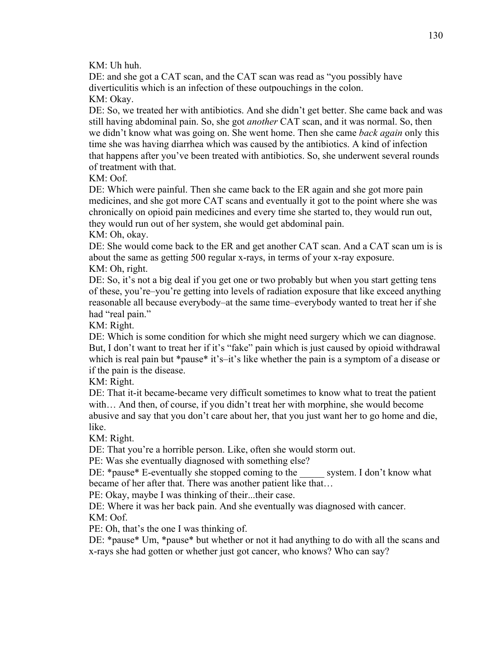KM: Uh huh.

DE: and she got a CAT scan, and the CAT scan was read as "you possibly have diverticulitis which is an infection of these outpouchings in the colon. KM: Okay.

DE: So, we treated her with antibiotics. And she didn't get better. She came back and was still having abdominal pain. So, she got *another* CAT scan, and it was normal. So, then we didn't know what was going on. She went home. Then she came *back again* only this time she was having diarrhea which was caused by the antibiotics. A kind of infection that happens after you've been treated with antibiotics. So, she underwent several rounds of treatment with that.

KM: Oof.

DE: Which were painful. Then she came back to the ER again and she got more pain medicines, and she got more CAT scans and eventually it got to the point where she was chronically on opioid pain medicines and every time she started to, they would run out, they would run out of her system, she would get abdominal pain.

KM: Oh, okay.

DE: She would come back to the ER and get another CAT scan. And a CAT scan um is is about the same as getting 500 regular x-rays, in terms of your x-ray exposure. KM: Oh, right.

DE: So, it's not a big deal if you get one or two probably but when you start getting tens of these, you're–you're getting into levels of radiation exposure that like exceed anything reasonable all because everybody–at the same time–everybody wanted to treat her if she had "real pain."

KM: Right.

DE: Which is some condition for which she might need surgery which we can diagnose. But, I don't want to treat her if it's "fake" pain which is just caused by opioid withdrawal which is real pain but \*pause\* it's–it's like whether the pain is a symptom of a disease or if the pain is the disease.

KM: Right.

DE: That it-it became-became very difficult sometimes to know what to treat the patient with… And then, of course, if you didn't treat her with morphine, she would become abusive and say that you don't care about her, that you just want her to go home and die, like.

KM: Right.

DE: That you're a horrible person. Like, often she would storm out.

PE: Was she eventually diagnosed with something else?

DE: \*pause\* E-eventually she stopped coming to the system. I don't know what became of her after that. There was another patient like that…

PE: Okay, maybe I was thinking of their...their case.

DE: Where it was her back pain. And she eventually was diagnosed with cancer. KM: Oof.

PE: Oh, that's the one I was thinking of.

DE: \*pause\* Um, \*pause\* but whether or not it had anything to do with all the scans and x-rays she had gotten or whether just got cancer, who knows? Who can say?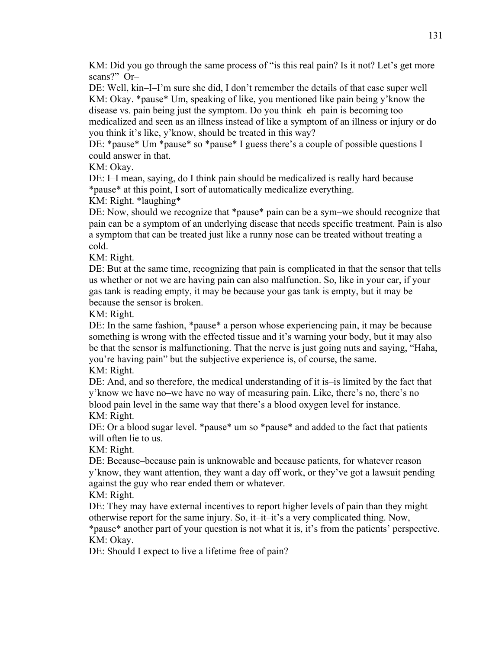KM: Did you go through the same process of "is this real pain? Is it not? Let's get more scans?" Or–

DE: Well, kin–I–I'm sure she did, I don't remember the details of that case super well KM: Okay. \*pause\* Um, speaking of like, you mentioned like pain being y'know the disease vs. pain being just the symptom. Do you think–eh–pain is becoming too medicalized and seen as an illness instead of like a symptom of an illness or injury or do you think it's like, y'know, should be treated in this way?

DE: \*pause\* Um \*pause\* so \*pause\* I guess there's a couple of possible questions I could answer in that.

KM: Okay.

DE: I–I mean, saying, do I think pain should be medicalized is really hard because \*pause\* at this point, I sort of automatically medicalize everything.

KM: Right. \*laughing\*

DE: Now, should we recognize that \*pause\* pain can be a sym–we should recognize that pain can be a symptom of an underlying disease that needs specific treatment. Pain is also a symptom that can be treated just like a runny nose can be treated without treating a cold.

KM: Right.

DE: But at the same time, recognizing that pain is complicated in that the sensor that tells us whether or not we are having pain can also malfunction. So, like in your car, if your gas tank is reading empty, it may be because your gas tank is empty, but it may be because the sensor is broken.

KM: Right.

DE: In the same fashion, \*pause\* a person whose experiencing pain, it may be because something is wrong with the effected tissue and it's warning your body, but it may also be that the sensor is malfunctioning. That the nerve is just going nuts and saying, "Haha, you're having pain" but the subjective experience is, of course, the same. KM: Right.

DE: And, and so therefore, the medical understanding of it is–is limited by the fact that y'know we have no–we have no way of measuring pain. Like, there's no, there's no blood pain level in the same way that there's a blood oxygen level for instance. KM: Right.

DE: Or a blood sugar level. \*pause\* um so \*pause\* and added to the fact that patients will often lie to us.

KM: Right.

DE: Because–because pain is unknowable and because patients, for whatever reason y'know, they want attention, they want a day off work, or they've got a lawsuit pending against the guy who rear ended them or whatever.

KM: Right.

DE: They may have external incentives to report higher levels of pain than they might otherwise report for the same injury. So, it–it–it's a very complicated thing. Now,

\*pause\* another part of your question is not what it is, it's from the patients' perspective. KM: Okay.

DE: Should I expect to live a lifetime free of pain?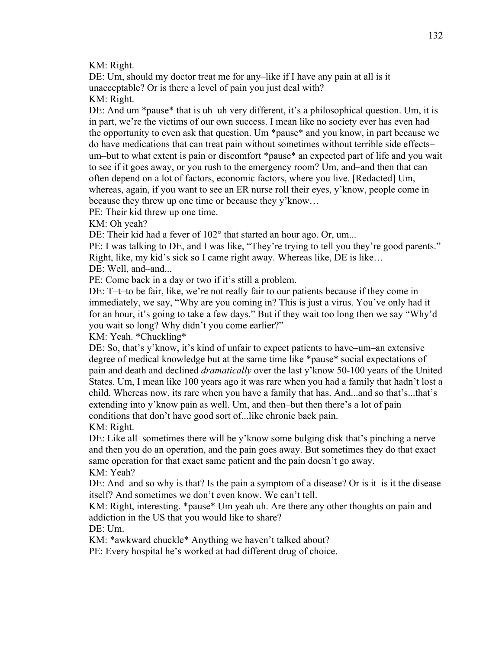KM: Right.

DE: Um, should my doctor treat me for any–like if I have any pain at all is it unacceptable? Or is there a level of pain you just deal with? KM: Right.

DE: And um \*pause\* that is uh–uh very different, it's a philosophical question. Um, it is in part, we're the victims of our own success. I mean like no society ever has even had the opportunity to even ask that question. Um \*pause\* and you know, in part because we do have medications that can treat pain without sometimes without terrible side effects– um–but to what extent is pain or discomfort \*pause\* an expected part of life and you wait to see if it goes away, or you rush to the emergency room? Um, and–and then that can often depend on a lot of factors, economic factors, where you live. [Redacted] Um, whereas, again, if you want to see an ER nurse roll their eyes, y'know, people come in because they threw up one time or because they y'know…

PE: Their kid threw up one time.

KM: Oh yeah?

DE: Their kid had a fever of 102° that started an hour ago. Or, um...

PE: I was talking to DE, and I was like, "They're trying to tell you they're good parents." Right, like, my kid's sick so I came right away. Whereas like, DE is like…

DE: Well, and–and...

PE: Come back in a day or two if it's still a problem.

DE: T–t–to be fair, like, we're not really fair to our patients because if they come in immediately, we say, "Why are you coming in? This is just a virus. You've only had it for an hour, it's going to take a few days." But if they wait too long then we say "Why'd you wait so long? Why didn't you come earlier?"

KM: Yeah. \*Chuckling\*

DE: So, that's y'know, it's kind of unfair to expect patients to have–um–an extensive degree of medical knowledge but at the same time like \*pause\* social expectations of pain and death and declined *dramatically* over the last y'know 50-100 years of the United States. Um, I mean like 100 years ago it was rare when you had a family that hadn't lost a child. Whereas now, its rare when you have a family that has. And...and so that's...that's extending into y'know pain as well. Um, and then–but then there's a lot of pain conditions that don't have good sort of...like chronic back pain.

KM: Right.

DE: Like all–sometimes there will be y'know some bulging disk that's pinching a nerve and then you do an operation, and the pain goes away. But sometimes they do that exact same operation for that exact same patient and the pain doesn't go away. KM: Yeah?

DE: And–and so why is that? Is the pain a symptom of a disease? Or is it–is it the disease itself? And sometimes we don't even know. We can't tell.

KM: Right, interesting. \*pause\* Um yeah uh. Are there any other thoughts on pain and addiction in the US that you would like to share?

DE: Um.

KM: \*awkward chuckle\* Anything we haven't talked about?

PE: Every hospital he's worked at had different drug of choice.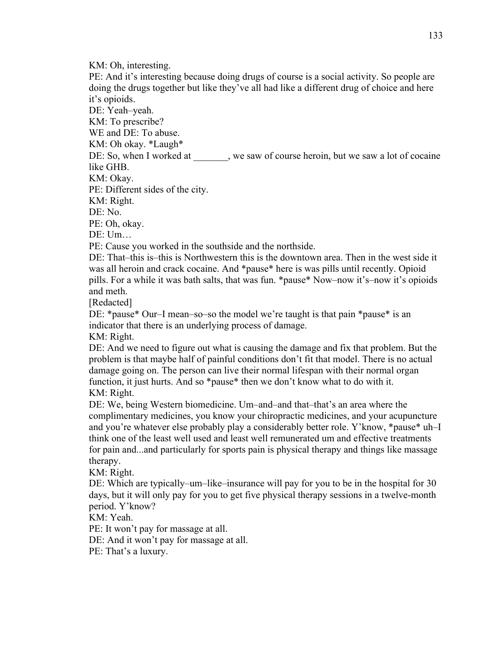KM: Oh, interesting.

PE: And it's interesting because doing drugs of course is a social activity. So people are doing the drugs together but like they've all had like a different drug of choice and here it's opioids.

DE: Yeah–yeah.

KM: To prescribe?

WE and DE: To abuse.

KM: Oh okay. \*Laugh\*

DE: So, when I worked at , we saw of course heroin, but we saw a lot of cocaine like GHB.

KM: Okay.

PE: Different sides of the city.

KM: Right.

DE: No.

PE: Oh, okay.

DE: Um…

PE: Cause you worked in the southside and the northside.

DE: That–this is–this is Northwestern this is the downtown area. Then in the west side it was all heroin and crack cocaine. And \*pause\* here is was pills until recently. Opioid pills. For a while it was bath salts, that was fun. \*pause\* Now–now it's–now it's opioids and meth.

[Redacted]

DE: \*pause\* Our–I mean–so–so the model we're taught is that pain \*pause\* is an indicator that there is an underlying process of damage.

KM: Right.

DE: And we need to figure out what is causing the damage and fix that problem. But the problem is that maybe half of painful conditions don't fit that model. There is no actual damage going on. The person can live their normal lifespan with their normal organ function, it just hurts. And so \*pause\* then we don't know what to do with it. KM: Right.

DE: We, being Western biomedicine. Um–and–and that–that's an area where the complimentary medicines, you know your chiropractic medicines, and your acupuncture and you're whatever else probably play a considerably better role. Y'know, \*pause\* uh–I think one of the least well used and least well remunerated um and effective treatments for pain and...and particularly for sports pain is physical therapy and things like massage therapy.

KM: Right.

DE: Which are typically–um–like–insurance will pay for you to be in the hospital for 30 days, but it will only pay for you to get five physical therapy sessions in a twelve-month period. Y'know?

KM: Yeah.

PE: It won't pay for massage at all.

DE: And it won't pay for massage at all.

PE: That's a luxury.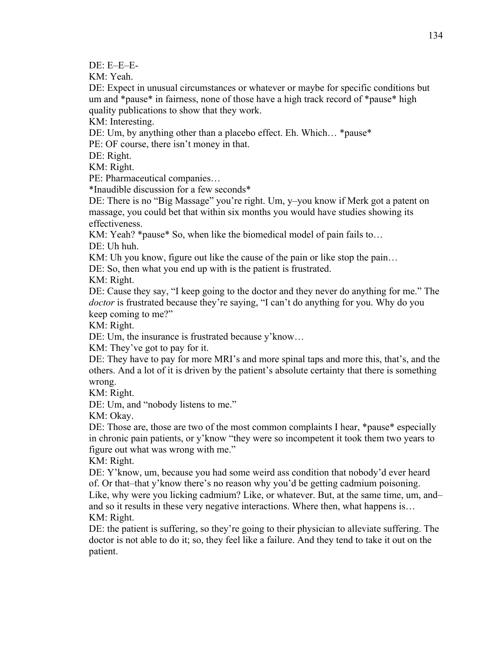DE: E–E–E-

KM: Yeah.

DE: Expect in unusual circumstances or whatever or maybe for specific conditions but um and \*pause\* in fairness, none of those have a high track record of \*pause\* high quality publications to show that they work.

KM: Interesting.

DE: Um, by anything other than a placebo effect. Eh. Which… \*pause\*

PE: OF course, there isn't money in that.

DE: Right.

KM: Right.

PE: Pharmaceutical companies…

\*Inaudible discussion for a few seconds\*

DE: There is no "Big Massage" you're right. Um, y–you know if Merk got a patent on massage, you could bet that within six months you would have studies showing its effectiveness.

KM: Yeah? \*pause\* So, when like the biomedical model of pain fails to...

DE: Uh huh.

KM: Uh you know, figure out like the cause of the pain or like stop the pain...

DE: So, then what you end up with is the patient is frustrated.

KM: Right.

DE: Cause they say, "I keep going to the doctor and they never do anything for me." The *doctor* is frustrated because they're saying, "I can't do anything for you. Why do you keep coming to me?"

KM: Right.

DE: Um, the insurance is frustrated because y'know…

KM: They've got to pay for it.

DE: They have to pay for more MRI's and more spinal taps and more this, that's, and the others. And a lot of it is driven by the patient's absolute certainty that there is something wrong.

KM: Right.

DE: Um, and "nobody listens to me."

KM: Okay.

DE: Those are, those are two of the most common complaints I hear, \*pause\* especially in chronic pain patients, or y'know "they were so incompetent it took them two years to figure out what was wrong with me."

KM: Right.

DE: Y'know, um, because you had some weird ass condition that nobody'd ever heard of. Or that–that y'know there's no reason why you'd be getting cadmium poisoning. Like, why were you licking cadmium? Like, or whatever. But, at the same time, um, and– and so it results in these very negative interactions. Where then, what happens is...

KM: Right.

DE: the patient is suffering, so they're going to their physician to alleviate suffering. The doctor is not able to do it; so, they feel like a failure. And they tend to take it out on the patient.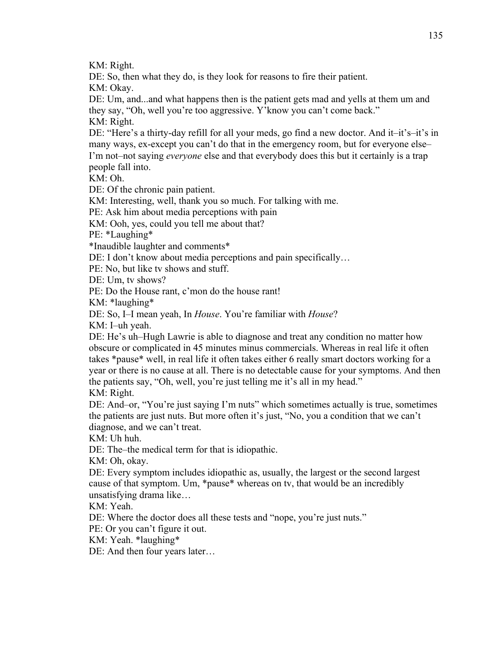KM: Right.

DE: So, then what they do, is they look for reasons to fire their patient. KM: Okay.

DE: Um, and...and what happens then is the patient gets mad and yells at them um and they say, "Oh, well you're too aggressive. Y'know you can't come back." KM: Right.

DE: "Here's a thirty-day refill for all your meds, go find a new doctor. And it–it's–it's in many ways, ex-except you can't do that in the emergency room, but for everyone else– I'm not–not saying *everyone* else and that everybody does this but it certainly is a trap people fall into.

KM: Oh.

DE: Of the chronic pain patient.

KM: Interesting, well, thank you so much. For talking with me.

PE: Ask him about media perceptions with pain

KM: Ooh, yes, could you tell me about that?

PE: \*Laughing\*

\*Inaudible laughter and comments\*

DE: I don't know about media perceptions and pain specifically...

PE: No, but like tv shows and stuff.

DE: Um, tv shows?

PE: Do the House rant, c'mon do the house rant!

KM: \*laughing\*

DE: So, I–I mean yeah, In *House*. You're familiar with *House*?

KM: I–uh yeah.

DE: He's uh–Hugh Lawrie is able to diagnose and treat any condition no matter how obscure or complicated in 45 minutes minus commercials. Whereas in real life it often takes \*pause\* well, in real life it often takes either 6 really smart doctors working for a year or there is no cause at all. There is no detectable cause for your symptoms. And then the patients say, "Oh, well, you're just telling me it's all in my head." KM: Right.

DE: And–or, "You're just saying I'm nuts" which sometimes actually is true, sometimes the patients are just nuts. But more often it's just, "No, you a condition that we can't diagnose, and we can't treat.

KM: Uh huh.

DE: The–the medical term for that is idiopathic.

KM: Oh, okay.

DE: Every symptom includes idiopathic as, usually, the largest or the second largest cause of that symptom. Um, \*pause\* whereas on tv, that would be an incredibly unsatisfying drama like…

KM: Yeah.

DE: Where the doctor does all these tests and "nope, you're just nuts."

PE: Or you can't figure it out.

KM: Yeah. \*laughing\*

DE: And then four years later…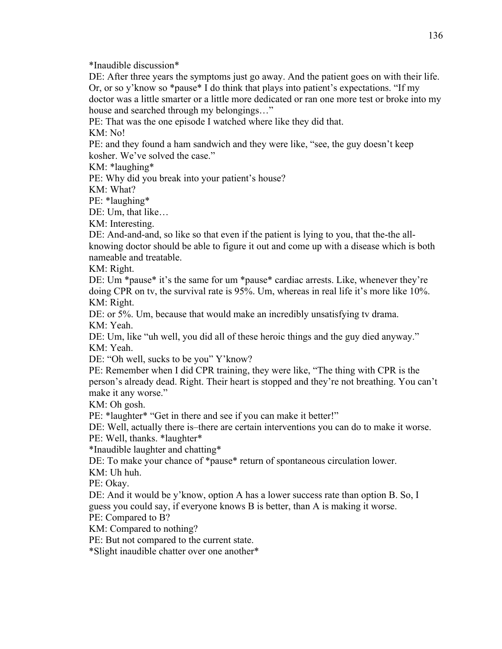\*Inaudible discussion\*

DE: After three years the symptoms just go away. And the patient goes on with their life. Or, or so y'know so \*pause\* I do think that plays into patient's expectations. "If my doctor was a little smarter or a little more dedicated or ran one more test or broke into my house and searched through my belongings…"

PE: That was the one episode I watched where like they did that.

KM: No!

PE: and they found a ham sandwich and they were like, "see, the guy doesn't keep kosher. We've solved the case."

KM: \*laughing\*

PE: Why did you break into your patient's house?

KM: What?

PE: \*laughing\*

DE: Um, that like…

KM: Interesting.

DE: And-and-and, so like so that even if the patient is lying to you, that the-the allknowing doctor should be able to figure it out and come up with a disease which is both nameable and treatable.

KM: Right.

DE: Um \*pause\* it's the same for um \*pause\* cardiac arrests. Like, whenever they're doing CPR on tv, the survival rate is 95%. Um, whereas in real life it's more like 10%. KM: Right.

DE: or 5%. Um, because that would make an incredibly unsatisfying tv drama. KM: Yeah.

DE: Um, like "uh well, you did all of these heroic things and the guy died anyway." KM: Yeah.

DE: "Oh well, sucks to be you" Y'know?

PE: Remember when I did CPR training, they were like, "The thing with CPR is the person's already dead. Right. Their heart is stopped and they're not breathing. You can't make it any worse."

KM: Oh gosh.

PE: \*laughter\* "Get in there and see if you can make it better!"

DE: Well, actually there is–there are certain interventions you can do to make it worse.

PE: Well, thanks. \*laughter\*

\*Inaudible laughter and chatting\*

DE: To make your chance of \*pause\* return of spontaneous circulation lower.

KM: Uh huh.

PE: Okay.

DE: And it would be y'know, option A has a lower success rate than option B. So, I guess you could say, if everyone knows B is better, than A is making it worse.

PE: Compared to B?

KM: Compared to nothing?

PE: But not compared to the current state.

\*Slight inaudible chatter over one another\*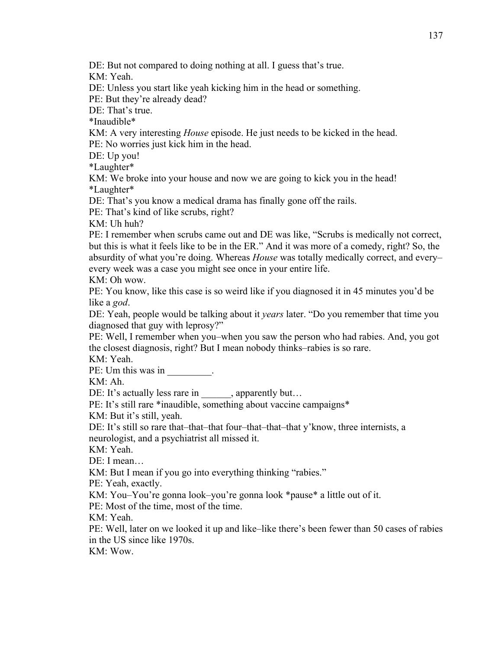KM: Yeah.

DE: Unless you start like yeah kicking him in the head or something.

PE: But they're already dead?

DE: That's true.

\*Inaudible\*

KM: A very interesting *House* episode. He just needs to be kicked in the head. PE: No worries just kick him in the head.

DE: Up you!

\*Laughter\*

KM: We broke into your house and now we are going to kick you in the head! \*Laughter\*

DE: That's you know a medical drama has finally gone off the rails.

PE: That's kind of like scrubs, right?

KM: Uh huh?

PE: I remember when scrubs came out and DE was like, "Scrubs is medically not correct, but this is what it feels like to be in the ER." And it was more of a comedy, right? So, the absurdity of what you're doing. Whereas *House* was totally medically correct, and every– every week was a case you might see once in your entire life.

KM: Oh wow.

PE: You know, like this case is so weird like if you diagnosed it in 45 minutes you'd be like a *god*.

DE: Yeah, people would be talking about it *years* later. "Do you remember that time you diagnosed that guy with leprosy?"

PE: Well, I remember when you–when you saw the person who had rabies. And, you got the closest diagnosis, right? But I mean nobody thinks–rabies is so rare.

KM: Yeah.

PE: Um this was in  $\blacksquare$ .

KM: Ah.

DE: It's actually less rare in \_\_\_\_\_\_, apparently but...

PE: It's still rare \*inaudible, something about vaccine campaigns\*

KM: But it's still, yeah.

DE: It's still so rare that–that–that four–that–that–that y'know, three internists, a neurologist, and a psychiatrist all missed it.

KM: Yeah.

DE: I mean…

KM: But I mean if you go into everything thinking "rabies."

PE: Yeah, exactly.

KM: You–You're gonna look–you're gonna look \*pause\* a little out of it.

PE: Most of the time, most of the time.

KM: Yeah.

PE: Well, later on we looked it up and like–like there's been fewer than 50 cases of rabies in the US since like 1970s.

KM: Wow.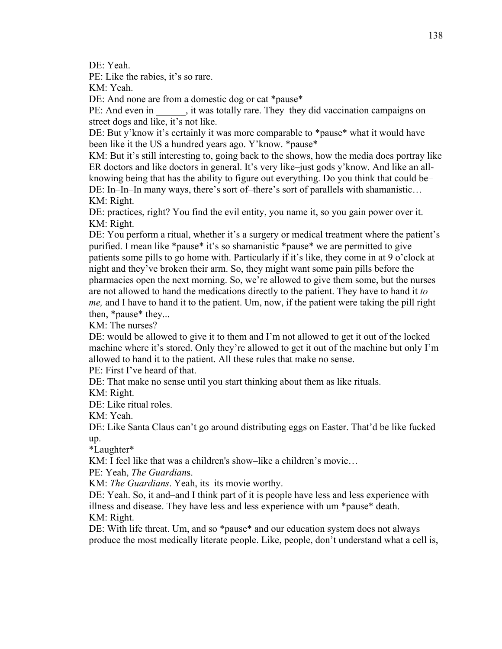DE: Yeah.

PE: Like the rabies, it's so rare.

KM: Yeah.

DE: And none are from a domestic dog or cat \*pause\*

PE: And even in , it was totally rare. They–they did vaccination campaigns on street dogs and like, it's not like.

DE: But y'know it's certainly it was more comparable to \*pause\* what it would have been like it the US a hundred years ago. Y'know. \*pause\*

KM: But it's still interesting to, going back to the shows, how the media does portray like ER doctors and like doctors in general. It's very like–just gods y'know. And like an allknowing being that has the ability to figure out everything. Do you think that could be– DE: In–In–In many ways, there's sort of–there's sort of parallels with shamanistic… KM: Right.

DE: practices, right? You find the evil entity, you name it, so you gain power over it. KM: Right.

DE: You perform a ritual, whether it's a surgery or medical treatment where the patient's purified. I mean like \*pause\* it's so shamanistic \*pause\* we are permitted to give patients some pills to go home with. Particularly if it's like, they come in at 9 o'clock at night and they've broken their arm. So, they might want some pain pills before the pharmacies open the next morning. So, we're allowed to give them some, but the nurses are not allowed to hand the medications directly to the patient. They have to hand it *to me,* and I have to hand it to the patient. Um, now, if the patient were taking the pill right then, \*pause\* they...

KM: The nurses?

DE: would be allowed to give it to them and I'm not allowed to get it out of the locked machine where it's stored. Only they're allowed to get it out of the machine but only I'm allowed to hand it to the patient. All these rules that make no sense.

PE: First I've heard of that.

DE: That make no sense until you start thinking about them as like rituals.

KM: Right.

DE: Like ritual roles.

KM: Yeah.

DE: Like Santa Claus can't go around distributing eggs on Easter. That'd be like fucked up.

\*Laughter\*

KM: I feel like that was a children's show–like a children's movie…

PE: Yeah, *The Guardian*s.

KM: *The Guardians*. Yeah, its–its movie worthy.

DE: Yeah. So, it and–and I think part of it is people have less and less experience with illness and disease. They have less and less experience with um \*pause\* death. KM: Right.

DE: With life threat. Um, and so \*pause\* and our education system does not always produce the most medically literate people. Like, people, don't understand what a cell is,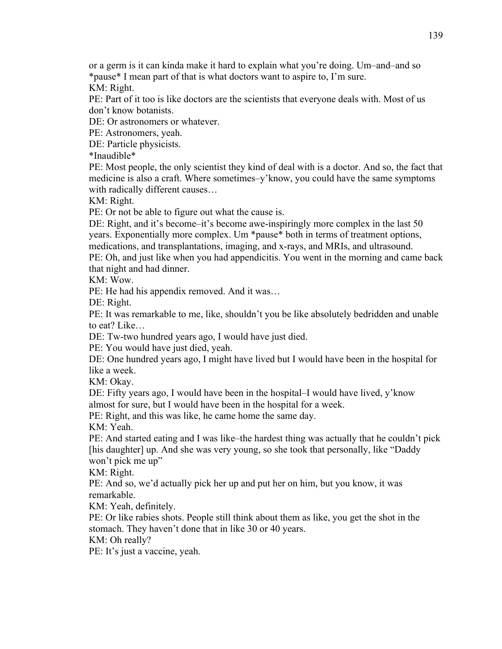or a germ is it can kinda make it hard to explain what you're doing. Um–and–and so \*pause\* I mean part of that is what doctors want to aspire to, I'm sure. KM: Right.

PE: Part of it too is like doctors are the scientists that everyone deals with. Most of us don't know botanists.

DE: Or astronomers or whatever.

PE: Astronomers, yeah.

DE: Particle physicists.

\*Inaudible\*

PE: Most people, the only scientist they kind of deal with is a doctor. And so, the fact that medicine is also a craft. Where sometimes–y'know, you could have the same symptoms with radically different causes…

KM: Right.

PE: Or not be able to figure out what the cause is.

DE: Right, and it's become–it's become awe-inspiringly more complex in the last 50 years. Exponentially more complex. Um \*pause\* both in terms of treatment options, medications, and transplantations, imaging, and x-rays, and MRIs, and ultrasound.

PE: Oh, and just like when you had appendicitis. You went in the morning and came back that night and had dinner.

KM: Wow.

PE: He had his appendix removed. And it was…

DE: Right.

PE: It was remarkable to me, like, shouldn't you be like absolutely bedridden and unable to eat? Like…

DE: Tw-two hundred years ago, I would have just died.

PE: You would have just died, yeah.

DE: One hundred years ago, I might have lived but I would have been in the hospital for like a week.

KM: Okay.

DE: Fifty years ago, I would have been in the hospital–I would have lived, y'know almost for sure, but I would have been in the hospital for a week.

PE: Right, and this was like, he came home the same day.

KM: Yeah.

PE: And started eating and I was like–the hardest thing was actually that he couldn't pick [his daughter] up. And she was very young, so she took that personally, like "Daddy won't pick me up"

KM: Right.

PE: And so, we'd actually pick her up and put her on him, but you know, it was remarkable.

KM: Yeah, definitely.

PE: Or like rabies shots. People still think about them as like, you get the shot in the stomach. They haven't done that in like 30 or 40 years.

KM: Oh really?

PE: It's just a vaccine, yeah.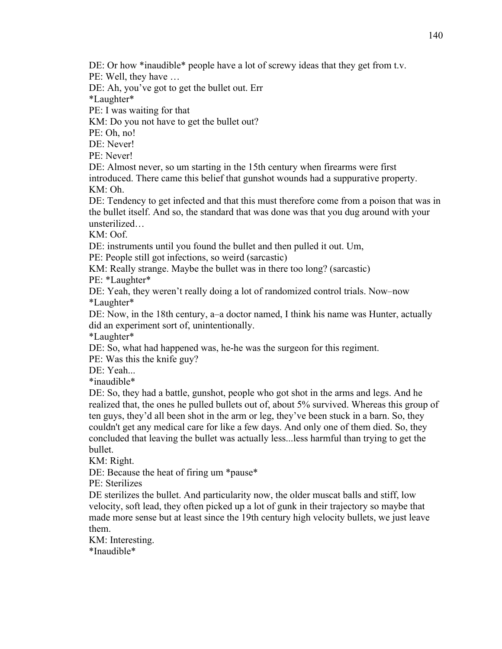DE: Or how \*inaudible\* people have a lot of screwy ideas that they get from t.v.

PE: Well, they have …

DE: Ah, you've got to get the bullet out. Err

\*Laughter\*

PE: I was waiting for that

KM: Do you not have to get the bullet out?

PE: Oh, no!

DE: Never!

PE: Never!

DE: Almost never, so um starting in the 15th century when firearms were first introduced. There came this belief that gunshot wounds had a suppurative property. KM: Oh.

DE: Tendency to get infected and that this must therefore come from a poison that was in the bullet itself. And so, the standard that was done was that you dug around with your unsterilized…

KM: Oof.

DE: instruments until you found the bullet and then pulled it out. Um,

PE: People still got infections, so weird (sarcastic)

KM: Really strange. Maybe the bullet was in there too long? (sarcastic)

PE: \*Laughter\*

DE: Yeah, they weren't really doing a lot of randomized control trials. Now–now \*Laughter\*

DE: Now, in the 18th century, a–a doctor named, I think his name was Hunter, actually did an experiment sort of, unintentionally.

\*Laughter\*

DE: So, what had happened was, he-he was the surgeon for this regiment.

PE: Was this the knife guy?

DE: Yeah...

\*inaudible\*

DE: So, they had a battle, gunshot, people who got shot in the arms and legs. And he realized that, the ones he pulled bullets out of, about 5% survived. Whereas this group of ten guys, they'd all been shot in the arm or leg, they've been stuck in a barn. So, they couldn't get any medical care for like a few days. And only one of them died. So, they concluded that leaving the bullet was actually less...less harmful than trying to get the bullet.

KM: Right.

DE: Because the heat of firing um \*pause\*

PE: Sterilizes

DE sterilizes the bullet. And particularity now, the older muscat balls and stiff, low velocity, soft lead, they often picked up a lot of gunk in their trajectory so maybe that made more sense but at least since the 19th century high velocity bullets, we just leave them.

KM: Interesting. \*Inaudible\*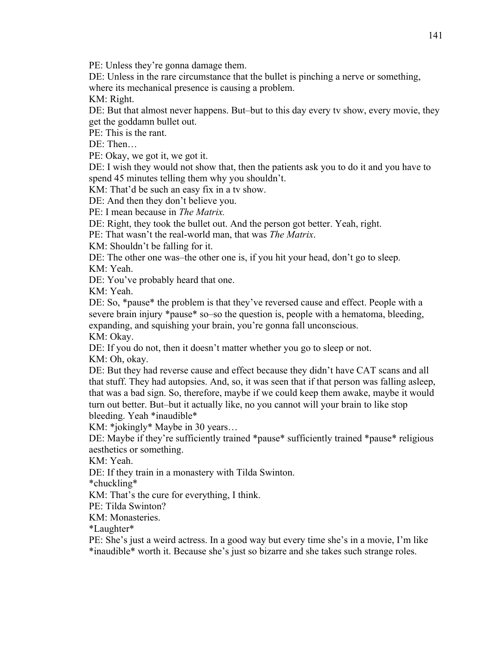PE: Unless they're gonna damage them.

DE: Unless in the rare circumstance that the bullet is pinching a nerve or something, where its mechanical presence is causing a problem.

KM: Right.

DE: But that almost never happens. But–but to this day every tv show, every movie, they get the goddamn bullet out.

PE: This is the rant.

DE: Then…

PE: Okay, we got it, we got it.

DE: I wish they would not show that, then the patients ask you to do it and you have to spend 45 minutes telling them why you shouldn't.

KM: That'd be such an easy fix in a tv show.

DE: And then they don't believe you.

PE: I mean because in *The Matrix.*

DE: Right, they took the bullet out. And the person got better. Yeah, right.

PE: That wasn't the real-world man, that was *The Matrix*.

KM: Shouldn't be falling for it.

DE: The other one was–the other one is, if you hit your head, don't go to sleep.

KM: Yeah.

DE: You've probably heard that one.

KM: Yeah.

DE: So, \*pause\* the problem is that they've reversed cause and effect. People with a severe brain injury \*pause\* so–so the question is, people with a hematoma, bleeding, expanding, and squishing your brain, you're gonna fall unconscious.

KM: Okay.

DE: If you do not, then it doesn't matter whether you go to sleep or not. KM: Oh, okay.

DE: But they had reverse cause and effect because they didn't have CAT scans and all that stuff. They had autopsies. And, so, it was seen that if that person was falling asleep, that was a bad sign. So, therefore, maybe if we could keep them awake, maybe it would turn out better. But–but it actually like, no you cannot will your brain to like stop bleeding. Yeah \*inaudible\*

KM: \*jokingly\* Maybe in 30 years…

DE: Maybe if they're sufficiently trained \*pause\* sufficiently trained \*pause\* religious aesthetics or something.

KM: Yeah.

DE: If they train in a monastery with Tilda Swinton.

\*chuckling\*

KM: That's the cure for everything, I think.

PE: Tilda Swinton?

KM: Monasteries.

\*Laughter\*

PE: She's just a weird actress. In a good way but every time she's in a movie, I'm like \*inaudible\* worth it. Because she's just so bizarre and she takes such strange roles.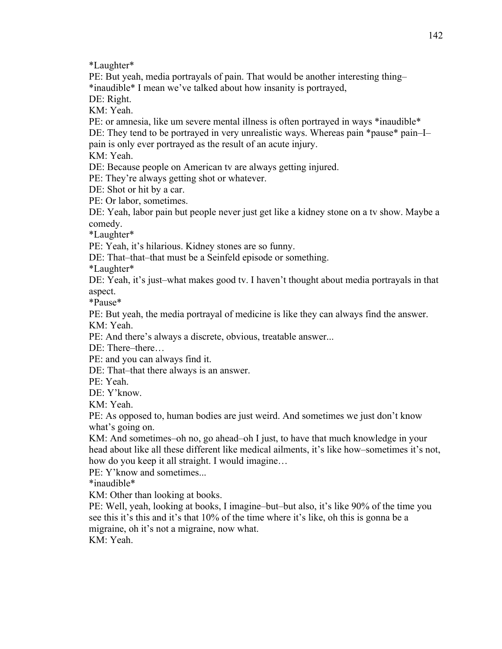\*Laughter\*

PE: But yeah, media portrayals of pain. That would be another interesting thing– \*inaudible\* I mean we've talked about how insanity is portrayed,

DE: Right.

KM: Yeah.

PE: or amnesia, like um severe mental illness is often portrayed in ways \*inaudible\*

DE: They tend to be portrayed in very unrealistic ways. Whereas pain \*pause\* pain–I– pain is only ever portrayed as the result of an acute injury.

KM: Yeah.

DE: Because people on American tv are always getting injured.

PE: They're always getting shot or whatever.

DE: Shot or hit by a car.

PE: Or labor, sometimes.

DE: Yeah, labor pain but people never just get like a kidney stone on a tv show. Maybe a comedy.

\*Laughter\*

PE: Yeah, it's hilarious. Kidney stones are so funny.

DE: That–that–that must be a Seinfeld episode or something.

\*Laughter\*

DE: Yeah, it's just–what makes good tv. I haven't thought about media portrayals in that aspect.

\*Pause\*

PE: But yeah, the media portrayal of medicine is like they can always find the answer. KM: Yeah.

PE: And there's always a discrete, obvious, treatable answer...

DE: There–there…

PE: and you can always find it.

DE: That–that there always is an answer.

PE: Yeah.

DE: Y'know.

KM: Yeah.

PE: As opposed to, human bodies are just weird. And sometimes we just don't know what's going on.

KM: And sometimes–oh no, go ahead–oh I just, to have that much knowledge in your head about like all these different like medical ailments, it's like how–sometimes it's not, how do you keep it all straight. I would imagine…

PE: Y'know and sometimes...

\*inaudible\*

KM: Other than looking at books.

PE: Well, yeah, looking at books, I imagine–but–but also, it's like 90% of the time you see this it's this and it's that 10% of the time where it's like, oh this is gonna be a migraine, oh it's not a migraine, now what.

KM: Yeah.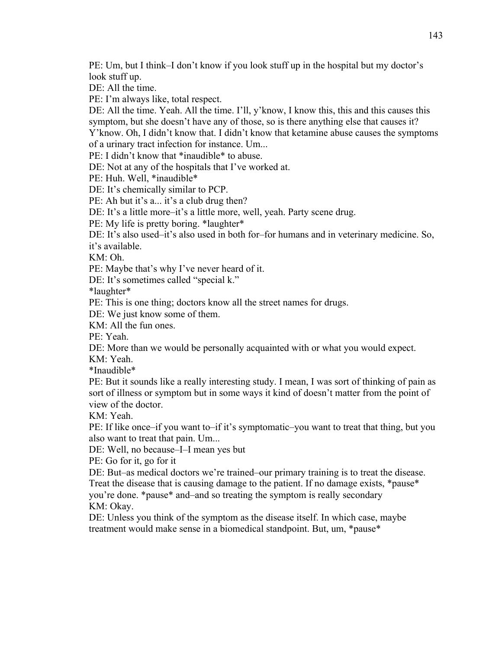PE: Um, but I think–I don't know if you look stuff up in the hospital but my doctor's look stuff up.

DE: All the time.

PE: I'm always like, total respect.

DE: All the time. Yeah. All the time. I'll, y'know, I know this, this and this causes this symptom, but she doesn't have any of those, so is there anything else that causes it? Y'know. Oh, I didn't know that. I didn't know that ketamine abuse causes the symptoms

of a urinary tract infection for instance. Um...

PE: I didn't know that \*inaudible\* to abuse.

DE: Not at any of the hospitals that I've worked at.

PE: Huh. Well, \*inaudible\*

DE: It's chemically similar to PCP.

PE: Ah but it's a... it's a club drug then?

DE: It's a little more–it's a little more, well, yeah. Party scene drug.

PE: My life is pretty boring. \*laughter\*

DE: It's also used–it's also used in both for–for humans and in veterinary medicine. So, it's available.

KM: Oh.

PE: Maybe that's why I've never heard of it.

DE: It's sometimes called "special k."

\*laughter\*

PE: This is one thing; doctors know all the street names for drugs.

DE: We just know some of them.

KM: All the fun ones.

PE: Yeah.

DE: More than we would be personally acquainted with or what you would expect.

KM: Yeah.

\*Inaudible\*

PE: But it sounds like a really interesting study. I mean, I was sort of thinking of pain as sort of illness or symptom but in some ways it kind of doesn't matter from the point of view of the doctor.

KM: Yeah.

PE: If like once–if you want to–if it's symptomatic–you want to treat that thing, but you also want to treat that pain. Um...

DE: Well, no because–I–I mean yes but

PE: Go for it, go for it

DE: But–as medical doctors we're trained–our primary training is to treat the disease. Treat the disease that is causing damage to the patient. If no damage exists, \*pause\* you're done. \*pause\* and–and so treating the symptom is really secondary

KM: Okay.

DE: Unless you think of the symptom as the disease itself. In which case, maybe treatment would make sense in a biomedical standpoint. But, um, \*pause\*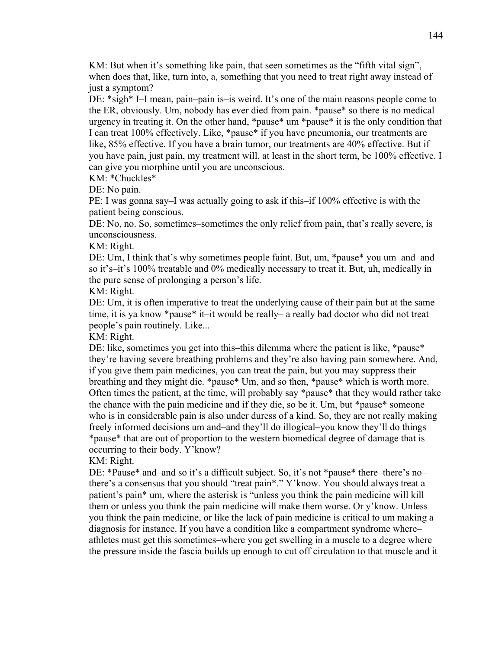KM: But when it's something like pain, that seen sometimes as the "fifth vital sign", when does that, like, turn into, a, something that you need to treat right away instead of just a symptom?

DE: \*sigh\* I–I mean, pain–pain is–is weird. It's one of the main reasons people come to the ER, obviously. Um, nobody has ever died from pain. \*pause\* so there is no medical urgency in treating it. On the other hand, \*pause\* um \*pause\* it is the only condition that I can treat 100% effectively. Like, \*pause\* if you have pneumonia, our treatments are like, 85% effective. If you have a brain tumor, our treatments are 40% effective. But if you have pain, just pain, my treatment will, at least in the short term, be 100% effective. I can give you morphine until you are unconscious.

KM: \*Chuckles\*

DE: No pain.

PE: I was gonna say–I was actually going to ask if this–if 100% effective is with the patient being conscious.

DE: No, no. So, sometimes–sometimes the only relief from pain, that's really severe, is unconsciousness.

KM: Right.

DE: Um, I think that's why sometimes people faint. But, um, \*pause\* you um–and–and so it's–it's 100% treatable and 0% medically necessary to treat it. But, uh, medically in the pure sense of prolonging a person's life.

KM: Right.

DE: Um, it is often imperative to treat the underlying cause of their pain but at the same time, it is ya know \*pause\* it–it would be really– a really bad doctor who did not treat people's pain routinely. Like...

KM: Right.

DE: like, sometimes you get into this–this dilemma where the patient is like, \*pause\* they're having severe breathing problems and they're also having pain somewhere. And, if you give them pain medicines, you can treat the pain, but you may suppress their breathing and they might die. \*pause\* Um, and so then, \*pause\* which is worth more. Often times the patient, at the time, will probably say \*pause\* that they would rather take the chance with the pain medicine and if they die, so be it. Um, but \*pause\* someone who is in considerable pain is also under duress of a kind. So, they are not really making freely informed decisions um and–and they'll do illogical–you know they'll do things \*pause\* that are out of proportion to the western biomedical degree of damage that is occurring to their body. Y'know?

KM: Right.

DE: \*Pause\* and–and so it's a difficult subject. So, it's not \*pause\* there–there's no– there's a consensus that you should "treat pain\*." Y'know. You should always treat a patient's pain\* um, where the asterisk is "unless you think the pain medicine will kill them or unless you think the pain medicine will make them worse. Or y'know. Unless you think the pain medicine, or like the lack of pain medicine is critical to um making a diagnosis for instance. If you have a condition like a compartment syndrome where– athletes must get this sometimes–where you get swelling in a muscle to a degree where the pressure inside the fascia builds up enough to cut off circulation to that muscle and it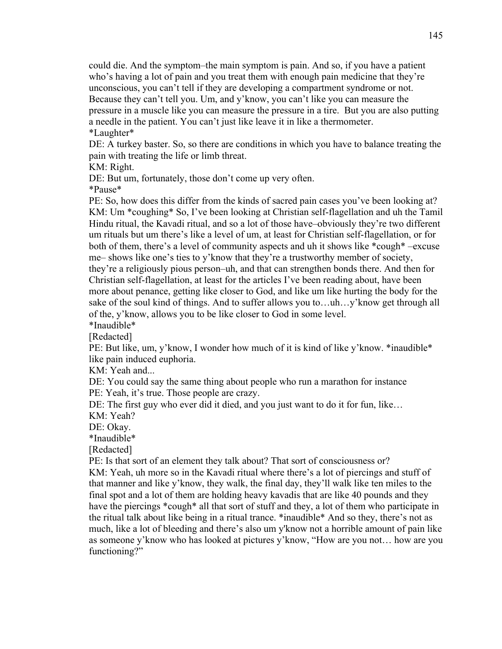could die. And the symptom–the main symptom is pain. And so, if you have a patient who's having a lot of pain and you treat them with enough pain medicine that they're unconscious, you can't tell if they are developing a compartment syndrome or not. Because they can't tell you. Um, and y'know, you can't like you can measure the pressure in a muscle like you can measure the pressure in a tire. But you are also putting a needle in the patient. You can't just like leave it in like a thermometer. \*Laughter\*

DE: A turkey baster. So, so there are conditions in which you have to balance treating the pain with treating the life or limb threat.

KM: Right.

DE: But um, fortunately, those don't come up very often.

\*Pause\*

PE: So, how does this differ from the kinds of sacred pain cases you've been looking at? KM: Um \*coughing\* So, I've been looking at Christian self-flagellation and uh the Tamil Hindu ritual, the Kavadi ritual, and so a lot of those have–obviously they're two different um rituals but um there's like a level of um, at least for Christian self-flagellation, or for both of them, there's a level of community aspects and uh it shows like \*cough\* –excuse me– shows like one's ties to y'know that they're a trustworthy member of society, they're a religiously pious person–uh, and that can strengthen bonds there. And then for Christian self-flagellation, at least for the articles I've been reading about, have been more about penance, getting like closer to God, and like um like hurting the body for the sake of the soul kind of things. And to suffer allows you to…uh…y'know get through all of the, y'know, allows you to be like closer to God in some level. \*Inaudible\*

[Redacted]

PE: But like, um, y'know, I wonder how much of it is kind of like y'know. \*inaudible\* like pain induced euphoria.

KM: Yeah and...

DE: You could say the same thing about people who run a marathon for instance PE: Yeah, it's true. Those people are crazy.

DE: The first guy who ever did it died, and you just want to do it for fun, like…

KM: Yeah?

DE: Okay.

\*Inaudible\*

[Redacted]

PE: Is that sort of an element they talk about? That sort of consciousness or?

KM: Yeah, uh more so in the Kavadi ritual where there's a lot of piercings and stuff of that manner and like y'know, they walk, the final day, they'll walk like ten miles to the final spot and a lot of them are holding heavy kavadis that are like 40 pounds and they have the piercings \*cough\* all that sort of stuff and they, a lot of them who participate in the ritual talk about like being in a ritual trance. \*inaudible\* And so they, there's not as much, like a lot of bleeding and there's also um y'know not a horrible amount of pain like as someone y'know who has looked at pictures y'know, "How are you not… how are you functioning?"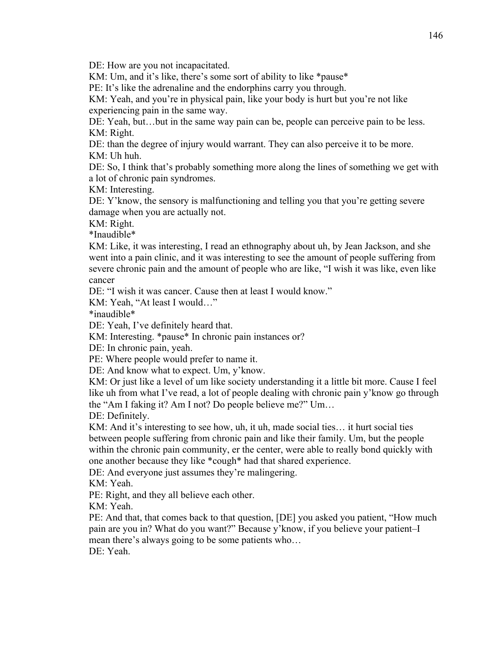DE: How are you not incapacitated.

KM: Um, and it's like, there's some sort of ability to like \*pause\*

PE: It's like the adrenaline and the endorphins carry you through.

KM: Yeah, and you're in physical pain, like your body is hurt but you're not like experiencing pain in the same way.

DE: Yeah, but…but in the same way pain can be, people can perceive pain to be less. KM: Right.

DE: than the degree of injury would warrant. They can also perceive it to be more. KM: Uh huh.

DE: So, I think that's probably something more along the lines of something we get with a lot of chronic pain syndromes.

KM: Interesting.

DE: Y'know, the sensory is malfunctioning and telling you that you're getting severe damage when you are actually not.

KM: Right.

\*Inaudible\*

KM: Like, it was interesting, I read an ethnography about uh, by Jean Jackson, and she went into a pain clinic, and it was interesting to see the amount of people suffering from severe chronic pain and the amount of people who are like, "I wish it was like, even like cancer

DE: "I wish it was cancer. Cause then at least I would know."

KM: Yeah, "At least I would…"

\*inaudible\*

DE: Yeah, I've definitely heard that.

KM: Interesting. \*pause\* In chronic pain instances or?

DE: In chronic pain, yeah.

PE: Where people would prefer to name it.

DE: And know what to expect. Um, y'know.

KM: Or just like a level of um like society understanding it a little bit more. Cause I feel like uh from what I've read, a lot of people dealing with chronic pain y'know go through the "Am I faking it? Am I not? Do people believe me?" Um…

DE: Definitely.

KM: And it's interesting to see how, uh, it uh, made social ties... it hurt social ties between people suffering from chronic pain and like their family. Um, but the people within the chronic pain community, er the center, were able to really bond quickly with one another because they like \*cough\* had that shared experience.

DE: And everyone just assumes they're malingering.

KM: Yeah.

PE: Right, and they all believe each other.

KM: Yeah.

PE: And that, that comes back to that question, [DE] you asked you patient, "How much pain are you in? What do you want?" Because y'know, if you believe your patient–I mean there's always going to be some patients who… DE: Yeah.